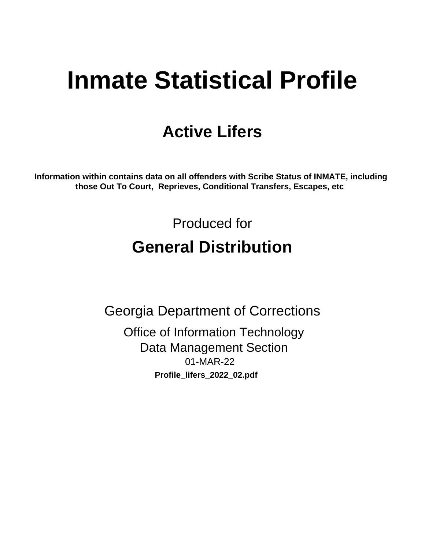# **Inmate Statistical Profile**

## **Active Lifers**

Information within contains data on all offenders with Scribe Status of INMATE, including those Out To Court, Reprieves, Conditional Transfers, Escapes, etc

> Produced for **General Distribution**

**Georgia Department of Corrections Office of Information Technology Data Management Section** 01-MAR-22 Profile\_lifers\_2022\_02.pdf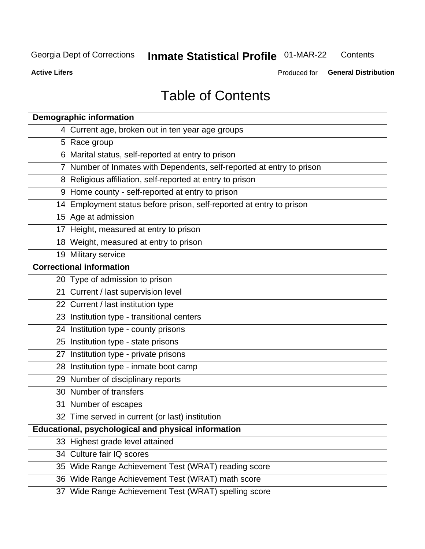#### **Inmate Statistical Profile 01-MAR-22** Contents

**Active Lifers** 

Produced for General Distribution

## **Table of Contents**

| <b>Demographic information</b>                                        |
|-----------------------------------------------------------------------|
| 4 Current age, broken out in ten year age groups                      |
| 5 Race group                                                          |
| 6 Marital status, self-reported at entry to prison                    |
| 7 Number of Inmates with Dependents, self-reported at entry to prison |
| 8 Religious affiliation, self-reported at entry to prison             |
| 9 Home county - self-reported at entry to prison                      |
| 14 Employment status before prison, self-reported at entry to prison  |
| 15 Age at admission                                                   |
| 17 Height, measured at entry to prison                                |
| 18 Weight, measured at entry to prison                                |
| 19 Military service                                                   |
| <b>Correctional information</b>                                       |
| 20 Type of admission to prison                                        |
| 21 Current / last supervision level                                   |
| 22 Current / last institution type                                    |
| 23 Institution type - transitional centers                            |
| 24 Institution type - county prisons                                  |
| 25 Institution type - state prisons                                   |
| 27 Institution type - private prisons                                 |
| 28 Institution type - inmate boot camp                                |
| 29 Number of disciplinary reports                                     |
| 30 Number of transfers                                                |
| 31 Number of escapes                                                  |
| 32 Time served in current (or last) institution                       |
| Educational, psychological and physical information                   |
| 33 Highest grade level attained                                       |
| 34 Culture fair IQ scores                                             |
| 35 Wide Range Achievement Test (WRAT) reading score                   |
| 36 Wide Range Achievement Test (WRAT) math score                      |
| 37 Wide Range Achievement Test (WRAT) spelling score                  |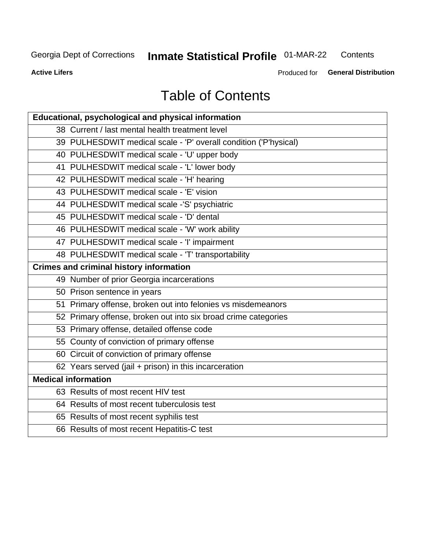## **Inmate Statistical Profile 01-MAR-22**

Contents

**Active Lifers** 

Produced for General Distribution

## **Table of Contents**

| Educational, psychological and physical information              |
|------------------------------------------------------------------|
| 38 Current / last mental health treatment level                  |
| 39 PULHESDWIT medical scale - 'P' overall condition ('P'hysical) |
| 40 PULHESDWIT medical scale - 'U' upper body                     |
| 41 PULHESDWIT medical scale - 'L' lower body                     |
| 42 PULHESDWIT medical scale - 'H' hearing                        |
| 43 PULHESDWIT medical scale - 'E' vision                         |
| 44 PULHESDWIT medical scale -'S' psychiatric                     |
| 45 PULHESDWIT medical scale - 'D' dental                         |
| 46 PULHESDWIT medical scale - 'W' work ability                   |
| 47 PULHESDWIT medical scale - 'I' impairment                     |
| 48 PULHESDWIT medical scale - 'T' transportability               |
| <b>Crimes and criminal history information</b>                   |
| 49 Number of prior Georgia incarcerations                        |
| 50 Prison sentence in years                                      |
| 51 Primary offense, broken out into felonies vs misdemeanors     |
| 52 Primary offense, broken out into six broad crime categories   |
| 53 Primary offense, detailed offense code                        |
| 55 County of conviction of primary offense                       |
| 60 Circuit of conviction of primary offense                      |
| 62 Years served (jail + prison) in this incarceration            |
| <b>Medical information</b>                                       |
| 63 Results of most recent HIV test                               |
| 64 Results of most recent tuberculosis test                      |
| 65 Results of most recent syphilis test                          |
| 66 Results of most recent Hepatitis-C test                       |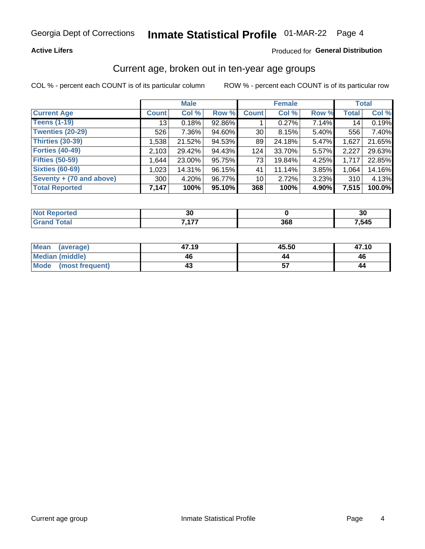#### **Active Lifers**

#### Produced for General Distribution

### Current age, broken out in ten-year age groups

COL % - percent each COUNT is of its particular column

|                          | <b>Male</b>  |        |        | <b>Female</b>   |        |       | <b>Total</b> |        |
|--------------------------|--------------|--------|--------|-----------------|--------|-------|--------------|--------|
| <b>Current Age</b>       | <b>Count</b> | Col %  | Row %  | <b>Count</b>    | Col %  | Row % | <b>Total</b> | Col %  |
| <b>Teens (1-19)</b>      | 13           | 0.18%  | 92.86% |                 | 0.27%  | 7.14% | 14           | 0.19%  |
| <b>Twenties (20-29)</b>  | 526          | 7.36%  | 94.60% | 30 <sup>2</sup> | 8.15%  | 5.40% | 556          | 7.40%  |
| <b>Thirties (30-39)</b>  | 1,538        | 21.52% | 94.53% | 89              | 24.18% | 5.47% | 1,627        | 21.65% |
| <b>Forties (40-49)</b>   | 2,103        | 29.42% | 94.43% | 124             | 33.70% | 5.57% | 2,227        | 29.63% |
| <b>Fifties (50-59)</b>   | 1,644        | 23.00% | 95.75% | 73              | 19.84% | 4.25% | 1,717        | 22.85% |
| <b>Sixties (60-69)</b>   | 1,023        | 14.31% | 96.15% | 41              | 11.14% | 3.85% | 1,064        | 14.16% |
| Seventy + (70 and above) | 300          | 4.20%  | 96.77% | 10 <sup>1</sup> | 2.72%  | 3.23% | 310          | 4.13%  |
| <b>Total Reported</b>    | 7,147        | 100%   | 95.10% | 368             | 100%   | 4.90% | 7,515        | 100.0% |

| τeα<br>$\sim$ | 30  |            | 30   |
|---------------|-----|------------|------|
|               | 477 | 200<br>σσο | ,545 |

| Mean<br>(average)      | 47.19 | 45.50 | 47.10 |
|------------------------|-------|-------|-------|
| <b>Median (middle)</b> | 46    |       | 46    |
| Mode (most frequent)   |       |       | 44    |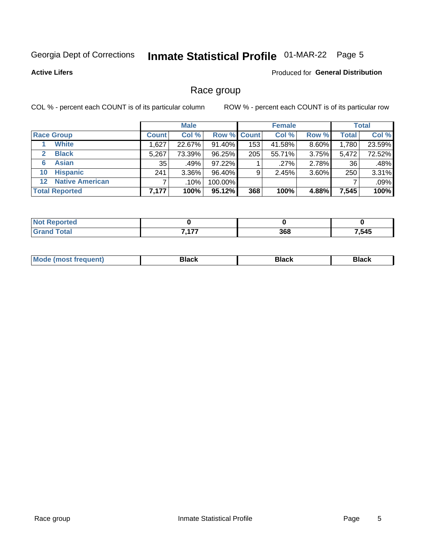## Inmate Statistical Profile 01-MAR-22 Page 5

#### **Active Lifers**

#### Produced for General Distribution

### Race group

COL % - percent each COUNT is of its particular column

|                                   | <b>Male</b>  |          |         | <b>Female</b>      |        |          | <b>Total</b> |        |
|-----------------------------------|--------------|----------|---------|--------------------|--------|----------|--------------|--------|
| <b>Race Group</b>                 | <b>Count</b> | Col %    |         | <b>Row % Count</b> | Col %  | Row %    | <b>Total</b> | Col %  |
| <b>White</b>                      | .627         | 22.67%   | 91.40%  | 153                | 41.58% | 8.60%    | 1,780        | 23.59% |
| <b>Black</b>                      | 5,267        | 73.39%   | 96.25%  | 205                | 55.71% | $3.75\%$ | 5,472        | 72.52% |
| <b>Asian</b><br>6                 | 35           | .49%     | 97.22%  |                    | .27%   | 2.78%    | 36           | .48%   |
| <b>Hispanic</b><br>10             | 241          | $3.36\%$ | 96.40%  | 9                  | 2.45%  | 3.60%    | 250          | 3.31%  |
| <b>Native American</b><br>$12 \,$ |              | .10%     | 100.00% |                    |        |          |              | .09%   |
| <b>Total Reported</b>             | 7,177        | 100%     | 95.12%  | 368                | 100%   | 4.88%    | 7,545        | 100%   |

| A CO              |                     |     |       |
|-------------------|---------------------|-----|-------|
| $f \sim f \sim f$ | $\overline{a}$<br>, | 368 | 7,545 |

| –•••• |  | M |  |  |  |
|-------|--|---|--|--|--|
|-------|--|---|--|--|--|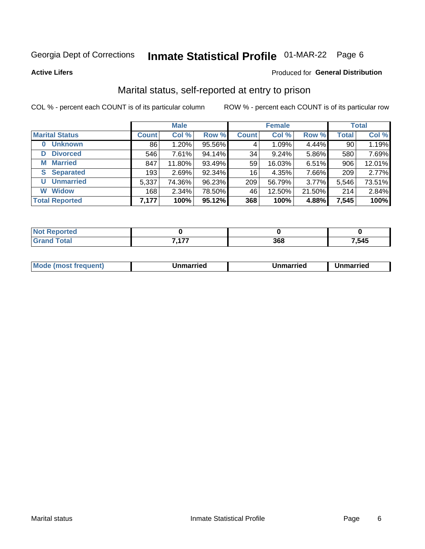## Inmate Statistical Profile 01-MAR-22 Page 6

**Active Lifers** 

#### Produced for General Distribution

### Marital status, self-reported at entry to prison

COL % - percent each COUNT is of its particular column

|                            | <b>Male</b>  |          |        | <b>Female</b> |        |        | <b>Total</b> |        |
|----------------------------|--------------|----------|--------|---------------|--------|--------|--------------|--------|
| <b>Marital Status</b>      | <b>Count</b> | Col %    | Row %  | <b>Count</b>  | Col %  | Row %  | <b>Total</b> | Col %  |
| <b>Unknown</b><br>$\bf{0}$ | 86           | 1.20%    | 95.56% | 4             | 1.09%  | 4.44%  | 90           | 1.19%  |
| <b>Divorced</b><br>D       | 546          | 7.61%    | 94.14% | 34            | 9.24%  | 5.86%  | 580          | 7.69%  |
| <b>Married</b><br>M        | 847          | 11.80%   | 93.49% | 59            | 16.03% | 6.51%  | 906          | 12.01% |
| <b>Separated</b><br>S.     | 193          | 2.69%    | 92.34% | 16            | 4.35%  | 7.66%  | 209          | 2.77%  |
| <b>Unmarried</b><br>U      | 5,337        | 74.36%   | 96.23% | 209           | 56.79% | 3.77%  | 5,546        | 73.51% |
| <b>Widow</b><br>W          | 168          | $2.34\%$ | 78.50% | 46            | 12.50% | 21.50% | 214          | 2.84%  |
| <b>Total Reported</b>      | 7,177        | 100%     | 95.12% | 368           | 100%   | 4.88%  | 7,545        | 100%   |

| тес |     |     |       |
|-----|-----|-----|-------|
|     | 477 | 368 | 7,545 |

|--|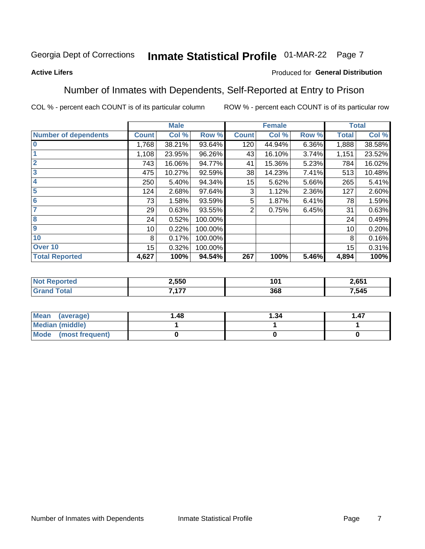## Inmate Statistical Profile 01-MAR-22 Page 7

#### **Active Lifers**

#### Produced for General Distribution

### Number of Inmates with Dependents, Self-Reported at Entry to Prison

COL % - percent each COUNT is of its particular column

|                             |              | <b>Male</b> |         |              | <b>Female</b> |       |              | <b>Total</b> |
|-----------------------------|--------------|-------------|---------|--------------|---------------|-------|--------------|--------------|
| <b>Number of dependents</b> | <b>Count</b> | Col %       | Row %   | <b>Count</b> | Col %         | Row % | <b>Total</b> | Col %        |
| l 0                         | 1,768        | 38.21%      | 93.64%  | 120          | 44.94%        | 6.36% | 1,888        | 38.58%       |
|                             | 1,108        | 23.95%      | 96.26%  | 43           | 16.10%        | 3.74% | 1,151        | 23.52%       |
| $\overline{2}$              | 743          | 16.06%      | 94.77%  | 41           | 15.36%        | 5.23% | 784          | 16.02%       |
| $\overline{\mathbf{3}}$     | 475          | 10.27%      | 92.59%  | 38           | 14.23%        | 7.41% | 513          | 10.48%       |
| 4                           | 250          | 5.40%       | 94.34%  | 15           | 5.62%         | 5.66% | 265          | 5.41%        |
| $\overline{\mathbf{5}}$     | 124          | 2.68%       | 97.64%  | 3            | 1.12%         | 2.36% | 127          | 2.60%        |
| 6                           | 73           | 1.58%       | 93.59%  | 5            | 1.87%         | 6.41% | 78           | 1.59%        |
| 7                           | 29           | 0.63%       | 93.55%  | 2            | 0.75%         | 6.45% | 31           | 0.63%        |
| $\overline{\mathbf{8}}$     | 24           | 0.52%       | 100.00% |              |               |       | 24           | 0.49%        |
| 9                           | 10           | 0.22%       | 100.00% |              |               |       | 10           | 0.20%        |
| 10                          | 8            | 0.17%       | 100.00% |              |               |       | 8            | 0.16%        |
| Over 10                     | 15           | 0.32%       | 100.00% |              |               |       | 15           | 0.31%        |
| <b>Total Reported</b>       | 4,627        | 100%        | 94.54%  | 267          | 100%          | 5.46% | 4,894        | 100%         |

|      | 2,550      | 4 N 4<br>עי<br>__ | CE <sub>4</sub><br>- 109 |
|------|------------|-------------------|--------------------------|
| υιαι | 7.477<br>. | 368               | .545                     |

| Mean (average)         | l.48 | 1.34 | i .47 |
|------------------------|------|------|-------|
| <b>Median (middle)</b> |      |      |       |
| Mode (most frequent)   |      |      |       |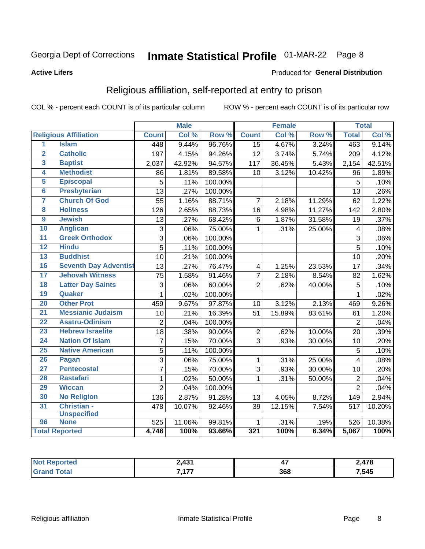#### **Active Lifers**

#### Produced for General Distribution

### Religious affiliation, self-reported at entry to prison

COL % - percent each COUNT is of its particular column

|                         |                              |                | <b>Male</b> |         |                         | Female |        |                | <b>Total</b> |
|-------------------------|------------------------------|----------------|-------------|---------|-------------------------|--------|--------|----------------|--------------|
|                         | <b>Religious Affiliation</b> | <b>Count</b>   | Col %       | Row %   | <b>Count</b>            | Col %  | Row %  | <b>Total</b>   | Col %        |
| $\overline{1}$          | <b>Islam</b>                 | 448            | 9.44%       | 96.76%  | 15                      | 4.67%  | 3.24%  | 463            | 9.14%        |
| $\overline{2}$          | <b>Catholic</b>              | 197            | 4.15%       | 94.26%  | 12                      | 3.74%  | 5.74%  | 209            | 4.12%        |
| $\overline{\mathbf{3}}$ | <b>Baptist</b>               | 2,037          | 42.92%      | 94.57%  | $\overline{1}17$        | 36.45% | 5.43%  | 2,154          | 42.51%       |
| 4                       | <b>Methodist</b>             | 86             | 1.81%       | 89.58%  | 10                      | 3.12%  | 10.42% | 96             | 1.89%        |
| 5                       | <b>Episcopal</b>             | 5              | .11%        | 100.00% |                         |        |        | 5              | .10%         |
| $\overline{\bf{6}}$     | <b>Presbyterian</b>          | 13             | .27%        | 100.00% |                         |        |        | 13             | .26%         |
| 7                       | <b>Church Of God</b>         | 55             | 1.16%       | 88.71%  | $\overline{7}$          | 2.18%  | 11.29% | 62             | 1.22%        |
| 8                       | <b>Holiness</b>              | 126            | 2.65%       | 88.73%  | 16                      | 4.98%  | 11.27% | 142            | 2.80%        |
| 9                       | <b>Jewish</b>                | 13             | .27%        | 68.42%  | 6                       | 1.87%  | 31.58% | 19             | .37%         |
| 10                      | <b>Anglican</b>              | $\overline{3}$ | .06%        | 75.00%  | $\mathbf{1}$            | .31%   | 25.00% | 4              | .08%         |
| 11                      | <b>Greek Orthodox</b>        | $\overline{3}$ | .06%        | 100.00% |                         |        |        | 3              | .06%         |
| 12                      | <b>Hindu</b>                 | $\overline{5}$ | .11%        | 100.00% |                         |        |        | $\overline{5}$ | .10%         |
| 13                      | <b>Buddhist</b>              | 10             | .21%        | 100.00% |                         |        |        | 10             | .20%         |
| 16                      | <b>Seventh Day Adventist</b> | 13             | .27%        | 76.47%  | $\overline{\mathbf{4}}$ | 1.25%  | 23.53% | 17             | .34%         |
| 17                      | <b>Jehovah Witness</b>       | 75             | 1.58%       | 91.46%  | $\overline{7}$          | 2.18%  | 8.54%  | 82             | 1.62%        |
| 18                      | <b>Latter Day Saints</b>     | 3              | .06%        | 60.00%  | $\overline{2}$          | .62%   | 40.00% | 5              | .10%         |
| 19                      | Quaker                       | $\mathbf{1}$   | .02%        | 100.00% |                         |        |        | 1              | .02%         |
| 20                      | <b>Other Prot</b>            | 459            | 9.67%       | 97.87%  | 10                      | 3.12%  | 2.13%  | 469            | 9.26%        |
| $\overline{21}$         | <b>Messianic Judaism</b>     | 10             | .21%        | 16.39%  | 51                      | 15.89% | 83.61% | 61             | 1.20%        |
| 22                      | <b>Asatru-Odinism</b>        | $\overline{2}$ | .04%        | 100.00% |                         |        |        | $\overline{2}$ | .04%         |
| 23                      | <b>Hebrew Israelite</b>      | 18             | .38%        | 90.00%  | $\boldsymbol{2}$        | .62%   | 10.00% | 20             | .39%         |
| 24                      | <b>Nation Of Islam</b>       | $\overline{7}$ | .15%        | 70.00%  | 3                       | .93%   | 30.00% | 10             | .20%         |
| 25                      | <b>Native American</b>       | 5              | .11%        | 100.00% |                         |        |        | 5              | .10%         |
| 26                      | Pagan                        | $\overline{3}$ | .06%        | 75.00%  | $\mathbf{1}$            | .31%   | 25.00% | 4              | .08%         |
| $\overline{27}$         | <b>Pentecostal</b>           | $\overline{7}$ | .15%        | 70.00%  | 3                       | .93%   | 30.00% | 10             | .20%         |
| 28                      | <b>Rastafari</b>             | $\mathbf{1}$   | .02%        | 50.00%  | 1                       | .31%   | 50.00% | $\overline{2}$ | .04%         |
| 29                      | <b>Wiccan</b>                | $\overline{2}$ | .04%        | 100.00% |                         |        |        | $\overline{2}$ | .04%         |
| 30                      | <b>No Religion</b>           | 136            | 2.87%       | 91.28%  | 13                      | 4.05%  | 8.72%  | 149            | 2.94%        |
| 31                      | Christian -                  | 478            | 10.07%      | 92.46%  | 39                      | 12.15% | 7.54%  | 517            | 10.20%       |
|                         | <b>Unspecified</b>           |                |             |         |                         |        |        |                |              |
| 96                      | <b>None</b>                  | 525            | 11.06%      | 99.81%  | 1                       | .31%   | .19%   | 526            | 10.38%       |
|                         | <b>Total Reported</b>        | 4,746          | 100%        | 93.66%  | 321                     | 100%   | 6.34%  | 5,067          | 100%         |

| тео                             | <b>A 24</b> | --<br>47 | $1 - \alpha$ |
|---------------------------------|-------------|----------|--------------|
| <b>otal</b><br>$\mathbf{v}$ and | ---<br>.    | 368      | .545         |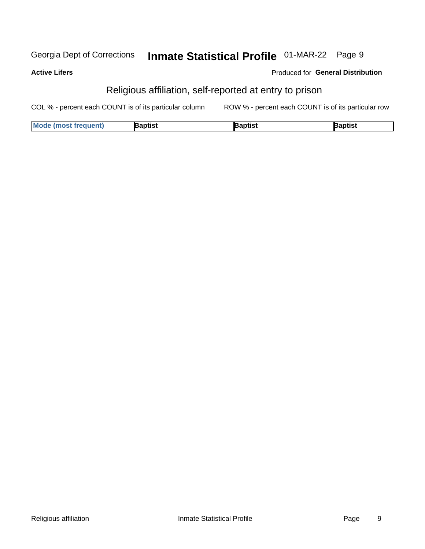#### Inmate Statistical Profile 01-MAR-22 Page 9 Georgia Dept of Corrections

#### **Active Lifers**

#### Produced for General Distribution

### Religious affiliation, self-reported at entry to prison

| <b>Mode (most frequent)</b> | Baptist | aptist | Baptist |
|-----------------------------|---------|--------|---------|
|-----------------------------|---------|--------|---------|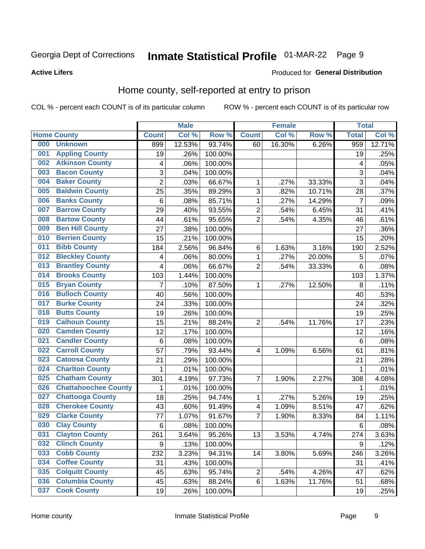#### **Active Lifers**

#### Produced for General Distribution

### Home county, self-reported at entry to prison

COL % - percent each COUNT is of its particular column

|     |                             |                | <b>Male</b> |         |                         | <b>Female</b> |        | <b>Total</b>    |        |
|-----|-----------------------------|----------------|-------------|---------|-------------------------|---------------|--------|-----------------|--------|
|     | <b>Home County</b>          | <b>Count</b>   | Col %       | Row %   | <b>Count</b>            | Col %         | Row %  | <b>Total</b>    | Col %  |
| 000 | <b>Unknown</b>              | 899            | 12.53%      | 93.74%  | 60                      | 16.30%        | 6.26%  | 959             | 12.71% |
| 001 | <b>Appling County</b>       | 19             | .26%        | 100.00% |                         |               |        | 19              | .25%   |
| 002 | <b>Atkinson County</b>      | 4              | .06%        | 100.00% |                         |               |        | 4               | .05%   |
| 003 | <b>Bacon County</b>         | 3              | .04%        | 100.00% |                         |               |        | 3               | .04%   |
| 004 | <b>Baker County</b>         | $\overline{2}$ | .03%        | 66.67%  | 1                       | .27%          | 33.33% | 3               | .04%   |
| 005 | <b>Baldwin County</b>       | 25             | .35%        | 89.29%  | 3                       | .82%          | 10.71% | 28              | .37%   |
| 006 | <b>Banks County</b>         | 6              | .08%        | 85.71%  | $\mathbf 1$             | .27%          | 14.29% | $\overline{7}$  | .09%   |
| 007 | <b>Barrow County</b>        | 29             | .40%        | 93.55%  | $\overline{2}$          | .54%          | 6.45%  | 31              | .41%   |
| 008 | <b>Bartow County</b>        | 44             | .61%        | 95.65%  | $\overline{2}$          | .54%          | 4.35%  | 46              | .61%   |
| 009 | <b>Ben Hill County</b>      | 27             | .38%        | 100.00% |                         |               |        | 27              | .36%   |
| 010 | <b>Berrien County</b>       | 15             | .21%        | 100.00% |                         |               |        | 15              | .20%   |
| 011 | <b>Bibb County</b>          | 184            | 2.56%       | 96.84%  | $\,6$                   | 1.63%         | 3.16%  | 190             | 2.52%  |
| 012 | <b>Bleckley County</b>      | 4              | .06%        | 80.00%  | 1                       | .27%          | 20.00% | 5               | .07%   |
| 013 | <b>Brantley County</b>      | 4              | .06%        | 66.67%  | $\overline{2}$          | .54%          | 33.33% | 6               | .08%   |
| 014 | <b>Brooks County</b>        | 103            | 1.44%       | 100.00% |                         |               |        | 103             | 1.37%  |
| 015 | <b>Bryan County</b>         | 7              | .10%        | 87.50%  | 1                       | .27%          | 12.50% | 8               | .11%   |
| 016 | <b>Bulloch County</b>       | 40             | .56%        | 100.00% |                         |               |        | 40              | .53%   |
| 017 | <b>Burke County</b>         | 24             | .33%        | 100.00% |                         |               |        | 24              | .32%   |
| 018 | <b>Butts County</b>         | 19             | .26%        | 100.00% |                         |               |        | 19              | .25%   |
| 019 | <b>Calhoun County</b>       | 15             | .21%        | 88.24%  | $\overline{2}$          | .54%          | 11.76% | 17              | .23%   |
| 020 | <b>Camden County</b>        | 12             | .17%        | 100.00% |                         |               |        | 12              | .16%   |
| 021 | <b>Candler County</b>       | $\,6$          | .08%        | 100.00% |                         |               |        | $6\phantom{1}6$ | .08%   |
| 022 | <b>Carroll County</b>       | 57             | .79%        | 93.44%  | $\overline{4}$          | 1.09%         | 6.56%  | 61              | .81%   |
| 023 | <b>Catoosa County</b>       | 21             | .29%        | 100.00% |                         |               |        | 21              | .28%   |
| 024 | <b>Charlton County</b>      | 1              | .01%        | 100.00% |                         |               |        | 1               | .01%   |
| 025 | <b>Chatham County</b>       | 301            | 4.19%       | 97.73%  | 7                       | 1.90%         | 2.27%  | 308             | 4.08%  |
| 026 | <b>Chattahoochee County</b> | 1              | .01%        | 100.00% |                         |               |        | 1               | .01%   |
| 027 | <b>Chattooga County</b>     | 18             | .25%        | 94.74%  | 1                       | .27%          | 5.26%  | 19              | .25%   |
| 028 | <b>Cherokee County</b>      | 43             | .60%        | 91.49%  | $\overline{\mathbf{4}}$ | 1.09%         | 8.51%  | 47              | .62%   |
| 029 | <b>Clarke County</b>        | 77             | 1.07%       | 91.67%  | 7                       | 1.90%         | 8.33%  | 84              | 1.11%  |
| 030 | <b>Clay County</b>          | $\,6$          | .08%        | 100.00% |                         |               |        | 6               | .08%   |
| 031 | <b>Clayton County</b>       | 261            | 3.64%       | 95.26%  | 13                      | 3.53%         | 4.74%  | 274             | 3.63%  |
| 032 | <b>Clinch County</b>        | 9              | .13%        | 100.00% |                         |               |        | 9               | .12%   |
| 033 | <b>Cobb County</b>          | 232            | 3.23%       | 94.31%  | 14                      | 3.80%         | 5.69%  | 246             | 3.26%  |
| 034 | <b>Coffee County</b>        | 31             | .43%        | 100.00% |                         |               |        | 31              | .41%   |
| 035 | <b>Colquitt County</b>      | 45             | .63%        | 95.74%  | $\overline{2}$          | .54%          | 4.26%  | 47              | .62%   |
| 036 | <b>Columbia County</b>      | 45             | .63%        | 88.24%  | $\,6$                   | 1.63%         | 11.76% | 51              | .68%   |
| 037 | <b>Cook County</b>          | 19             | .26%        | 100.00% |                         |               |        | 19              | .25%   |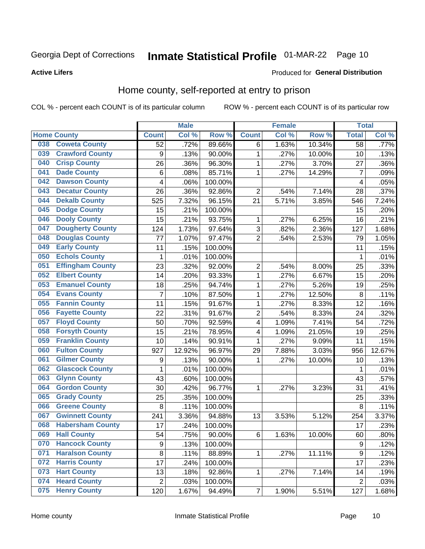#### **Active Lifers**

#### Produced for General Distribution

### Home county, self-reported at entry to prison

COL % - percent each COUNT is of its particular column

|     |                         |                  | <b>Male</b> |         |                | <b>Female</b> |        | <b>Total</b>   |        |
|-----|-------------------------|------------------|-------------|---------|----------------|---------------|--------|----------------|--------|
|     | <b>Home County</b>      | <b>Count</b>     | Col %       | Row %   | <b>Count</b>   | Col %         | Row %  | <b>Total</b>   | Col %  |
| 038 | <b>Coweta County</b>    | 52               | .72%        | 89.66%  | 6              | 1.63%         | 10.34% | 58             | .77%   |
| 039 | <b>Crawford County</b>  | 9                | .13%        | 90.00%  | $\mathbf{1}$   | .27%          | 10.00% | 10             | .13%   |
| 040 | <b>Crisp County</b>     | 26               | .36%        | 96.30%  | $\mathbf{1}$   | .27%          | 3.70%  | 27             | .36%   |
| 041 | <b>Dade County</b>      | 6                | .08%        | 85.71%  | $\mathbf{1}$   | .27%          | 14.29% | $\overline{7}$ | .09%   |
| 042 | <b>Dawson County</b>    | 4                | .06%        | 100.00% |                |               |        | 4              | .05%   |
| 043 | <b>Decatur County</b>   | 26               | .36%        | 92.86%  | $\overline{2}$ | .54%          | 7.14%  | 28             | .37%   |
| 044 | <b>Dekalb County</b>    | 525              | 7.32%       | 96.15%  | 21             | 5.71%         | 3.85%  | 546            | 7.24%  |
| 045 | <b>Dodge County</b>     | 15               | .21%        | 100.00% |                |               |        | 15             | .20%   |
| 046 | <b>Dooly County</b>     | 15               | .21%        | 93.75%  | 1              | .27%          | 6.25%  | 16             | .21%   |
| 047 | <b>Dougherty County</b> | 124              | 1.73%       | 97.64%  | 3              | .82%          | 2.36%  | 127            | 1.68%  |
| 048 | <b>Douglas County</b>   | 77               | 1.07%       | 97.47%  | $\overline{2}$ | .54%          | 2.53%  | 79             | 1.05%  |
| 049 | <b>Early County</b>     | 11               | .15%        | 100.00% |                |               |        | 11             | .15%   |
| 050 | <b>Echols County</b>    | 1                | .01%        | 100.00% |                |               |        | 1              | .01%   |
| 051 | <b>Effingham County</b> | 23               | .32%        | 92.00%  | $\overline{c}$ | .54%          | 8.00%  | 25             | .33%   |
| 052 | <b>Elbert County</b>    | 14               | .20%        | 93.33%  | $\mathbf{1}$   | .27%          | 6.67%  | 15             | .20%   |
| 053 | <b>Emanuel County</b>   | 18               | .25%        | 94.74%  | $\mathbf{1}$   | .27%          | 5.26%  | 19             | .25%   |
| 054 | <b>Evans County</b>     | $\overline{7}$   | .10%        | 87.50%  | $\mathbf{1}$   | .27%          | 12.50% | 8              | .11%   |
| 055 | <b>Fannin County</b>    | 11               | .15%        | 91.67%  | $\mathbf{1}$   | .27%          | 8.33%  | 12             | .16%   |
| 056 | <b>Fayette County</b>   | 22               | .31%        | 91.67%  | $\overline{2}$ | .54%          | 8.33%  | 24             | .32%   |
| 057 | <b>Floyd County</b>     | 50               | .70%        | 92.59%  | 4              | 1.09%         | 7.41%  | 54             | .72%   |
| 058 | <b>Forsyth County</b>   | 15               | .21%        | 78.95%  | 4              | 1.09%         | 21.05% | 19             | .25%   |
| 059 | <b>Franklin County</b>  | 10               | .14%        | 90.91%  | $\mathbf{1}$   | .27%          | 9.09%  | 11             | .15%   |
| 060 | <b>Fulton County</b>    | 927              | 12.92%      | 96.97%  | 29             | 7.88%         | 3.03%  | 956            | 12.67% |
| 061 | <b>Gilmer County</b>    | $\boldsymbol{9}$ | .13%        | 90.00%  | $\mathbf{1}$   | .27%          | 10.00% | 10             | .13%   |
| 062 | <b>Glascock County</b>  | 1                | .01%        | 100.00% |                |               |        | 1              | .01%   |
| 063 | <b>Glynn County</b>     | 43               | .60%        | 100.00% |                |               |        | 43             | .57%   |
| 064 | <b>Gordon County</b>    | 30               | .42%        | 96.77%  | 1              | .27%          | 3.23%  | 31             | .41%   |
| 065 | <b>Grady County</b>     | 25               | .35%        | 100.00% |                |               |        | 25             | .33%   |
| 066 | <b>Greene County</b>    | 8                | .11%        | 100.00% |                |               |        | 8              | .11%   |
| 067 | <b>Gwinnett County</b>  | 241              | 3.36%       | 94.88%  | 13             | 3.53%         | 5.12%  | 254            | 3.37%  |
| 068 | <b>Habersham County</b> | 17               | .24%        | 100.00% |                |               |        | 17             | .23%   |
| 069 | <b>Hall County</b>      | 54               | .75%        | 90.00%  | 6              | 1.63%         | 10.00% | 60             | .80%   |
| 070 | <b>Hancock County</b>   | 9                | .13%        | 100.00% |                |               |        | 9              | .12%   |
| 071 | <b>Haralson County</b>  | 8                | .11%        | 88.89%  | 1              | .27%          | 11.11% | 9              | .12%   |
| 072 | <b>Harris County</b>    | 17               | .24%        | 100.00% |                |               |        | 17             | .23%   |
| 073 | <b>Hart County</b>      | 13               | .18%        | 92.86%  | 1              | .27%          | 7.14%  | 14             | .19%   |
| 074 | <b>Heard County</b>     | $\overline{2}$   | .03%        | 100.00% |                |               |        | $\overline{2}$ | .03%   |
| 075 | <b>Henry County</b>     | 120              | 1.67%       | 94.49%  | $\overline{7}$ | 1.90%         | 5.51%  | 127            | 1.68%  |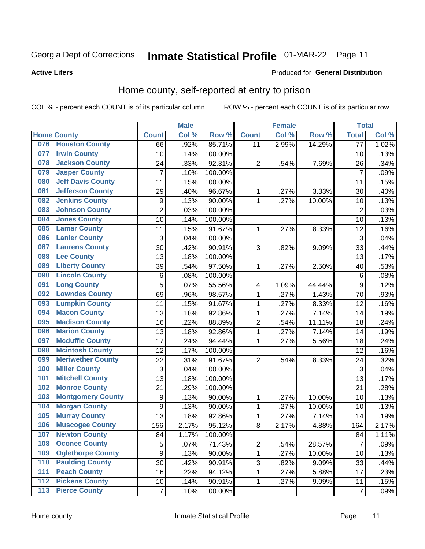#### **Active Lifers**

#### Produced for General Distribution

### Home county, self-reported at entry to prison

COL % - percent each COUNT is of its particular column

|     |                          |                           | <b>Male</b> |         |                | <b>Female</b> |        | <b>Total</b>    |       |
|-----|--------------------------|---------------------------|-------------|---------|----------------|---------------|--------|-----------------|-------|
|     | <b>Home County</b>       | <b>Count</b>              | Col %       | Row %   | <b>Count</b>   | Col %         | Row %  | <b>Total</b>    | Col % |
| 076 | <b>Houston County</b>    | 66                        | .92%        | 85.71%  | 11             | 2.99%         | 14.29% | $\overline{77}$ | 1.02% |
| 077 | <b>Irwin County</b>      | 10                        | .14%        | 100.00% |                |               |        | 10              | .13%  |
| 078 | <b>Jackson County</b>    | 24                        | .33%        | 92.31%  | $\overline{2}$ | .54%          | 7.69%  | 26              | .34%  |
| 079 | <b>Jasper County</b>     | $\overline{7}$            | .10%        | 100.00% |                |               |        | $\overline{7}$  | .09%  |
| 080 | <b>Jeff Davis County</b> | 11                        | .15%        | 100.00% |                |               |        | 11              | .15%  |
| 081 | <b>Jefferson County</b>  | 29                        | .40%        | 96.67%  | $\mathbf{1}$   | .27%          | 3.33%  | 30              | .40%  |
| 082 | <b>Jenkins County</b>    | $\boldsymbol{9}$          | .13%        | 90.00%  | $\mathbf{1}$   | .27%          | 10.00% | 10              | .13%  |
| 083 | <b>Johnson County</b>    | $\overline{2}$            | .03%        | 100.00% |                |               |        | $\overline{2}$  | .03%  |
| 084 | <b>Jones County</b>      | 10                        | .14%        | 100.00% |                |               |        | 10              | .13%  |
| 085 | <b>Lamar County</b>      | 11                        | .15%        | 91.67%  | $\mathbf{1}$   | .27%          | 8.33%  | 12              | .16%  |
| 086 | <b>Lanier County</b>     | 3                         | .04%        | 100.00% |                |               |        | 3               | .04%  |
| 087 | <b>Laurens County</b>    | 30                        | .42%        | 90.91%  | 3              | .82%          | 9.09%  | 33              | .44%  |
| 088 | <b>Lee County</b>        | 13                        | .18%        | 100.00% |                |               |        | 13              | .17%  |
| 089 | <b>Liberty County</b>    | 39                        | .54%        | 97.50%  | $\mathbf{1}$   | .27%          | 2.50%  | 40              | .53%  |
| 090 | <b>Lincoln County</b>    | 6                         | .08%        | 100.00% |                |               |        | 6               | .08%  |
| 091 | <b>Long County</b>       | 5                         | .07%        | 55.56%  | 4              | 1.09%         | 44.44% | 9               | .12%  |
| 092 | <b>Lowndes County</b>    | 69                        | .96%        | 98.57%  | 1              | .27%          | 1.43%  | 70              | .93%  |
| 093 | <b>Lumpkin County</b>    | 11                        | .15%        | 91.67%  | $\mathbf{1}$   | .27%          | 8.33%  | 12              | .16%  |
| 094 | <b>Macon County</b>      | 13                        | .18%        | 92.86%  | $\mathbf 1$    | .27%          | 7.14%  | 14              | .19%  |
| 095 | <b>Madison County</b>    | 16                        | .22%        | 88.89%  | $\overline{2}$ | .54%          | 11.11% | 18              | .24%  |
| 096 | <b>Marion County</b>     | 13                        | .18%        | 92.86%  | $\mathbf{1}$   | .27%          | 7.14%  | 14              | .19%  |
| 097 | <b>Mcduffie County</b>   | 17                        | .24%        | 94.44%  | $\mathbf{1}$   | .27%          | 5.56%  | 18              | .24%  |
| 098 | <b>Mcintosh County</b>   | 12                        | .17%        | 100.00% |                |               |        | 12              | .16%  |
| 099 | <b>Meriwether County</b> | 22                        | .31%        | 91.67%  | $\overline{2}$ | .54%          | 8.33%  | 24              | .32%  |
| 100 | <b>Miller County</b>     | $\ensuremath{\mathsf{3}}$ | .04%        | 100.00% |                |               |        | 3               | .04%  |
| 101 | <b>Mitchell County</b>   | 13                        | .18%        | 100.00% |                |               |        | 13              | .17%  |
| 102 | <b>Monroe County</b>     | 21                        | .29%        | 100.00% |                |               |        | 21              | .28%  |
| 103 | <b>Montgomery County</b> | $\boldsymbol{9}$          | .13%        | 90.00%  | 1              | .27%          | 10.00% | 10              | .13%  |
| 104 | <b>Morgan County</b>     | $\boldsymbol{9}$          | .13%        | 90.00%  | $\mathbf{1}$   | .27%          | 10.00% | 10              | .13%  |
| 105 | <b>Murray County</b>     | 13                        | .18%        | 92.86%  | $\mathbf 1$    | .27%          | 7.14%  | 14              | .19%  |
| 106 | <b>Muscogee County</b>   | 156                       | 2.17%       | 95.12%  | 8              | 2.17%         | 4.88%  | 164             | 2.17% |
| 107 | <b>Newton County</b>     | 84                        | 1.17%       | 100.00% |                |               |        | 84              | 1.11% |
| 108 | <b>Oconee County</b>     | 5                         | .07%        | 71.43%  | $\overline{c}$ | .54%          | 28.57% | $\overline{7}$  | .09%  |
| 109 | <b>Oglethorpe County</b> | 9                         | .13%        | 90.00%  | $\mathbf 1$    | .27%          | 10.00% | 10              | .13%  |
| 110 | <b>Paulding County</b>   | 30                        | .42%        | 90.91%  | $\overline{3}$ | .82%          | 9.09%  | 33              | .44%  |
| 111 | <b>Peach County</b>      | 16                        | .22%        | 94.12%  | 1              | .27%          | 5.88%  | 17              | .23%  |
| 112 | <b>Pickens County</b>    | 10                        | .14%        | 90.91%  | 1              | .27%          | 9.09%  | 11              | .15%  |
| 113 | <b>Pierce County</b>     | $\overline{7}$            | .10%        | 100.00% |                |               |        | $\overline{7}$  | .09%  |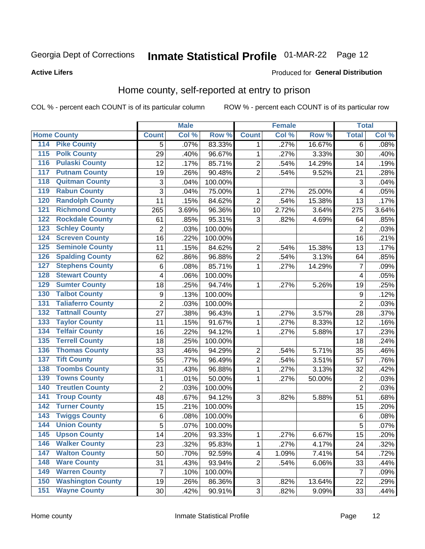#### **Active Lifers**

#### Produced for General Distribution

### Home county, self-reported at entry to prison

COL % - percent each COUNT is of its particular column

|                    |                          |                | <b>Male</b> |         |                           | <b>Female</b> |        | <b>Total</b>   |       |
|--------------------|--------------------------|----------------|-------------|---------|---------------------------|---------------|--------|----------------|-------|
| <b>Home County</b> |                          | <b>Count</b>   | Col %       | Row %   | <b>Count</b>              | Col %         | Row %  | <b>Total</b>   | Col % |
| 114                | <b>Pike County</b>       | 5              | .07%        | 83.33%  | 1                         | .27%          | 16.67% | 6              | .08%  |
| 115                | <b>Polk County</b>       | 29             | .40%        | 96.67%  | $\mathbf{1}$              | .27%          | 3.33%  | 30             | .40%  |
| 116                | <b>Pulaski County</b>    | 12             | .17%        | 85.71%  | $\overline{2}$            | .54%          | 14.29% | 14             | .19%  |
| 117                | <b>Putnam County</b>     | 19             | .26%        | 90.48%  | $\overline{2}$            | .54%          | 9.52%  | 21             | .28%  |
| 118                | <b>Quitman County</b>    | 3              | .04%        | 100.00% |                           |               |        | 3              | .04%  |
| 119                | <b>Rabun County</b>      | 3              | .04%        | 75.00%  | 1                         | .27%          | 25.00% | 4              | .05%  |
| 120                | <b>Randolph County</b>   | 11             | .15%        | 84.62%  | $\overline{2}$            | .54%          | 15.38% | 13             | .17%  |
| 121                | <b>Richmond County</b>   | 265            | 3.69%       | 96.36%  | 10                        | 2.72%         | 3.64%  | 275            | 3.64% |
| 122                | <b>Rockdale County</b>   | 61             | .85%        | 95.31%  | 3                         | .82%          | 4.69%  | 64             | .85%  |
| 123                | <b>Schley County</b>     | 2              | .03%        | 100.00% |                           |               |        | $\overline{2}$ | .03%  |
| 124                | <b>Screven County</b>    | 16             | .22%        | 100.00% |                           |               |        | 16             | .21%  |
| 125                | <b>Seminole County</b>   | 11             | .15%        | 84.62%  | $\overline{2}$            | .54%          | 15.38% | 13             | .17%  |
| 126                | <b>Spalding County</b>   | 62             | .86%        | 96.88%  | $\overline{2}$            | .54%          | 3.13%  | 64             | .85%  |
| 127                | <b>Stephens County</b>   | $\,6$          | .08%        | 85.71%  | $\mathbf 1$               | .27%          | 14.29% | $\overline{7}$ | .09%  |
| 128                | <b>Stewart County</b>    | 4              | .06%        | 100.00% |                           |               |        | 4              | .05%  |
| 129                | <b>Sumter County</b>     | 18             | .25%        | 94.74%  | 1                         | .27%          | 5.26%  | 19             | .25%  |
| 130                | <b>Talbot County</b>     | 9              | .13%        | 100.00% |                           |               |        | 9              | .12%  |
| 131                | <b>Taliaferro County</b> | $\overline{2}$ | .03%        | 100.00% |                           |               |        | $\overline{2}$ | .03%  |
| 132                | <b>Tattnall County</b>   | 27             | .38%        | 96.43%  | 1                         | .27%          | 3.57%  | 28             | .37%  |
| 133                | <b>Taylor County</b>     | 11             | .15%        | 91.67%  | $\mathbf{1}$              | .27%          | 8.33%  | 12             | .16%  |
| 134                | <b>Telfair County</b>    | 16             | .22%        | 94.12%  | $\mathbf 1$               | .27%          | 5.88%  | 17             | .23%  |
| 135                | <b>Terrell County</b>    | 18             | .25%        | 100.00% |                           |               |        | 18             | .24%  |
| 136                | <b>Thomas County</b>     | 33             | .46%        | 94.29%  | 2                         | .54%          | 5.71%  | 35             | .46%  |
| 137                | <b>Tift County</b>       | 55             | .77%        | 96.49%  | $\overline{2}$            | .54%          | 3.51%  | 57             | .76%  |
| 138                | <b>Toombs County</b>     | 31             | .43%        | 96.88%  | $\mathbf 1$               | .27%          | 3.13%  | 32             | .42%  |
| 139                | <b>Towns County</b>      | 1              | .01%        | 50.00%  | $\mathbf{1}$              | .27%          | 50.00% | $\overline{2}$ | .03%  |
| 140                | <b>Treutlen County</b>   | $\overline{2}$ | .03%        | 100.00% |                           |               |        | $\overline{2}$ | .03%  |
| 141                | <b>Troup County</b>      | 48             | .67%        | 94.12%  | 3                         | .82%          | 5.88%  | 51             | .68%  |
| 142                | <b>Turner County</b>     | 15             | .21%        | 100.00% |                           |               |        | 15             | .20%  |
| 143                | <b>Twiggs County</b>     | $\,6\,$        | .08%        | 100.00% |                           |               |        | 6              | .08%  |
| 144                | <b>Union County</b>      | 5              | .07%        | 100.00% |                           |               |        | $\overline{5}$ | .07%  |
| 145                | <b>Upson County</b>      | 14             | .20%        | 93.33%  | 1                         | .27%          | 6.67%  | 15             | .20%  |
| 146                | <b>Walker County</b>     | 23             | .32%        | 95.83%  | $\mathbf 1$               | .27%          | 4.17%  | 24             | .32%  |
| 147                | <b>Walton County</b>     | 50             | .70%        | 92.59%  | $\overline{\mathbf{4}}$   | 1.09%         | 7.41%  | 54             | .72%  |
| 148                | <b>Ware County</b>       | 31             | .43%        | 93.94%  | $\overline{2}$            | .54%          | 6.06%  | 33             | .44%  |
| 149                | <b>Warren County</b>     | $\overline{7}$ | .10%        | 100.00% |                           |               |        | $\overline{7}$ | .09%  |
| 150                | <b>Washington County</b> | 19             | .26%        | 86.36%  | $\ensuremath{\mathsf{3}}$ | .82%          | 13.64% | 22             | .29%  |
| 151                | <b>Wayne County</b>      | 30             | .42%        | 90.91%  | $\overline{3}$            | .82%          | 9.09%  | 33             | .44%  |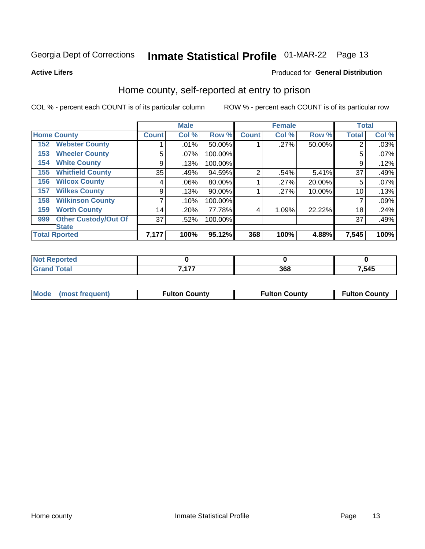## Inmate Statistical Profile 01-MAR-22 Page 13

**Active Lifers** 

#### Produced for General Distribution

### Home county, self-reported at entry to prison

COL % - percent each COUNT is of its particular column

|     |                             |              | <b>Male</b> |         |                | <b>Female</b> |        | <b>Total</b> |       |
|-----|-----------------------------|--------------|-------------|---------|----------------|---------------|--------|--------------|-------|
|     | <b>Home County</b>          | <b>Count</b> | Col %       | Row %   | <b>Count</b>   | Col %         | Row %  | <b>Total</b> | Col % |
| 152 | <b>Webster County</b>       |              | .01%        | 50.00%  |                | .27%          | 50.00% | 2            | .03%  |
| 153 | <b>Wheeler County</b>       | 5            | .07%        | 100.00% |                |               |        | 5            | .07%  |
| 154 | <b>White County</b>         | 9            | .13%        | 100.00% |                |               |        | 9            | .12%  |
| 155 | <b>Whitfield County</b>     | 35           | .49%        | 94.59%  | $\overline{2}$ | .54%          | 5.41%  | 37           | .49%  |
| 156 | <b>Wilcox County</b>        | 4            | .06%        | 80.00%  |                | .27%          | 20.00% | 5            | .07%  |
| 157 | <b>Wilkes County</b>        | 9            | .13%        | 90.00%  |                | .27%          | 10.00% | 10           | .13%  |
| 158 | <b>Wilkinson County</b>     | 7            | .10%        | 100.00% |                |               |        |              | .09%  |
| 159 | <b>Worth County</b>         | 14           | .20%        | 77.78%  | 4              | 1.09%         | 22.22% | 18           | .24%  |
| 999 | <b>Other Custody/Out Of</b> | 37           | .52%        | 100.00% |                |               |        | 37           | .49%  |
|     | <b>State</b>                |              |             |         |                |               |        |              |       |
|     | <b>Total Rported</b>        | 7,177        | 100%        | 95.12%  | 368            | 100%          | 4.88%  | 7,545        | 100%  |

| <b>rted</b> |       |     |       |
|-------------|-------|-----|-------|
| <b>otal</b> | 7.177 | 368 | 7,545 |

|  | Mode (most frequent) | <b>Fulton County</b> | <b>Fulton County</b> | <b>Fulton County</b> |
|--|----------------------|----------------------|----------------------|----------------------|
|--|----------------------|----------------------|----------------------|----------------------|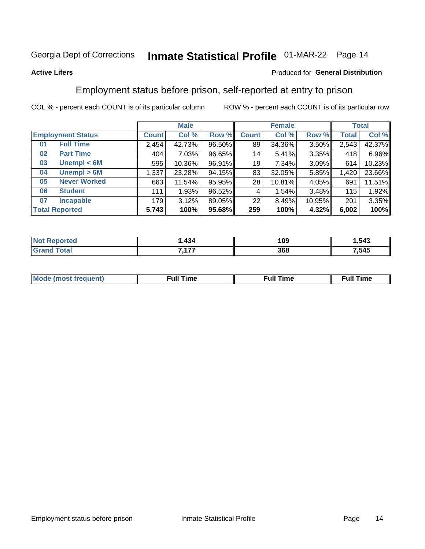## Inmate Statistical Profile 01-MAR-22 Page 14

#### **Active Lifers**

#### Produced for General Distribution

### Employment status before prison, self-reported at entry to prison

COL % - percent each COUNT is of its particular column

|                          |                     |              | <b>Male</b> |        |              | <b>Female</b> |        |              | <b>Total</b> |
|--------------------------|---------------------|--------------|-------------|--------|--------------|---------------|--------|--------------|--------------|
| <b>Employment Status</b> |                     | <b>Count</b> | Col %       | Row %  | <b>Count</b> | Col %         | Row %  | <b>Total</b> | Col %        |
| <b>Full Time</b><br>01   |                     | 2,454        | 42.73%      | 96.50% | 89           | 34.36%        | 3.50%  | 2,543        | 42.37%       |
| 02                       | <b>Part Time</b>    | 404          | $7.03\%$    | 96.65% | 14           | 5.41%         | 3.35%  | 418          | 6.96%        |
| 03                       | Unempl $<$ 6M       | 595          | $10.36\%$   | 96.91% | 19           | 7.34%         | 3.09%  | 614          | 10.23%       |
| 04                       | Unempl > 6M         | 1,337        | 23.28%      | 94.15% | 83           | 32.05%        | 5.85%  | 1,420        | 23.66%       |
| 05                       | <b>Never Worked</b> | 663          | 11.54%      | 95.95% | 28           | 10.81%        | 4.05%  | 691          | 11.51%       |
| <b>Student</b><br>06     |                     | 111          | 1.93%       | 96.52% | 4            | 1.54%         | 3.48%  | 115          | 1.92%        |
| 07                       | <b>Incapable</b>    | 179          | 3.12%       | 89.05% | 22           | 8.49%         | 10.95% | 201          | 3.35%        |
| <b>Total Reported</b>    |                     | 5,743        | 100%        | 95.68% | 259          | 100%          | 4.32%  | 6,002        | 100%         |

| 434            | 1 N N<br>ט ו | .543 |
|----------------|--------------|------|
| - - - -<br>--- | 368          | .545 |

| Mc | ∙u∥<br>----<br>ıme | ίuΙ<br>Πmε |
|----|--------------------|------------|
|    |                    |            |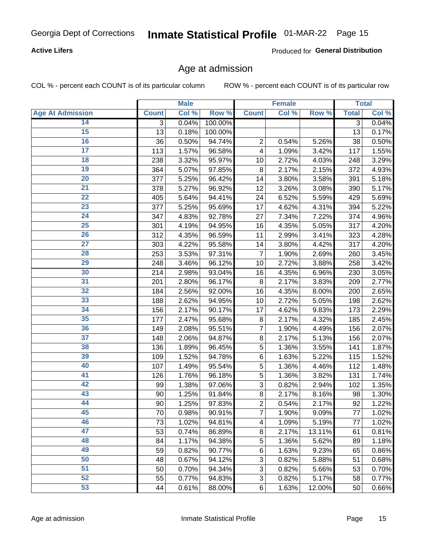#### **Active Lifers**

Produced for General Distribution

### Age at admission

COL % - percent each COUNT is of its particular column

|                         |              | <b>Male</b> |           |                | <b>Female</b> |        |                | <b>Total</b> |
|-------------------------|--------------|-------------|-----------|----------------|---------------|--------|----------------|--------------|
| <b>Age At Admission</b> | <b>Count</b> | Col %       | Row %     | <b>Count</b>   | Col %         | Row %  | <b>Total</b>   | Col %        |
| 14                      | 3            | 0.04%       | 100.00%   |                |               |        | $\overline{3}$ | 0.04%        |
| $\overline{15}$         | 13           | 0.18%       | 100.00%   |                |               |        | 13             | 0.17%        |
| 16                      | 36           | 0.50%       | 94.74%    | $\overline{2}$ | 0.54%         | 5.26%  | 38             | 0.50%        |
| $\overline{17}$         | 113          | 1.57%       | 96.58%    | 4              | 1.09%         | 3.42%  | 117            | 1.55%        |
| $\overline{18}$         | 238          | 3.32%       | 95.97%    | 10             | 2.72%         | 4.03%  | 248            | 3.29%        |
| 19                      | 364          | 5.07%       | 97.85%    | 8              | 2.17%         | 2.15%  | 372            | 4.93%        |
| 20                      | 377          | 5.25%       | 96.42%    | 14             | 3.80%         | 3.58%  | 391            | 5.18%        |
| $\overline{21}$         | 378          | 5.27%       | 96.92%    | 12             | 3.26%         | 3.08%  | 390            | 5.17%        |
| $\overline{22}$         | 405          | 5.64%       | 94.41%    | 24             | 6.52%         | 5.59%  | 429            | 5.69%        |
| 23                      | 377          | 5.25%       | 95.69%    | 17             | 4.62%         | 4.31%  | 394            | 5.22%        |
| $\overline{24}$         | 347          | 4.83%       | 92.78%    | 27             | 7.34%         | 7.22%  | 374            | 4.96%        |
| $\overline{25}$         | 301          | 4.19%       | 94.95%    | 16             | 4.35%         | 5.05%  | 317            | 4.20%        |
| $\overline{26}$         | 312          | 4.35%       | 96.59%    | 11             | 2.99%         | 3.41%  | 323            | 4.28%        |
| $\overline{27}$         | 303          | 4.22%       | 95.58%    | 14             | 3.80%         | 4.42%  | 317            | 4.20%        |
| 28                      | 253          | 3.53%       | 97.31%    | $\overline{7}$ | 1.90%         | 2.69%  | 260            | 3.45%        |
| 29                      | 248          | 3.46%       | 96.12%    | 10             | 2.72%         | 3.88%  | 258            | 3.42%        |
| 30                      | 214          | 2.98%       | 93.04%    | 16             | 4.35%         | 6.96%  | 230            | 3.05%        |
| $\overline{31}$         | 201          | 2.80%       | 96.17%    | 8              | 2.17%         | 3.83%  | 209            | 2.77%        |
| 32                      | 184          | 2.56%       | 92.00%    | 16             | 4.35%         | 8.00%  | 200            | 2.65%        |
| 33                      | 188          | 2.62%       | 94.95%    | 10             | 2.72%         | 5.05%  | 198            | 2.62%        |
| 34                      | 156          | 2.17%       | 90.17%    | 17             | 4.62%         | 9.83%  | 173            | 2.29%        |
| $\overline{35}$         | 177          | 2.47%       | 95.68%    | 8              | 2.17%         | 4.32%  | 185            | 2.45%        |
| 36                      | 149          | 2.08%       | 95.51%    | 7              | 1.90%         | 4.49%  | 156            | 2.07%        |
| $\overline{37}$         | 148          | 2.06%       | 94.87%    | 8              | 2.17%         | 5.13%  | 156            | 2.07%        |
| 38                      | 136          | 1.89%       | 96.45%    | 5              | 1.36%         | 3.55%  | 141            | 1.87%        |
| 39                      | 109          | 1.52%       | 94.78%    | $\,6$          | 1.63%         | 5.22%  | 115            | 1.52%        |
| 40                      | 107          | 1.49%       | 95.54%    | 5              | 1.36%         | 4.46%  | 112            | 1.48%        |
| 41                      | 126          | 1.76%       | 96.18%    | 5              | 1.36%         | 3.82%  | 131            | 1.74%        |
| 42                      | 99           | 1.38%       | 97.06%    | 3              | 0.82%         | 2.94%  | 102            | 1.35%        |
| 43                      | 90           | 1.25%       | 91.84%    | 8              | 2.17%         | 8.16%  | 98             | 1.30%        |
| 44                      | 90           | 1.25%       | 97.83%    | $\overline{2}$ | 0.54%         | 2.17%  | 92             | 1.22%        |
| 45                      | 70           | 0.98%       | $90.91\%$ | 7              | 1.90%         | 9.09%  | 77             | 1.02%        |
| 46                      | 73           | 1.02%       | 94.81%    | 4              | 1.09%         | 5.19%  | 77             | 1.02%        |
| 47                      | 53           | 0.74%       | 86.89%    | 8              | 2.17%         | 13.11% | 61             | 0.81%        |
| 48                      | 84           | 1.17%       | 94.38%    | 5              | 1.36%         | 5.62%  | 89             | 1.18%        |
| 49                      | 59           | 0.82%       | 90.77%    | 6              | 1.63%         | 9.23%  | 65             | 0.86%        |
| 50                      | 48           | 0.67%       | 94.12%    | 3              | 0.82%         | 5.88%  | 51             | 0.68%        |
| 51                      | 50           | 0.70%       | 94.34%    | 3              | 0.82%         | 5.66%  | 53             | 0.70%        |
| 52                      | 55           | 0.77%       | 94.83%    | 3              | 0.82%         | 5.17%  | 58             | 0.77%        |
| 53                      | 44           | 0.61%       | 88.00%    | 6              | 1.63%         | 12.00% | 50             | 0.66%        |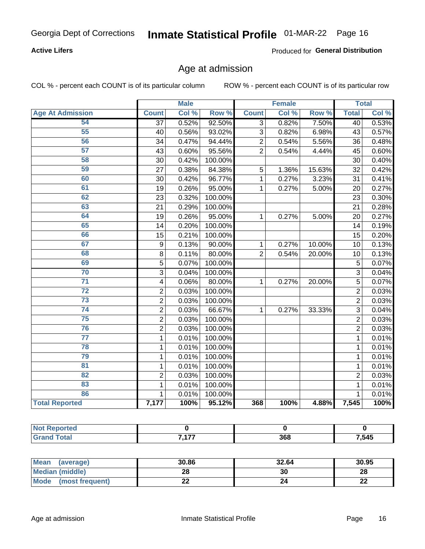#### **Active Lifers**

Produced for General Distribution

### Age at admission

COL % - percent each COUNT is of its particular column

|                         |                         | <b>Male</b> |         |                | <b>Female</b> |        |                 | <b>Total</b> |
|-------------------------|-------------------------|-------------|---------|----------------|---------------|--------|-----------------|--------------|
| <b>Age At Admission</b> | <b>Count</b>            | Col %       | Row %   | <b>Count</b>   | Col %         | Row %  | <b>Total</b>    | Col %        |
| 54                      | $\overline{37}$         | 0.52%       | 92.50%  | $\overline{3}$ | 0.82%         | 7.50%  | 40              | 0.53%        |
| 55                      | 40                      | 0.56%       | 93.02%  | 3              | 0.82%         | 6.98%  | 43              | 0.57%        |
| 56                      | 34                      | 0.47%       | 94.44%  | $\overline{2}$ | 0.54%         | 5.56%  | 36              | 0.48%        |
| 57                      | 43                      | 0.60%       | 95.56%  | $\overline{2}$ | 0.54%         | 4.44%  | 45              | 0.60%        |
| 58                      | 30                      | 0.42%       | 100.00% |                |               |        | 30              | 0.40%        |
| 59                      | 27                      | 0.38%       | 84.38%  | 5              | 1.36%         | 15.63% | $\overline{32}$ | 0.42%        |
| 60                      | 30                      | 0.42%       | 96.77%  | 1              | 0.27%         | 3.23%  | 31              | 0.41%        |
| 61                      | 19                      | 0.26%       | 95.00%  | 1              | 0.27%         | 5.00%  | 20              | 0.27%        |
| 62                      | 23                      | 0.32%       | 100.00% |                |               |        | 23              | 0.30%        |
| 63                      | 21                      | 0.29%       | 100.00% |                |               |        | $\overline{21}$ | 0.28%        |
| 64                      | 19                      | 0.26%       | 95.00%  | 1              | 0.27%         | 5.00%  | 20              | 0.27%        |
| 65                      | 14                      | 0.20%       | 100.00% |                |               |        | 14              | 0.19%        |
| 66                      | 15                      | 0.21%       | 100.00% |                |               |        | 15              | 0.20%        |
| 67                      | 9                       | 0.13%       | 90.00%  | 1              | 0.27%         | 10.00% | 10              | 0.13%        |
| 68                      | 8                       | 0.11%       | 80.00%  | $\overline{2}$ | 0.54%         | 20.00% | 10              | 0.13%        |
| 69                      | $\overline{5}$          | 0.07%       | 100.00% |                |               |        | 5               | 0.07%        |
| 70                      | 3                       | 0.04%       | 100.00% |                |               |        | $\overline{3}$  | 0.04%        |
| $\overline{71}$         | $\overline{\mathbf{4}}$ | 0.06%       | 80.00%  | $\mathbf{1}$   | 0.27%         | 20.00% | $\overline{5}$  | 0.07%        |
| $\overline{72}$         | $\overline{2}$          | 0.03%       | 100.00% |                |               |        | $\overline{2}$  | 0.03%        |
| 73                      | $\overline{2}$          | 0.03%       | 100.00% |                |               |        | $\overline{2}$  | 0.03%        |
| 74                      | $\overline{2}$          | 0.03%       | 66.67%  | 1              | 0.27%         | 33.33% | $\overline{3}$  | 0.04%        |
| $\overline{75}$         | $\overline{2}$          | 0.03%       | 100.00% |                |               |        | $\overline{2}$  | 0.03%        |
| 76                      | $\overline{2}$          | 0.03%       | 100.00% |                |               |        | $\overline{2}$  | 0.03%        |
| $\overline{77}$         | 1                       | 0.01%       | 100.00% |                |               |        | $\mathbf{1}$    | 0.01%        |
| 78                      | 1                       | 0.01%       | 100.00% |                |               |        | 1               | 0.01%        |
| 79                      | $\mathbf{1}$            | 0.01%       | 100.00% |                |               |        | $\mathbf{1}$    | 0.01%        |
| 81                      | $\mathbf{1}$            | 0.01%       | 100.00% |                |               |        | 1               | 0.01%        |
| 82                      | $\overline{2}$          | 0.03%       | 100.00% |                |               |        | $\overline{2}$  | 0.03%        |
| 83                      | 1                       | 0.01%       | 100.00% |                |               |        | $\mathbf{1}$    | 0.01%        |
| 86                      | 1                       | 0.01%       | 100.00% |                |               |        | $\mathbf{1}$    | 0.01%        |
| <b>Total Reported</b>   | 7,177                   | 100%        | 95.12%  | 368            | 100%          | 4.88%  | 7,545           | 100%         |

| Reported<br>∣Not I           |            |     |      |
|------------------------------|------------|-----|------|
| <b>Total</b><br><b>Grand</b> | 7.177<br>. | 368 | ,545 |

| <b>Mean</b><br>(average)       | 30.86 | 32.64 | 30.95    |
|--------------------------------|-------|-------|----------|
| Median (middle)                | იი    | 30    | 28       |
| <b>Mode</b><br>(most frequent) | ∸∸    |       | n,<br>LL |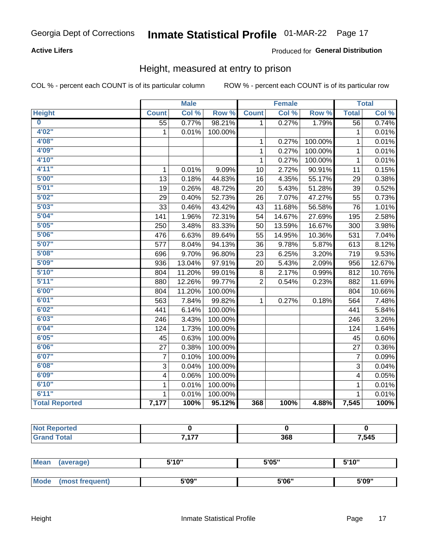#### **Active Lifers**

#### Produced for General Distribution

### Height, measured at entry to prison

COL % - percent each COUNT is of its particular column

|                         |                 | <b>Male</b> |         |                | <b>Female</b> |         |                  | <b>Total</b> |
|-------------------------|-----------------|-------------|---------|----------------|---------------|---------|------------------|--------------|
| <b>Height</b>           | <b>Count</b>    | Col %       | Row %   | <b>Count</b>   | Col %         | Row %   | <b>Total</b>     | Col %        |
| $\overline{\mathbf{0}}$ | $\overline{55}$ | 0.77%       | 98.21%  | $\overline{1}$ | 0.27%         | 1.79%   | $\overline{56}$  | 0.74%        |
| 4'02"                   | $\mathbf{1}$    | 0.01%       | 100.00% |                |               |         | 1                | 0.01%        |
| 4'08"                   |                 |             |         | 1              | 0.27%         | 100.00% | 1                | 0.01%        |
| 4'09"                   |                 |             |         | 1              | 0.27%         | 100.00% | $\mathbf{1}$     | 0.01%        |
| 4'10"                   |                 |             |         | 1              | 0.27%         | 100.00% | $\mathbf{1}$     | 0.01%        |
| 4'11''                  | $\mathbf{1}$    | 0.01%       | 9.09%   | 10             | 2.72%         | 90.91%  | 11               | 0.15%        |
| 5'00''                  | 13              | 0.18%       | 44.83%  | 16             | 4.35%         | 55.17%  | 29               | 0.38%        |
| 5'01"                   | 19              | 0.26%       | 48.72%  | 20             | 5.43%         | 51.28%  | 39               | 0.52%        |
| 5'02"                   | 29              | 0.40%       | 52.73%  | 26             | 7.07%         | 47.27%  | 55               | 0.73%        |
| 5'03''                  | 33              | 0.46%       | 43.42%  | 43             | 11.68%        | 56.58%  | 76               | 1.01%        |
| 5'04"                   | 141             | 1.96%       | 72.31%  | 54             | 14.67%        | 27.69%  | 195              | 2.58%        |
| 5'05"                   | 250             | 3.48%       | 83.33%  | 50             | 13.59%        | 16.67%  | 300              | 3.98%        |
| 5'06"                   | 476             | 6.63%       | 89.64%  | 55             | 14.95%        | 10.36%  | 531              | 7.04%        |
| 5'07''                  | 577             | 8.04%       | 94.13%  | 36             | 9.78%         | 5.87%   | 613              | 8.12%        |
| 5'08"                   | 696             | 9.70%       | 96.80%  | 23             | 6.25%         | 3.20%   | 719              | 9.53%        |
| 5'09''                  | 936             | 13.04%      | 97.91%  | 20             | 5.43%         | 2.09%   | 956              | 12.67%       |
| 5'10''                  | 804             | 11.20%      | 99.01%  | 8              | 2.17%         | 0.99%   | 812              | 10.76%       |
| 5'11"                   | 880             | 12.26%      | 99.77%  | $\overline{2}$ | 0.54%         | 0.23%   | 882              | 11.69%       |
| 6'00''                  | 804             | 11.20%      | 100.00% |                |               |         | 804              | 10.66%       |
| 6'01''                  | 563             | 7.84%       | 99.82%  | $\mathbf{1}$   | 0.27%         | 0.18%   | 564              | 7.48%        |
| 6'02"                   | 441             | 6.14%       | 100.00% |                |               |         | 441              | 5.84%        |
| 6'03''                  | 246             | 3.43%       | 100.00% |                |               |         | 246              | 3.26%        |
| 6'04"                   | 124             | 1.73%       | 100.00% |                |               |         | 124              | 1.64%        |
| 6'05"                   | 45              | 0.63%       | 100.00% |                |               |         | 45               | 0.60%        |
| 6'06''                  | 27              | 0.38%       | 100.00% |                |               |         | 27               | 0.36%        |
| 6'07''                  | 7               | 0.10%       | 100.00% |                |               |         | $\boldsymbol{7}$ | 0.09%        |
| 6'08''                  | $\overline{3}$  | 0.04%       | 100.00% |                |               |         | 3                | 0.04%        |
| 6'09''                  | 4               | 0.06%       | 100.00% |                |               |         | 4                | 0.05%        |
| 6'10''                  | $\mathbf{1}$    | 0.01%       | 100.00% |                |               |         | 1                | 0.01%        |
| 6'11''                  | $\mathbf{1}$    | 0.01%       | 100.00% |                |               |         | $\mathbf{1}$     | 0.01%        |
| <b>Total Reported</b>   | 7,177           | 100%        | 95.12%  | 368            | 100%          | 4.88%   | 7,545            | 100%         |

| NO<br>orteo<br>. <b>.</b> |            |     |       |
|---------------------------|------------|-----|-------|
|                           | - ---<br>. | 368 | 7,545 |

| Mean | (average)      | 5'10" | 5'05" | 5'10" |
|------|----------------|-------|-------|-------|
|      |                |       |       |       |
| Mode | most frequent) | 5'09" | 5'06" | 5'09" |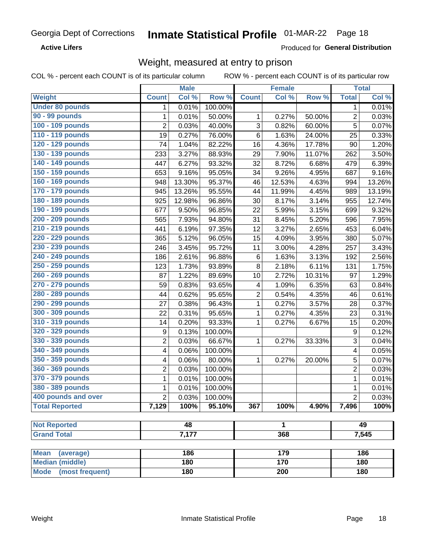**Active Lifers** 

Produced for General Distribution

## Weight, measured at entry to prison

COL % - percent each COUNT is of its particular column

|                                |                | <b>Male</b> |                  |                | <b>Female</b>    |        |                  | <b>Total</b> |
|--------------------------------|----------------|-------------|------------------|----------------|------------------|--------|------------------|--------------|
| <b>Weight</b>                  | <b>Count</b>   | Col %       | Row <sup>%</sup> | <b>Count</b>   | Col %            | Row %  | <b>Total</b>     | Col %        |
| <b>Under 80 pounds</b>         | 1              | 0.01%       | 100.00%          |                |                  |        | 1                | 0.01%        |
| 90 - 99 pounds                 | 1              | 0.01%       | 50.00%           | 1              | 0.27%            | 50.00% | $\overline{2}$   | 0.03%        |
| 100 - 109 pounds               | $\overline{2}$ | 0.03%       | 40.00%           | 3              | 0.82%            | 60.00% | 5                | 0.07%        |
| 110 - 119 pounds               | 19             | 0.27%       | 76.00%           | $\,6$          | 1.63%            | 24.00% | 25               | 0.33%        |
| 120 - 129 pounds               | 74             | 1.04%       | 82.22%           | 16             | 4.36%            | 17.78% | 90               | 1.20%        |
| 130 - 139 pounds               | 233            | 3.27%       | 88.93%           | 29             | 7.90%            | 11.07% | 262              | 3.50%        |
| 140 - 149 pounds               | 447            | 6.27%       | 93.32%           | 32             | 8.72%            | 6.68%  | 479              | 6.39%        |
| 150 - 159 pounds               | 653            | 9.16%       | 95.05%           | 34             | 9.26%            | 4.95%  | 687              | 9.16%        |
| 160 - 169 pounds               | 948            | 13.30%      | 95.37%           | 46             | 12.53%           | 4.63%  | 994              | 13.26%       |
| 170 - 179 pounds               | 945            | 13.26%      | 95.55%           | 44             | 11.99%           | 4.45%  | 989              | 13.19%       |
| 180 - 189 pounds               | 925            | 12.98%      | 96.86%           | 30             | 8.17%            | 3.14%  | 955              | 12.74%       |
| 190 - 199 pounds               | 677            | 9.50%       | 96.85%           | 22             | 5.99%            | 3.15%  | 699              | 9.32%        |
| 200 - 209 pounds               | 565            | 7.93%       | 94.80%           | 31             | 8.45%            | 5.20%  | 596              | 7.95%        |
| 210 - 219 pounds               | 441            | 6.19%       | 97.35%           | 12             | 3.27%            | 2.65%  | 453              | 6.04%        |
| 220 - 229 pounds               | 365            | 5.12%       | 96.05%           | 15             | 4.09%            | 3.95%  | 380              | 5.07%        |
| 230 - 239 pounds               | 246            | 3.45%       | 95.72%           | 11             | 3.00%            | 4.28%  | 257              | 3.43%        |
| 240 - 249 pounds               | 186            | 2.61%       | 96.88%           | $\,6$          | 1.63%            | 3.13%  | 192              | 2.56%        |
| 250 - 259 pounds               | 123            | 1.73%       | 93.89%           | $\bf 8$        | 2.18%            | 6.11%  | 131              | 1.75%        |
| 260 - 269 pounds               | 87             | 1.22%       | 89.69%           | 10             | 2.72%            | 10.31% | 97               | 1.29%        |
| 270 - 279 pounds               | 59             | 0.83%       | 93.65%           | 4              | 1.09%            | 6.35%  | 63               | 0.84%        |
| 280 - 289 pounds               | 44             | 0.62%       | 95.65%           | $\overline{2}$ | 0.54%            | 4.35%  | 46               | 0.61%        |
| 290 - 299 pounds               | 27             | 0.38%       | 96.43%           | $\mathbf 1$    | 0.27%            | 3.57%  | 28               | 0.37%        |
| 300 - 309 pounds               | 22             | 0.31%       | 95.65%           | 1              | 0.27%            | 4.35%  | 23               | 0.31%        |
| 310 - 319 pounds               | 14             | 0.20%       | 93.33%           | 1              | 0.27%            | 6.67%  | 15               | 0.20%        |
| 320 - 329 pounds               | 9              | 0.13%       | 100.00%          |                |                  |        | $\boldsymbol{9}$ | 0.12%        |
| 330 - 339 pounds               | $\overline{2}$ | 0.03%       | 66.67%           | 1              | 0.27%            | 33.33% | 3                | 0.04%        |
| 340 - 349 pounds               | 4              | 0.06%       | 100.00%          |                |                  |        | 4                | 0.05%        |
| 350 - 359 pounds               | 4              | 0.06%       | 80.00%           | 1              | 0.27%            | 20.00% | 5                | 0.07%        |
| 360 - 369 pounds               | $\overline{2}$ | 0.03%       | 100.00%          |                |                  |        | $\overline{2}$   | 0.03%        |
| 370 - 379 pounds               | 1              | 0.01%       | 100.00%          |                |                  |        | $\mathbf{1}$     | 0.01%        |
| 380 - 389 pounds               | 1              | 0.01%       | 100.00%          |                |                  |        | $\mathbf 1$      | 0.01%        |
| 400 pounds and over            | 2              | 0.03%       | 100.00%          |                |                  |        | $\overline{2}$   | 0.03%        |
| <b>Total Reported</b>          | 7,129          | 100%        | 95.10%           | 367            | 100%             | 4.90%  | 7,496            | 100%         |
| <b>Not Reported</b>            |                | 48          |                  |                | 1                |        |                  | 49           |
| <b>Grand Total</b>             |                | 7,177       |                  |                | 368              |        |                  | 7,545        |
|                                |                |             |                  |                |                  |        |                  |              |
| <b>Mean</b><br>(average)       |                | 186         |                  |                | 179              |        |                  | 186          |
| <b>Median (middle)</b>         |                | 180         |                  |                | 170              |        |                  | 180          |
| <b>Mode</b><br>(most frequent) |                | 180         |                  |                | $\overline{200}$ |        |                  | 180          |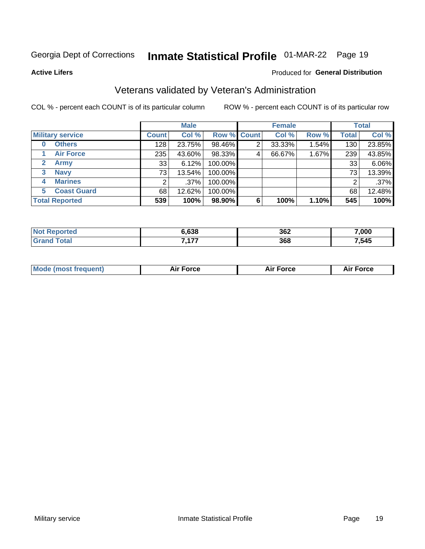## Inmate Statistical Profile 01-MAR-22 Page 19

**Active Lifers** 

#### Produced for General Distribution

## Veterans validated by Veteran's Administration

COL % - percent each COUNT is of its particular column

|                             |              | <b>Male</b> |         |                    | <b>Female</b> |       |              | <b>Total</b> |
|-----------------------------|--------------|-------------|---------|--------------------|---------------|-------|--------------|--------------|
| <b>Military service</b>     | <b>Count</b> | Col %       |         | <b>Row % Count</b> | Col %         | Row % | <b>Total</b> | Col %        |
| <b>Others</b><br>0          | 128          | 23.75%      | 98.46%  |                    | 33.33%        | 1.54% | 130          | 23.85%       |
| <b>Air Force</b>            | 235          | 43.60%      | 98.33%  | 4                  | 66.67%        | 1.67% | 239          | 43.85%       |
| <b>Army</b><br>$\mathbf{2}$ | 33           | 6.12%       | 100.00% |                    |               |       | 33           | 6.06%        |
| <b>Navy</b><br>3            | 73           | 13.54%      | 100.00% |                    |               |       | 73           | 13.39%       |
| <b>Marines</b><br>4         |              | $.37\%$     | 100.00% |                    |               |       | 2            | .37%         |
| <b>Coast Guard</b><br>5     | 68           | 12.62%      | 100.00% |                    |               |       | 68           | 12.48%       |
| <b>Total Reported</b>       | 539          | 100%        | 98.90%  | 6                  | 100%          | 1.10% | 545          | 100%         |

| N    | 6.638 | 362 | 7,000 |
|------|-------|-----|-------|
| otal | ィラフ   | 368 | 7,545 |

| <b>Mode (most frequent)</b> | Force<br>Aır | Air Force | <b>orce</b> |
|-----------------------------|--------------|-----------|-------------|
|                             |              |           |             |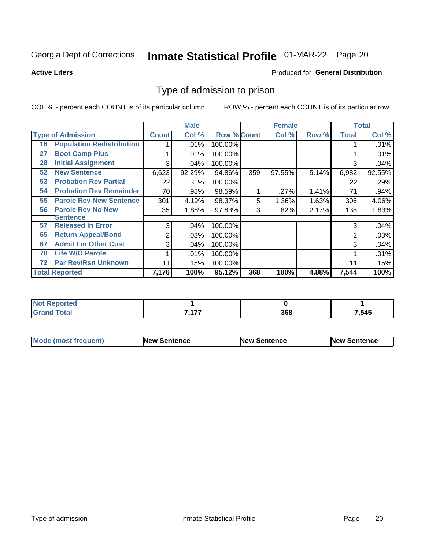## Inmate Statistical Profile 01-MAR-22 Page 20

**Active Lifers** 

#### Produced for General Distribution

### Type of admission to prison

COL % - percent each COUNT is of its particular column

|    |                                  |              | <b>Male</b> |                    |     | <b>Female</b> |       |              | <b>Total</b> |
|----|----------------------------------|--------------|-------------|--------------------|-----|---------------|-------|--------------|--------------|
|    | <b>Type of Admission</b>         | <b>Count</b> | Col %       | <b>Row % Count</b> |     | Col %         | Row % | <b>Total</b> | Col %        |
| 16 | <b>Population Redistribution</b> |              | .01%        | 100.00%            |     |               |       |              | .01%         |
| 27 | <b>Boot Camp Plus</b>            |              | .01%        | 100.00%            |     |               |       |              | .01%         |
| 28 | <b>Initial Assignment</b>        | 3            | .04%        | 100.00%            |     |               |       | 3            | .04%         |
| 52 | <b>New Sentence</b>              | 6,623        | 92.29%      | 94.86%             | 359 | 97.55%        | 5.14% | 6,982        | 92.55%       |
| 53 | <b>Probation Rev Partial</b>     | 22           | .31%        | 100.00%            |     |               |       | 22           | .29%         |
| 54 | <b>Probation Rev Remainder</b>   | 70           | .98%        | 98.59%             |     | .27%          | 1.41% | 71           | .94%         |
| 55 | <b>Parole Rev New Sentence</b>   | 301          | 4.19%       | 98.37%             | 5   | 1.36%         | 1.63% | 306          | 4.06%        |
| 56 | <b>Parole Rev No New</b>         | 135          | 1.88%       | 97.83%             | 3   | .82%          | 2.17% | 138          | 1.83%        |
|    | <b>Sentence</b>                  |              |             |                    |     |               |       |              |              |
| 57 | <b>Released In Error</b>         | 3            | .04%        | 100.00%            |     |               |       | 3            | .04%         |
| 65 | <b>Return Appeal/Bond</b>        | 2            | .03%        | 100.00%            |     |               |       | 2            | .03%         |
| 67 | <b>Admit Fm Other Cust</b>       | 3            | .04%        | 100.00%            |     |               |       | 3            | .04%         |
| 70 | <b>Life W/O Parole</b>           |              | .01%        | 100.00%            |     |               |       |              | .01%         |
| 72 | <b>Par Rev/Rsn Unknown</b>       | 11           | .15%        | 100.00%            |     |               |       | 11           | .15%         |
|    | <b>Total Reported</b>            | 7,176        | 100%        | 95.12%             | 368 | 100%          | 4.88% | 7,544        | 100%         |

| orted<br>NO           |           |     |       |
|-----------------------|-----------|-----|-------|
| <b>otal</b><br>'Grano | ----<br>. | 368 | 7,545 |

| <b>Mode (most frequent)</b> | <b>New Sentence</b> | <b>New Sentence</b> | <b>New Sentence</b> |
|-----------------------------|---------------------|---------------------|---------------------|
|                             |                     |                     |                     |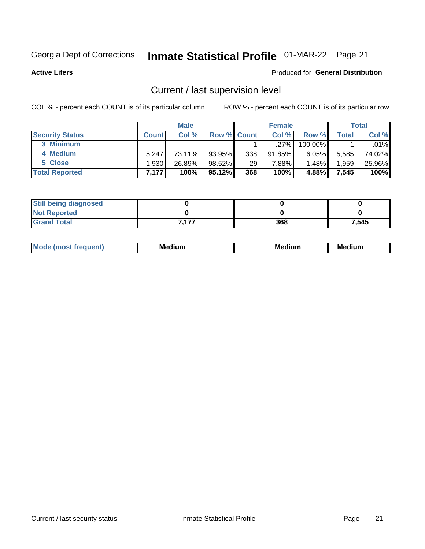## Inmate Statistical Profile 01-MAR-22 Page 21

**Active Lifers** 

#### Produced for General Distribution

## Current / last supervision level

COL % - percent each COUNT is of its particular column

|                        |        | <b>Male</b> |                    |     | <b>Female</b> |          |       | <b>Total</b> |
|------------------------|--------|-------------|--------------------|-----|---------------|----------|-------|--------------|
| <b>Security Status</b> | Count⊺ | Col %       | <b>Row % Count</b> |     | Col %         | Row %    | Total | Col %        |
| 3 Minimum              |        |             |                    |     | $.27\%$       | 100.00%  |       | .01%         |
| 4 Medium               | 5.247  | 73.11%      | 93.95%             | 338 | 91.85%        | $6.05\%$ | 5,585 | 74.02%       |
| 5 Close                | .930   | 26.89%      | 98.52%             | 29  | 7.88%         | $1.48\%$ | 1,959 | 25.96%       |
| <b>Total Reported</b>  | 7,177  | 100%        | $95.12\%$          | 368 | 100%          | 4.88%    | 7,545 | 100%         |

| <b>Still being diagnosed</b> |       |     |       |
|------------------------------|-------|-----|-------|
| <b>Not Reported</b>          |       |     |       |
| <b>Grand Total</b>           | 7.177 | 368 | 7,545 |

| Mo | Me <sub>®</sub><br>edium<br>____ | Medium<br>_____ | . .<br>Medium<br>$-$ |
|----|----------------------------------|-----------------|----------------------|
|    |                                  |                 |                      |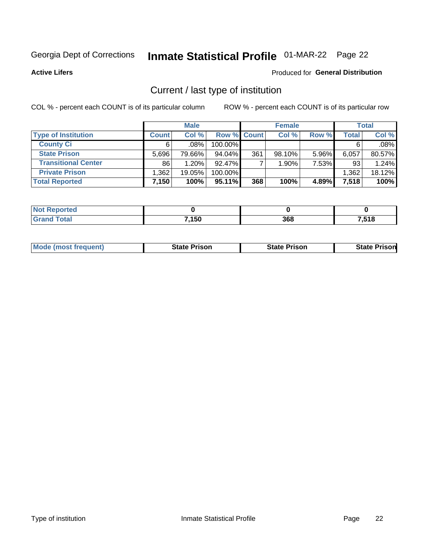## Inmate Statistical Profile 01-MAR-22 Page 22

**Active Lifers** 

#### **Produced for General Distribution**

## Current / last type of institution

COL % - percent each COUNT is of its particular column

|                            |              | <b>Male</b> |                    |     | <b>Female</b> |       |              | <b>Total</b> |
|----------------------------|--------------|-------------|--------------------|-----|---------------|-------|--------------|--------------|
| <b>Type of Institution</b> | <b>Count</b> | Col %       | <b>Row % Count</b> |     | Col%          | Row % | <b>Total</b> | Col %        |
| <b>County Ci</b>           | 6.           | $.08\%$ $ $ | 100.00%            |     |               |       |              | .08%         |
| <b>State Prison</b>        | 5.696        | 79.66%      | $94.04\%$          | 361 | $98.10\%$     | 5.96% | 6,057        | 80.57%       |
| <b>Transitional Center</b> | 86           | 1.20%       | 92.47%             |     | 1.90%         | 7.53% | 93           | 1.24%        |
| <b>Private Prison</b>      | 1,362        | 19.05%      | 100.00%            |     |               |       | 1,362        | 18.12%       |
| <b>Total Reported</b>      | 7,150        | 100%        | $95.11\%$          | 368 | 100%          | 4.89% | 7,518        | 100%         |

| Reported     |       |     |       |
|--------------|-------|-----|-------|
| <b>cotal</b> | 7,150 | 368 | 7,518 |

| <b>Mode (most frequent)</b> | State Prison | <b>State Prison</b> | State<br>⊦ Prisonl |
|-----------------------------|--------------|---------------------|--------------------|
|                             |              |                     |                    |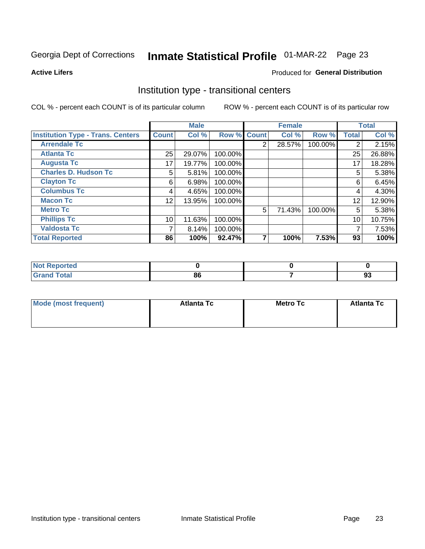## Inmate Statistical Profile 01-MAR-22 Page 23

**Active Lifers** 

#### Produced for General Distribution

### Institution type - transitional centers

COL % - percent each COUNT is of its particular column

|                                          |                 | <b>Male</b> |         |                | <b>Female</b> |         |                | <b>Total</b> |
|------------------------------------------|-----------------|-------------|---------|----------------|---------------|---------|----------------|--------------|
| <b>Institution Type - Trans. Centers</b> | <b>Count</b>    | Col %       |         | Row % Count    | Col %         | Row %   | <b>Total</b>   | Col %        |
| <b>Arrendale Tc</b>                      |                 |             |         | $\overline{2}$ | 28.57%        | 100.00% | $\overline{2}$ | 2.15%        |
| <b>Atlanta Tc</b>                        | 25              | 29.07%      | 100.00% |                |               |         | 25             | 26.88%       |
| <b>Augusta Tc</b>                        | 17              | 19.77%      | 100.00% |                |               |         | 17             | 18.28%       |
| <b>Charles D. Hudson Tc</b>              | 5               | 5.81%       | 100.00% |                |               |         | 5              | 5.38%        |
| <b>Clayton Tc</b>                        | 6               | 6.98%       | 100.00% |                |               |         | 6              | 6.45%        |
| <b>Columbus Tc</b>                       | 4               | 4.65%       | 100.00% |                |               |         | 4              | 4.30%        |
| <b>Macon Tc</b>                          | 12 <sub>2</sub> | 13.95%      | 100.00% |                |               |         | 12             | 12.90%       |
| <b>Metro Tc</b>                          |                 |             |         | 5              | 71.43%        | 100.00% | 5              | 5.38%        |
| <b>Phillips Tc</b>                       | 10              | 11.63%      | 100.00% |                |               |         | 10             | 10.75%       |
| <b>Valdosta Tc</b>                       | 7               | 8.14%       | 100.00% |                |               |         | 7              | 7.53%        |
| <b>Total Reported</b>                    | 86              | 100%        | 92.47%  |                | 100%          | 7.53%   | 93             | 100%         |

| <b>Reported</b><br><b>NOT</b> |    |          |
|-------------------------------|----|----------|
| int<br>$\sim$ $\sim$ $\sim$   | ou | n.<br>っこ |

| Mode (most frequent) | <b>Atlanta Tc</b> | <b>Metro Tc</b> | <b>Atlanta Tc</b> |
|----------------------|-------------------|-----------------|-------------------|
|                      |                   |                 |                   |
|                      |                   |                 |                   |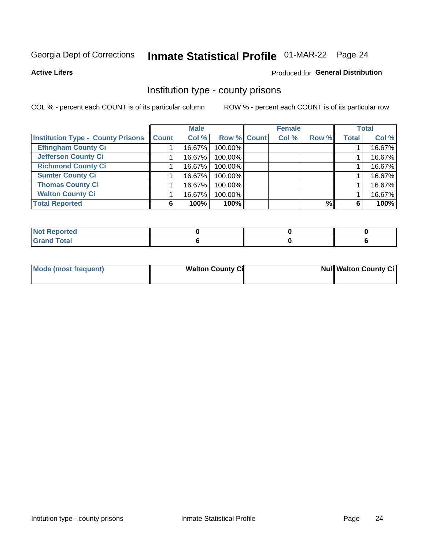## Inmate Statistical Profile 01-MAR-22 Page 24

**Active Lifers** 

#### **Produced for General Distribution**

### Institution type - county prisons

COL % - percent each COUNT is of its particular column

|                                          |              | <b>Male</b> |                    | <b>Female</b> |       |              | <b>Total</b> |
|------------------------------------------|--------------|-------------|--------------------|---------------|-------|--------------|--------------|
| <b>Institution Type - County Prisons</b> | <b>Count</b> | Col %       | <b>Row % Count</b> | Col %         | Row % | <b>Total</b> | Col %        |
| <b>Effingham County Ci</b>               |              | 16.67%      | 100.00%            |               |       |              | 16.67%       |
| <b>Jefferson County Ci</b>               |              | 16.67%      | 100.00%            |               |       |              | 16.67%       |
| <b>Richmond County Ci</b>                |              | 16.67%      | 100.00%            |               |       |              | 16.67%       |
| <b>Sumter County Ci</b>                  |              | 16.67%      | 100.00%            |               |       |              | 16.67%       |
| <b>Thomas County Ci</b>                  |              | 16.67%      | 100.00%            |               |       |              | 16.67%       |
| <b>Walton County Ci</b>                  |              | 16.67%      | 100.00%            |               |       |              | 16.67%       |
| <b>Total Reported</b>                    | 6            | 100%        | 100%               |               | $\%$  | 6            | 100%         |

| <b>Not Reported</b> |  |  |
|---------------------|--|--|
| nd Total<br>---     |  |  |

| Mode (most frequent) | <b>Walton County Ci</b> | <b>Null Walton County Cil</b> |  |  |  |
|----------------------|-------------------------|-------------------------------|--|--|--|
|                      |                         |                               |  |  |  |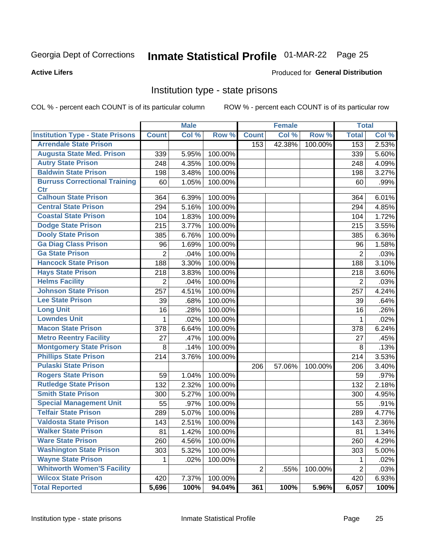**Active Lifers** 

#### Produced for General Distribution

### Institution type - state prisons

COL % - percent each COUNT is of its particular column

|                                         |                | <b>Male</b> |         |                | <b>Female</b> |         | <b>Total</b>   |       |
|-----------------------------------------|----------------|-------------|---------|----------------|---------------|---------|----------------|-------|
| <b>Institution Type - State Prisons</b> | <b>Count</b>   | Col %       | Row %   | <b>Count</b>   | Col %         | Row %   | <b>Total</b>   | Col % |
| <b>Arrendale State Prison</b>           |                |             |         | 153            | 42.38%        | 100.00% | 153            | 2.53% |
| <b>Augusta State Med. Prison</b>        | 339            | 5.95%       | 100.00% |                |               |         | 339            | 5.60% |
| <b>Autry State Prison</b>               | 248            | 4.35%       | 100.00% |                |               |         | 248            | 4.09% |
| <b>Baldwin State Prison</b>             | 198            | 3.48%       | 100.00% |                |               |         | 198            | 3.27% |
| <b>Burruss Correctional Training</b>    | 60             | 1.05%       | 100.00% |                |               |         | 60             | .99%  |
| <b>Ctr</b>                              |                |             |         |                |               |         |                |       |
| <b>Calhoun State Prison</b>             | 364            | 6.39%       | 100.00% |                |               |         | 364            | 6.01% |
| <b>Central State Prison</b>             | 294            | 5.16%       | 100.00% |                |               |         | 294            | 4.85% |
| <b>Coastal State Prison</b>             | 104            | 1.83%       | 100.00% |                |               |         | 104            | 1.72% |
| <b>Dodge State Prison</b>               | 215            | 3.77%       | 100.00% |                |               |         | 215            | 3.55% |
| <b>Dooly State Prison</b>               | 385            | 6.76%       | 100.00% |                |               |         | 385            | 6.36% |
| <b>Ga Diag Class Prison</b>             | 96             | 1.69%       | 100.00% |                |               |         | 96             | 1.58% |
| <b>Ga State Prison</b>                  | $\overline{2}$ | .04%        | 100.00% |                |               |         | $\overline{2}$ | .03%  |
| <b>Hancock State Prison</b>             | 188            | 3.30%       | 100.00% |                |               |         | 188            | 3.10% |
| <b>Hays State Prison</b>                | 218            | 3.83%       | 100.00% |                |               |         | 218            | 3.60% |
| <b>Helms Facility</b>                   | $\overline{2}$ | .04%        | 100.00% |                |               |         | $\overline{2}$ | .03%  |
| <b>Johnson State Prison</b>             | 257            | 4.51%       | 100.00% |                |               |         | 257            | 4.24% |
| <b>Lee State Prison</b>                 | 39             | .68%        | 100.00% |                |               |         | 39             | .64%  |
| <b>Long Unit</b>                        | 16             | .28%        | 100.00% |                |               |         | 16             | .26%  |
| <b>Lowndes Unit</b>                     | 1              | .02%        | 100.00% |                |               |         | 1              | .02%  |
| <b>Macon State Prison</b>               | 378            | 6.64%       | 100.00% |                |               |         | 378            | 6.24% |
| <b>Metro Reentry Facility</b>           | 27             | .47%        | 100.00% |                |               |         | 27             | .45%  |
| <b>Montgomery State Prison</b>          | 8              | .14%        | 100.00% |                |               |         | 8              | .13%  |
| <b>Phillips State Prison</b>            | 214            | 3.76%       | 100.00% |                |               |         | 214            | 3.53% |
| <b>Pulaski State Prison</b>             |                |             |         | 206            | 57.06%        | 100.00% | 206            | 3.40% |
| <b>Rogers State Prison</b>              | 59             | 1.04%       | 100.00% |                |               |         | 59             | .97%  |
| <b>Rutledge State Prison</b>            | 132            | 2.32%       | 100.00% |                |               |         | 132            | 2.18% |
| <b>Smith State Prison</b>               | 300            | 5.27%       | 100.00% |                |               |         | 300            | 4.95% |
| <b>Special Management Unit</b>          | 55             | .97%        | 100.00% |                |               |         | 55             | .91%  |
| <b>Telfair State Prison</b>             | 289            | 5.07%       | 100.00% |                |               |         | 289            | 4.77% |
| <b>Valdosta State Prison</b>            | 143            | 2.51%       | 100.00% |                |               |         | 143            | 2.36% |
| <b>Walker State Prison</b>              | 81             | 1.42%       | 100.00% |                |               |         | 81             | 1.34% |
| <b>Ware State Prison</b>                | 260            | 4.56%       | 100.00% |                |               |         | 260            | 4.29% |
| <b>Washington State Prison</b>          | 303            | 5.32%       | 100.00% |                |               |         | 303            | 5.00% |
| <b>Wayne State Prison</b>               | 1              | .02%        | 100.00% |                |               |         | 1              | .02%  |
| <b>Whitworth Women'S Facility</b>       |                |             |         | $\overline{2}$ | .55%          | 100.00% | $\overline{2}$ | .03%  |
| <b>Wilcox State Prison</b>              | 420            | 7.37%       | 100.00% |                |               |         | 420            | 6.93% |
| <b>Total Reported</b>                   | 5,696          | 100%        | 94.04%  | 361            | 100%          | 5.96%   | 6,057          | 100%  |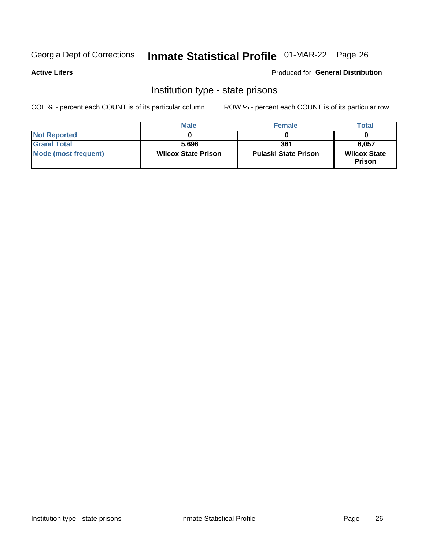## Inmate Statistical Profile 01-MAR-22 Page 26

#### **Active Lifers**

#### **Produced for General Distribution**

### Institution type - state prisons

COL % - percent each COUNT is of its particular column

|                             | <b>Male</b>                | <b>Female</b>               | <b>Total</b>                         |
|-----------------------------|----------------------------|-----------------------------|--------------------------------------|
| <b>Not Reported</b>         |                            |                             |                                      |
| <b>Grand Total</b>          | 5,696                      | 361                         | 6.057                                |
| <b>Mode (most frequent)</b> | <b>Wilcox State Prison</b> | <b>Pulaski State Prison</b> | <b>Wilcox State</b><br><b>Prison</b> |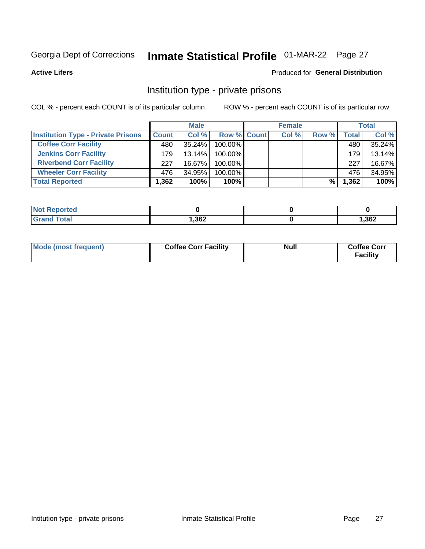## Inmate Statistical Profile 01-MAR-22 Page 27

**Active Lifers** 

#### Produced for General Distribution

### Institution type - private prisons

COL % - percent each COUNT is of its particular column

|                                           |              | <b>Male</b> |             | <b>Female</b> |       |              | <b>Total</b> |
|-------------------------------------------|--------------|-------------|-------------|---------------|-------|--------------|--------------|
| <b>Institution Type - Private Prisons</b> | <b>Count</b> | Col %       | Row % Count | Col %         | Row % | <b>Total</b> | Col %        |
| <b>Coffee Corr Facility</b>               | 480          | $35.24\%$   | 100.00%     |               |       | 480          | 35.24%       |
| <b>Jenkins Corr Facility</b>              | 179          | $13.14\%$   | 100.00%     |               |       | 179          | 13.14%       |
| <b>Riverbend Corr Facility</b>            | 227          | $16.67\%$   | 100.00%     |               |       | 227          | 16.67%       |
| <b>Wheeler Corr Facility</b>              | 476          | 34.95%      | 100.00%     |               |       | 476          | 34.95%       |
| <b>Total Reported</b>                     | 1,362        | 100%        | 100%        |               | %     | 1,362        | 100%         |

| <b>Not</b><br>Reported |       |      |
|------------------------|-------|------|
| <b>Total</b>           | 1,362 | ,362 |

| Mode (most frequent) | <b>Coffee Corr Facility</b> | <b>Null</b> | <b>Coffee Corr</b><br><b>Facility</b> |
|----------------------|-----------------------------|-------------|---------------------------------------|
|----------------------|-----------------------------|-------------|---------------------------------------|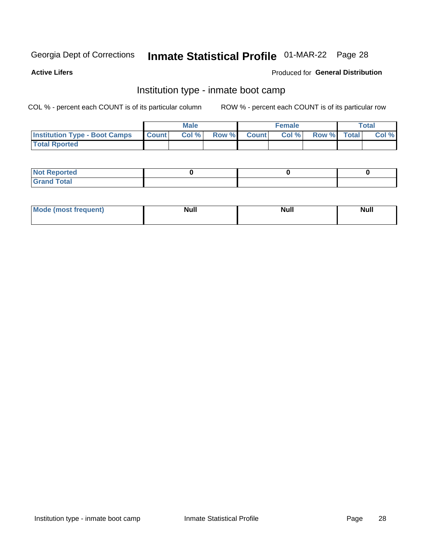## Inmate Statistical Profile 01-MAR-22 Page 28

**Active Lifers** 

#### **Produced for General Distribution**

### Institution type - inmate boot camp

COL % - percent each COUNT is of its particular column

|                                      |                  | <b>Male</b> |              |              | <b>Female</b> |             | <b>Total</b> |
|--------------------------------------|------------------|-------------|--------------|--------------|---------------|-------------|--------------|
| <b>Institution Type - Boot Camps</b> | <b>I</b> Count I | Col %       | <b>Row %</b> | <b>Count</b> | Col %         | Row % Total | Col %        |
| <b>Total Rported</b>                 |                  |             |              |              |               |             |              |

| <b>Not Reported</b>            |  |  |
|--------------------------------|--|--|
| <b>Total</b><br>C <sub>r</sub> |  |  |

| Mod<br>uamo | Nul.<br>$- - - - - -$ | <b>Null</b> | <br>uu.<br>------ |
|-------------|-----------------------|-------------|-------------------|
|             |                       |             |                   |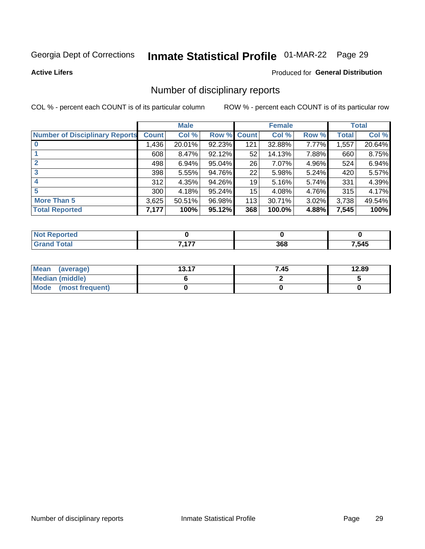## Inmate Statistical Profile 01-MAR-22 Page 29

**Active Lifers** 

#### **Produced for General Distribution**

### Number of disciplinary reports

COL % - percent each COUNT is of its particular column

|                                       |              | <b>Male</b> |        |              | <b>Female</b> |          |              | <b>Total</b> |
|---------------------------------------|--------------|-------------|--------|--------------|---------------|----------|--------------|--------------|
| <b>Number of Disciplinary Reports</b> | <b>Count</b> | Col %       | Row %  | <b>Count</b> | Col %         | Row %    | <b>Total</b> | Col %        |
|                                       | ,436         | 20.01%      | 92.23% | 121          | 32.88%        | 7.77%    | 1,557        | 20.64%       |
|                                       | 608          | 8.47%       | 92.12% | 52           | 14.13%        | 7.88%    | 660          | 8.75%        |
| $\overline{2}$                        | 498          | 6.94%       | 95.04% | 26           | 7.07%         | 4.96%    | 524          | 6.94%        |
| 3                                     | 398          | 5.55%       | 94.76% | 22           | 5.98%         | 5.24%    | 420          | 5.57%        |
| $\boldsymbol{4}$                      | 312          | 4.35%       | 94.26% | 19           | 5.16%         | 5.74%    | 331          | 4.39%        |
| 5                                     | 300          | 4.18%       | 95.24% | 15           | 4.08%         | 4.76%    | 315          | 4.17%        |
| <b>More Than 5</b>                    | 3,625        | 50.51%      | 96.98% | 113          | 30.71%        | $3.02\%$ | 3,738        | 49.54%       |
| <b>Total Reported</b>                 | 7,177        | 100%        | 95.12% | 368          | 100.0%        | 4.88%    | 7,545        | 100%         |

| тео<br>NO |            |     |       |
|-----------|------------|-----|-------|
|           | 7.177<br>. | 368 | 7,545 |

| Mean (average)       | 13.17 | 7.45 | 12.89 |
|----------------------|-------|------|-------|
| Median (middle)      |       |      |       |
| Mode (most frequent) |       |      |       |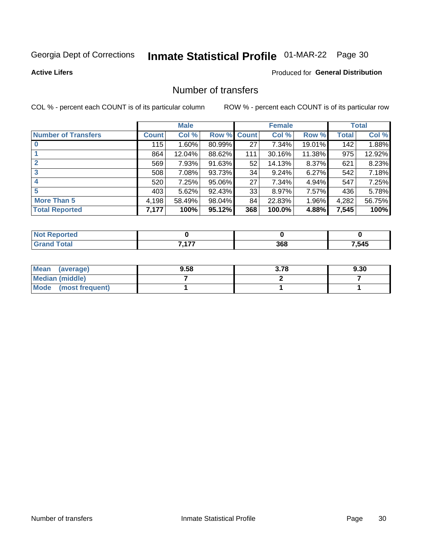## Inmate Statistical Profile 01-MAR-22 Page 30

**Active Lifers** 

#### **Produced for General Distribution**

### Number of transfers

COL % - percent each COUNT is of its particular column

|                            |              | <b>Male</b> |             |     | <b>Female</b> |        |       | <b>Total</b> |
|----------------------------|--------------|-------------|-------------|-----|---------------|--------|-------|--------------|
| <b>Number of Transfers</b> | <b>Count</b> | Col %       | Row % Count |     | Col %         | Row %  | Total | Col %        |
|                            | 115          | $1.60\%$    | 80.99%      | 27  | 7.34%         | 19.01% | 142   | 1.88%        |
|                            | 864          | 12.04%      | 88.62%      | 111 | 30.16%        | 11.38% | 975   | 12.92%       |
| $\mathbf{2}$               | 569          | 7.93%       | 91.63%      | 52  | 14.13%        | 8.37%  | 621   | 8.23%        |
| 3                          | 508          | 7.08%       | 93.73%      | 34  | 9.24%         | 6.27%  | 542   | 7.18%        |
| 4                          | 520          | 7.25%       | 95.06%      | 27  | 7.34%         | 4.94%  | 547   | 7.25%        |
| 5                          | 403          | 5.62%       | 92.43%      | 33  | 8.97%         | 7.57%  | 436   | 5.78%        |
| <b>More Than 5</b>         | 4,198        | 58.49%      | 98.04%      | 84  | 22.83%        | 1.96%  | 4,282 | 56.75%       |
| <b>Total Reported</b>      | 7,177        | 100%        | 95.12%      | 368 | 100.0%        | 4.88%  | 7,545 | 100%         |

| тео<br>NO |            |     |       |
|-----------|------------|-----|-------|
|           | 7.477<br>. | 368 | 7,545 |

| Mean (average)       | 9.58 | 3.78 | 9.30 |
|----------------------|------|------|------|
| Median (middle)      |      |      |      |
| Mode (most frequent) |      |      |      |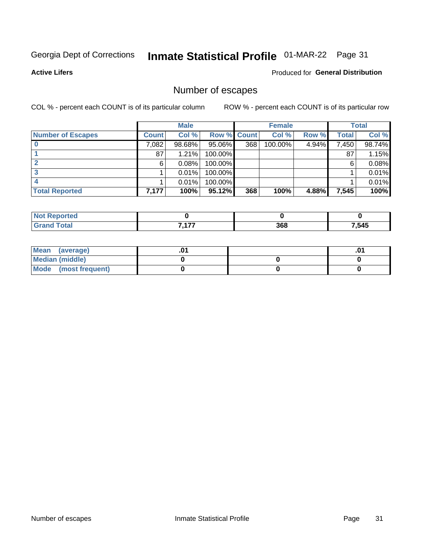## Inmate Statistical Profile 01-MAR-22 Page 31

**Active Lifers** 

#### **Produced for General Distribution**

## Number of escapes

COL % - percent each COUNT is of its particular column

|                          |              | <b>Male</b> |             |     | <b>Female</b> |       |       | <b>Total</b> |
|--------------------------|--------------|-------------|-------------|-----|---------------|-------|-------|--------------|
| <b>Number of Escapes</b> | <b>Count</b> | Col %       | Row % Count |     | Col %         | Row % | Total | Col %        |
|                          | 7,082        | 98.68%      | $95.06\%$   | 368 | 100.00%       | 4.94% | 7,450 | 98.74%       |
|                          | 87           | 1.21%       | 100.00%     |     |               |       | 87    | 1.15%        |
|                          | 6            | 0.08%       | $100.00\%$  |     |               |       | 6     | 0.08%        |
|                          |              | 0.01%       | 100.00%     |     |               |       |       | 0.01%        |
|                          |              | 0.01%       | 100.00%     |     |               |       |       | 0.01%        |
| <b>Total Reported</b>    | 7,177        | 100%        | 95.12%      | 368 | 100%          | 4.88% | 7,545 | 100%         |

| тео |               |     |       |
|-----|---------------|-----|-------|
|     | ----<br>$  -$ | 368 | 7,545 |

| Mean (average)         |  | .0 |
|------------------------|--|----|
| <b>Median (middle)</b> |  |    |
| Mode (most frequent)   |  |    |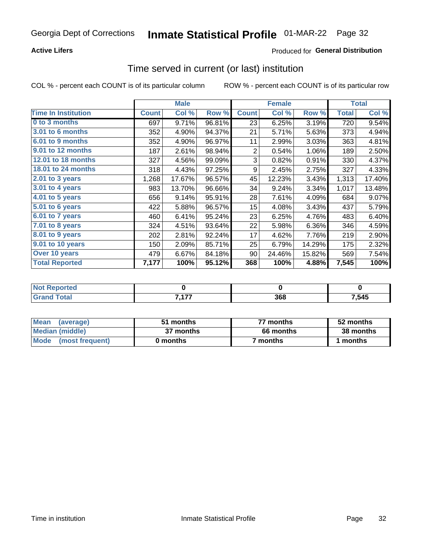#### **Active Lifers**

### **Produced for General Distribution**

## Time served in current (or last) institution

COL % - percent each COUNT is of its particular column

|                            |              | <b>Male</b> |        |                  | <b>Female</b> |        |              | <b>Total</b> |
|----------------------------|--------------|-------------|--------|------------------|---------------|--------|--------------|--------------|
| <b>Time In Institution</b> | <b>Count</b> | Col %       | Row %  | <b>Count</b>     | Col %         | Row %  | <b>Total</b> | Col %        |
| 0 to 3 months              | 697          | 9.71%       | 96.81% | 23               | 6.25%         | 3.19%  | 720          | 9.54%        |
| <b>3.01 to 6 months</b>    | 352          | 4.90%       | 94.37% | 21               | 5.71%         | 5.63%  | 373          | 4.94%        |
| 6.01 to 9 months           | 352          | 4.90%       | 96.97% | 11               | 2.99%         | 3.03%  | 363          | 4.81%        |
| 9.01 to 12 months          | 187          | 2.61%       | 98.94% | $\overline{2}$   | 0.54%         | 1.06%  | 189          | 2.50%        |
| 12.01 to 18 months         | 327          | 4.56%       | 99.09% | 3                | 0.82%         | 0.91%  | 330          | 4.37%        |
| <b>18.01 to 24 months</b>  | 318          | 4.43%       | 97.25% | 9                | 2.45%         | 2.75%  | 327          | 4.33%        |
| $2.01$ to 3 years          | 1,268        | 17.67%      | 96.57% | 45               | 12.23%        | 3.43%  | 1,313        | 17.40%       |
| $3.01$ to 4 years          | 983          | 13.70%      | 96.66% | 34               | 9.24%         | 3.34%  | 1,017        | 13.48%       |
| 4.01 to 5 years            | 656          | 9.14%       | 95.91% | 28               | 7.61%         | 4.09%  | 684          | 9.07%        |
| 5.01 to 6 years            | 422          | 5.88%       | 96.57% | 15 <sub>15</sub> | 4.08%         | 3.43%  | 437          | 5.79%        |
| 6.01 to 7 years            | 460          | 6.41%       | 95.24% | 23               | 6.25%         | 4.76%  | 483          | 6.40%        |
| 7.01 to 8 years            | 324          | 4.51%       | 93.64% | 22               | 5.98%         | 6.36%  | 346          | 4.59%        |
| $8.01$ to 9 years          | 202          | 2.81%       | 92.24% | 17               | 4.62%         | 7.76%  | 219          | 2.90%        |
| 9.01 to 10 years           | 150          | 2.09%       | 85.71% | 25               | 6.79%         | 14.29% | 175          | 2.32%        |
| Over 10 years              | 479          | 6.67%       | 84.18% | 90               | 24.46%        | 15.82% | 569          | 7.54%        |
| <b>Total Reported</b>      | 7,177        | 100%        | 95.12% | 368              | 100%          | 4.88%  | 7,545        | 100%         |

| <b>Not Reported</b> |     |     |       |
|---------------------|-----|-----|-------|
| <b>Tota</b>         | 477 | 368 | 7,545 |

| <b>Mean</b><br>(average) | 51 months | 77 months | 52 months |  |
|--------------------------|-----------|-----------|-----------|--|
| Median (middle)          | 37 months | 66 months | 38 months |  |
| Mode (most frequent)     | 0 months  | 7 months  | ∣ months  |  |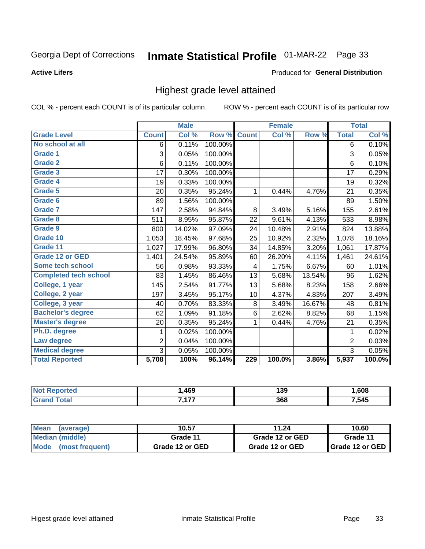#### **Active Lifers**

#### Produced for General Distribution

### Highest grade level attained

COL % - percent each COUNT is of its particular column

|                              |                | <b>Male</b> |         |              | <b>Female</b>             |        |                | <b>Total</b> |
|------------------------------|----------------|-------------|---------|--------------|---------------------------|--------|----------------|--------------|
| <b>Grade Level</b>           | <b>Count</b>   | Col %       | Row %   | <b>Count</b> | $\overline{\text{Col}}$ % | Row %  | <b>Total</b>   | Col %        |
| No school at all             | 6              | 0.11%       | 100.00% |              |                           |        | 6              | 0.10%        |
| <b>Grade 1</b>               | 3              | 0.05%       | 100.00% |              |                           |        | 3              | 0.05%        |
| Grade 2                      | 6              | 0.11%       | 100.00% |              |                           |        | 6              | 0.10%        |
| Grade 3                      | 17             | 0.30%       | 100.00% |              |                           |        | 17             | 0.29%        |
| Grade 4                      | 19             | 0.33%       | 100.00% |              |                           |        | 19             | 0.32%        |
| Grade 5                      | 20             | 0.35%       | 95.24%  | 1            | 0.44%                     | 4.76%  | 21             | 0.35%        |
| Grade 6                      | 89             | 1.56%       | 100.00% |              |                           |        | 89             | 1.50%        |
| <b>Grade 7</b>               | 147            | 2.58%       | 94.84%  | 8            | 3.49%                     | 5.16%  | 155            | 2.61%        |
| Grade 8                      | 511            | 8.95%       | 95.87%  | 22           | 9.61%                     | 4.13%  | 533            | 8.98%        |
| Grade 9                      | 800            | 14.02%      | 97.09%  | 24           | 10.48%                    | 2.91%  | 824            | 13.88%       |
| Grade 10                     | 1,053          | 18.45%      | 97.68%  | 25           | 10.92%                    | 2.32%  | 1,078          | 18.16%       |
| Grade 11                     | 1,027          | 17.99%      | 96.80%  | 34           | 14.85%                    | 3.20%  | 1,061          | 17.87%       |
| <b>Grade 12 or GED</b>       | 1,401          | 24.54%      | 95.89%  | 60           | 26.20%                    | 4.11%  | 1,461          | 24.61%       |
| Some tech school             | 56             | 0.98%       | 93.33%  | 4            | 1.75%                     | 6.67%  | 60             | 1.01%        |
| <b>Completed tech school</b> | 83             | 1.45%       | 86.46%  | 13           | 5.68%                     | 13.54% | 96             | 1.62%        |
| College, 1 year              | 145            | 2.54%       | 91.77%  | 13           | 5.68%                     | 8.23%  | 158            | 2.66%        |
| College, 2 year              | 197            | 3.45%       | 95.17%  | 10           | 4.37%                     | 4.83%  | 207            | 3.49%        |
| College, 3 year              | 40             | 0.70%       | 83.33%  | $\bf 8$      | 3.49%                     | 16.67% | 48             | 0.81%        |
| <b>Bachelor's degree</b>     | 62             | 1.09%       | 91.18%  | $\,6$        | 2.62%                     | 8.82%  | 68             | 1.15%        |
| <b>Master's degree</b>       | 20             | 0.35%       | 95.24%  | 1            | 0.44%                     | 4.76%  | 21             | 0.35%        |
| Ph.D. degree                 | 1              | 0.02%       | 100.00% |              |                           |        | 1              | 0.02%        |
| Law degree                   | $\overline{2}$ | 0.04%       | 100.00% |              |                           |        | $\overline{2}$ | 0.03%        |
| <b>Medical degree</b>        | 3              | 0.05%       | 100.00% |              |                           |        | 3              | 0.05%        |
| <b>Total Reported</b>        | 5,708          | 100%        | 96.14%  | 229          | 100.0%                    | 3.86%  | 5,937          | 100.0%       |

| . | 469  | 139 | .608  |
|---|------|-----|-------|
|   | 7477 | 368 | 7,545 |

| <b>Mean</b><br>(average)       | 10.57           | 11.24           | 10.60             |  |
|--------------------------------|-----------------|-----------------|-------------------|--|
| Median (middle)                | Grade 11        | Grade 12 or GED | Grade 11          |  |
| <b>Mode</b><br>(most frequent) | Grade 12 or GED | Grade 12 or GED | I Grade 12 or GED |  |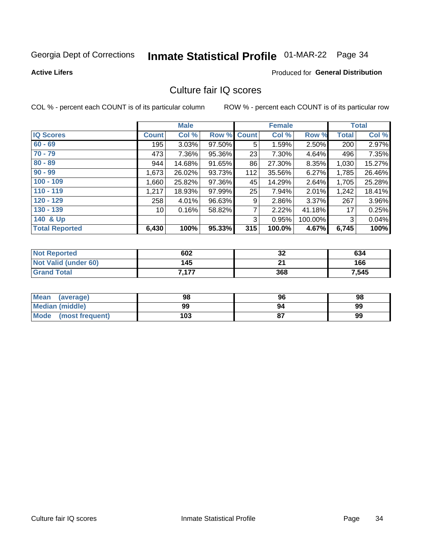## Inmate Statistical Profile 01-MAR-22 Page 34

**Active Lifers** 

#### **Produced for General Distribution**

### Culture fair IQ scores

COL % - percent each COUNT is of its particular column

|                       |              | <b>Male</b> |        |              | <b>Female</b> |         |              | <b>Total</b> |
|-----------------------|--------------|-------------|--------|--------------|---------------|---------|--------------|--------------|
| <b>IQ Scores</b>      | <b>Count</b> | Col %       | Row %  | <b>Count</b> | Col %         | Row %   | <b>Total</b> | Col %        |
| $60 - 69$             | 195          | 3.03%       | 97.50% | 5            | 1.59%         | 2.50%   | 200          | 2.97%        |
| $70 - 79$             | 473          | $7.36\%$    | 95.36% | 23           | 7.30%         | 4.64%   | 496          | 7.35%        |
| $80 - 89$             | 944          | 14.68%      | 91.65% | 86           | 27.30%        | 8.35%   | 1,030        | 15.27%       |
| $90 - 99$             | 1,673        | 26.02%      | 93.73% | 112          | 35.56%        | 6.27%   | 1,785        | 26.46%       |
| $100 - 109$           | 1,660        | 25.82%      | 97.36% | 45           | 14.29%        | 2.64%   | 1,705        | 25.28%       |
| $110 - 119$           | 1,217        | 18.93%      | 97.99% | 25           | 7.94%         | 2.01%   | 1,242        | 18.41%       |
| $120 - 129$           | 258          | $4.01\%$    | 96.63% | 9            | 2.86%         | 3.37%   | 267          | 3.96%        |
| $130 - 139$           | 10 I         | 0.16%       | 58.82% | 7            | 2.22%         | 41.18%  | 17           | 0.25%        |
| 140 & Up              |              |             |        | 3            | 0.95%         | 100.00% | 3            | 0.04%        |
| <b>Total Reported</b> | 6,430        | 100%        | 95.33% | 315          | 100.0%        | 4.67%   | 6,745        | 100%         |

| <b>Not Reported</b>  | 602   | 32     | 634   |
|----------------------|-------|--------|-------|
| Not Valid (under 60) | 145   | $\sim$ | 166   |
| <b>Grand Total</b>   | 7,177 | 368    | 7,545 |

| Mean<br>(average)       | 98  | 96 | 98 |
|-------------------------|-----|----|----|
| Median (middle)         | 99  | 94 | 99 |
| Mode<br>(most frequent) | 103 |    | 99 |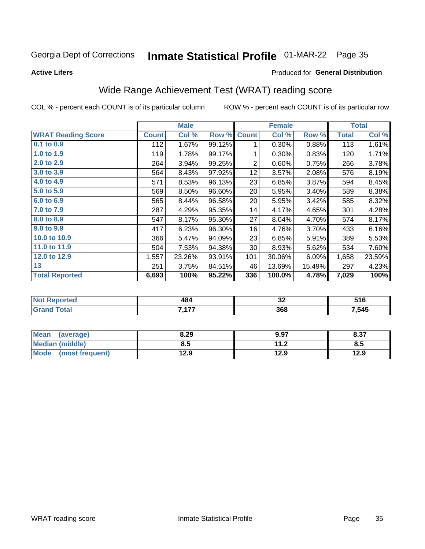**Active Lifers** 

#### Produced for General Distribution

## Wide Range Achievement Test (WRAT) reading score

COL % - percent each COUNT is of its particular column

|                           |              | <b>Male</b> |        |                | <b>Female</b> |        |              | <b>Total</b> |
|---------------------------|--------------|-------------|--------|----------------|---------------|--------|--------------|--------------|
| <b>WRAT Reading Score</b> | <b>Count</b> | Col %       | Row %  | <b>Count</b>   | Col %         | Row %  | <b>Total</b> | Col %        |
| $0.1$ to $0.9$            | 112          | 1.67%       | 99.12% | 1              | 0.30%         | 0.88%  | 113          | 1.61%        |
| 1.0 to 1.9                | 119          | 1.78%       | 99.17% | 1              | 0.30%         | 0.83%  | 120          | 1.71%        |
| 2.0 to 2.9                | 264          | 3.94%       | 99.25% | $\overline{2}$ | 0.60%         | 0.75%  | 266          | 3.78%        |
| 3.0 to 3.9                | 564          | 8.43%       | 97.92% | 12             | 3.57%         | 2.08%  | 576          | 8.19%        |
| 4.0 to 4.9                | 571          | 8.53%       | 96.13% | 23             | 6.85%         | 3.87%  | 594          | 8.45%        |
| 5.0 to 5.9                | 569          | 8.50%       | 96.60% | 20             | 5.95%         | 3.40%  | 589          | 8.38%        |
| 6.0 to 6.9                | 565          | 8.44%       | 96.58% | 20             | 5.95%         | 3.42%  | 585          | 8.32%        |
| 7.0 to 7.9                | 287          | 4.29%       | 95.35% | 14             | 4.17%         | 4.65%  | 301          | 4.28%        |
| 8.0 to 8.9                | 547          | 8.17%       | 95.30% | 27             | 8.04%         | 4.70%  | 574          | 8.17%        |
| 9.0 to 9.9                | 417          | 6.23%       | 96.30% | 16             | 4.76%         | 3.70%  | 433          | 6.16%        |
| 10.0 to 10.9              | 366          | 5.47%       | 94.09% | 23             | 6.85%         | 5.91%  | 389          | 5.53%        |
| 11.0 to 11.9              | 504          | 7.53%       | 94.38% | 30             | 8.93%         | 5.62%  | 534          | 7.60%        |
| 12.0 to 12.9              | 1,557        | 23.26%      | 93.91% | 101            | 30.06%        | 6.09%  | 1,658        | 23.59%       |
| 13                        | 251          | 3.75%       | 84.51% | 46             | 13.69%        | 15.49% | 297          | 4.23%        |
| <b>Total Reported</b>     | 6,693        | 100%        | 95.22% | 336            | 100.0%        | 4.78%  | 7,029        | 100%         |

| <b>Not Reported</b>    | 484        | ^^<br>◡▵ | E4C<br>516 |
|------------------------|------------|----------|------------|
| <b>Fotal</b><br>'Grand | 7.477<br>. | 368      | 7,545      |

| <b>Mean</b><br>(average) | 8.29 | 9.97         | 8.37 |
|--------------------------|------|--------------|------|
| <b>Median (middle)</b>   | 8.5  | 112<br>. . Z | ၓ.Ე  |
| Mode<br>(most frequent)  | 12.9 | 12.9         | 12.9 |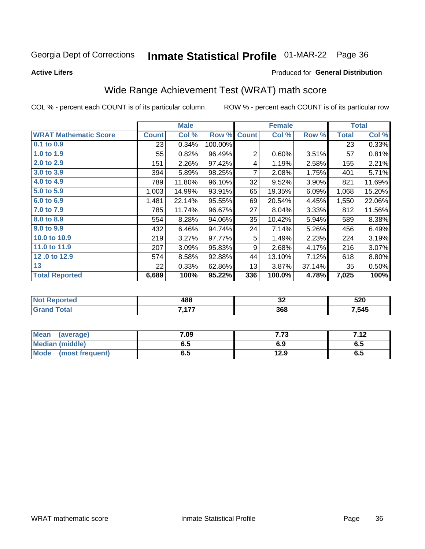**Active Lifers** 

#### Produced for General Distribution

## Wide Range Achievement Test (WRAT) math score

COL % - percent each COUNT is of its particular column

|                              |              | <b>Male</b> |         |              | <b>Female</b> |        |              | <b>Total</b> |
|------------------------------|--------------|-------------|---------|--------------|---------------|--------|--------------|--------------|
| <b>WRAT Mathematic Score</b> | <b>Count</b> | Col %       | Row %   | <b>Count</b> | Col %         | Row %  | <b>Total</b> | Col %        |
| 0.1 to 0.9                   | 23           | 0.34%       | 100.00% |              |               |        | 23           | 0.33%        |
| 1.0 to 1.9                   | 55           | 0.82%       | 96.49%  | 2            | 0.60%         | 3.51%  | 57           | 0.81%        |
| 2.0 to 2.9                   | 151          | 2.26%       | 97.42%  | 4            | 1.19%         | 2.58%  | 155          | 2.21%        |
| 3.0 to 3.9                   | 394          | 5.89%       | 98.25%  | 7            | 2.08%         | 1.75%  | 401          | 5.71%        |
| 4.0 to 4.9                   | 789          | 11.80%      | 96.10%  | 32           | 9.52%         | 3.90%  | 821          | 11.69%       |
| 5.0 to 5.9                   | 1,003        | 14.99%      | 93.91%  | 65           | 19.35%        | 6.09%  | 1,068        | 15.20%       |
| 6.0 to 6.9                   | 1,481        | 22.14%      | 95.55%  | 69           | 20.54%        | 4.45%  | 1,550        | 22.06%       |
| 7.0 to 7.9                   | 785          | 11.74%      | 96.67%  | 27           | 8.04%         | 3.33%  | 812          | 11.56%       |
| 8.0 to 8.9                   | 554          | 8.28%       | 94.06%  | 35           | 10.42%        | 5.94%  | 589          | 8.38%        |
| 9.0 to 9.9                   | 432          | 6.46%       | 94.74%  | 24           | 7.14%         | 5.26%  | 456          | 6.49%        |
| 10.0 to 10.9                 | 219          | 3.27%       | 97.77%  | 5            | 1.49%         | 2.23%  | 224          | 3.19%        |
| 11.0 to 11.9                 | 207          | 3.09%       | 95.83%  | 9            | 2.68%         | 4.17%  | 216          | 3.07%        |
| 12.0 to 12.9                 | 574          | 8.58%       | 92.88%  | 44           | 13.10%        | 7.12%  | 618          | 8.80%        |
| 13                           | 22           | 0.33%       | 62.86%  | 13           | 3.87%         | 37.14% | 35           | 0.50%        |
| <b>Total Reported</b>        | 6,689        | 100%        | 95.22%  | 336          | 100.0%        | 4.78%  | 7,025        | 100%         |

| Reported<br><b>NOT</b>   | 488        | $\overline{\phantom{a}}$<br>◡▵ | 520   |
|--------------------------|------------|--------------------------------|-------|
| $F_{\mathbf{A}}$<br>υιαι | 7.477<br>. | 368                            | 7,545 |

| <b>Mean</b><br>(average)       | 7.09 | 7 70<br>د ، ، | 712<br>I . I 4 |
|--------------------------------|------|---------------|----------------|
| Median (middle)                | כ.ס  | 6.9           | ს. O           |
| <b>Mode</b><br>(most frequent) | υ.υ  | 12.9          | ხ.ე            |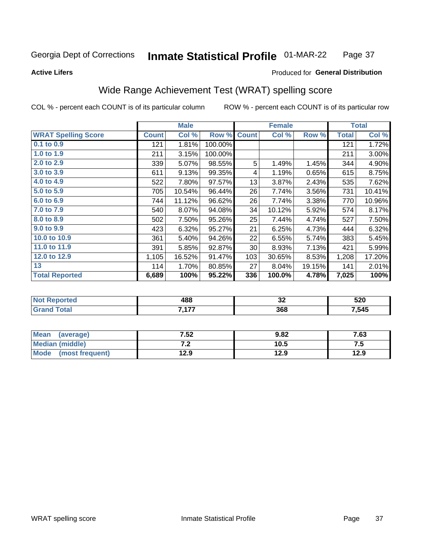#### **Inmate Statistical Profile 01-MAR-22** Page 37

#### **Active Lifers**

#### Produced for General Distribution

## Wide Range Achievement Test (WRAT) spelling score

COL % - percent each COUNT is of its particular column

|                            |              | <b>Male</b> |         |              | <b>Female</b> |        |              | <b>Total</b> |
|----------------------------|--------------|-------------|---------|--------------|---------------|--------|--------------|--------------|
| <b>WRAT Spelling Score</b> | <b>Count</b> | Col %       | Row %   | <b>Count</b> | Col %         | Row %  | <b>Total</b> | Col %        |
| 0.1 to 0.9                 | 121          | 1.81%       | 100.00% |              |               |        | 121          | 1.72%        |
| 1.0 to 1.9                 | 211          | 3.15%       | 100.00% |              |               |        | 211          | 3.00%        |
| 2.0 to 2.9                 | 339          | 5.07%       | 98.55%  | 5            | 1.49%         | 1.45%  | 344          | 4.90%        |
| 3.0 to 3.9                 | 611          | 9.13%       | 99.35%  | 4            | 1.19%         | 0.65%  | 615          | 8.75%        |
| 4.0 to 4.9                 | 522          | 7.80%       | 97.57%  | 13           | 3.87%         | 2.43%  | 535          | 7.62%        |
| 5.0 to 5.9                 | 705          | 10.54%      | 96.44%  | 26           | 7.74%         | 3.56%  | 731          | 10.41%       |
| 6.0 to 6.9                 | 744          | 11.12%      | 96.62%  | 26           | 7.74%         | 3.38%  | 770          | 10.96%       |
| 7.0 to 7.9                 | 540          | 8.07%       | 94.08%  | 34           | 10.12%        | 5.92%  | 574          | 8.17%        |
| 8.0 to 8.9                 | 502          | 7.50%       | 95.26%  | 25           | 7.44%         | 4.74%  | 527          | 7.50%        |
| 9.0 to 9.9                 | 423          | 6.32%       | 95.27%  | 21           | 6.25%         | 4.73%  | 444          | 6.32%        |
| 10.0 to 10.9               | 361          | 5.40%       | 94.26%  | 22           | 6.55%         | 5.74%  | 383          | 5.45%        |
| 11.0 to 11.9               | 391          | 5.85%       | 92.87%  | 30           | 8.93%         | 7.13%  | 421          | 5.99%        |
| 12.0 to 12.9               | 1,105        | 16.52%      | 91.47%  | 103          | 30.65%        | 8.53%  | 1,208        | 17.20%       |
| 13                         | 114          | 1.70%       | 80.85%  | 27           | 8.04%         | 19.15% | 141          | 2.01%        |
| <b>Total Reported</b>      | 6,689        | 100%        | 95.22%  | 336          | 100.0%        | 4.78%  | 7,025        | 100%         |

| Reported<br><b>NOT</b>   | 488        | $\overline{\phantom{a}}$<br>◡▵ | 520   |
|--------------------------|------------|--------------------------------|-------|
| $F_{\mathbf{A}}$<br>υιαι | 7.477<br>. | 368                            | 7,545 |

| <b>Mean</b><br>(average) | 7.52    | 9.82 | 7.63 |
|--------------------------|---------|------|------|
| Median (middle)          | , ,<br> | 10.5 | ن. ا |
| Mode<br>(most frequent)  | 12.9    | 12.9 | 12.9 |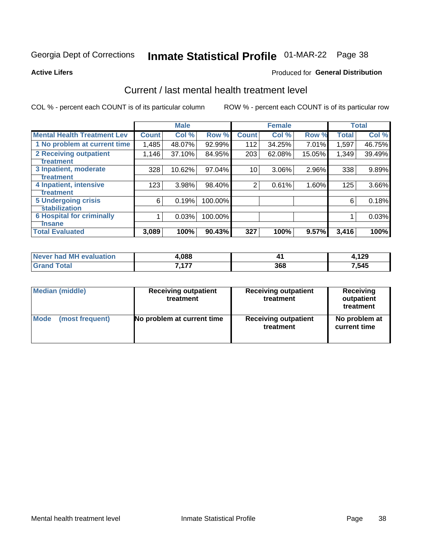## Inmate Statistical Profile 01-MAR-22 Page 38

**Active Lifers** 

#### Produced for General Distribution

### Current / last mental health treatment level

COL % - percent each COUNT is of its particular column

|                                    |              | <b>Male</b> |         |              | <b>Female</b> |        |              | <b>Total</b> |
|------------------------------------|--------------|-------------|---------|--------------|---------------|--------|--------------|--------------|
| <b>Mental Health Treatment Lev</b> | <b>Count</b> | Col %       | Row %   | <b>Count</b> | Col %         | Row %  | <b>Total</b> | Col %        |
| 1 No problem at current time       | 1,485        | 48.07%      | 92.99%  | 112          | 34.25%        | 7.01%  | 1,597        | 46.75%       |
| 2 Receiving outpatient             | 1,146        | 37.10%      | 84.95%  | 203          | 62.08%        | 15.05% | 1,349        | 39.49%       |
| <b>Treatment</b>                   |              |             |         |              |               |        |              |              |
| 3 Inpatient, moderate              | 328          | 10.62%      | 97.04%  | 10           | 3.06%         | 2.96%  | 338          | 9.89%        |
| <b>Treatment</b>                   |              |             |         |              |               |        |              |              |
| 4 Inpatient, intensive             | 123          | 3.98%       | 98.40%  | 2            | 0.61%         | 1.60%  | 125          | 3.66%        |
| Treatment                          |              |             |         |              |               |        |              |              |
| <b>5 Undergoing crisis</b>         | 6            | 0.19%       | 100.00% |              |               |        | 6            | 0.18%        |
| <b>Stabilization</b>               |              |             |         |              |               |        |              |              |
| <b>6 Hospital for criminally</b>   |              | 0.03%       | 100.00% |              |               |        |              | 0.03%        |
| <b>Tinsane</b>                     |              |             |         |              |               |        |              |              |
| <b>Total Evaluated</b>             | 3,089        | 100%        | 90.43%  | 327          | 100%          | 9.57%  | 3,416        | 100%         |

| <b>Never had MH evaluation</b> | .088     |     | 120<br>. . 29 |
|--------------------------------|----------|-----|---------------|
| Гоtal                          | ィラフ<br>. | 368 | ,545          |

| Median (middle) | <b>Receiving outpatient</b><br>treatment | <b>Receiving outpatient</b><br>treatment | <b>Receiving</b><br>outpatient<br>treatment |
|-----------------|------------------------------------------|------------------------------------------|---------------------------------------------|
| <b>Mode</b>     | No problem at current time               | <b>Receiving outpatient</b>              | No problem at                               |
| (most frequent) |                                          | treatment                                | current time                                |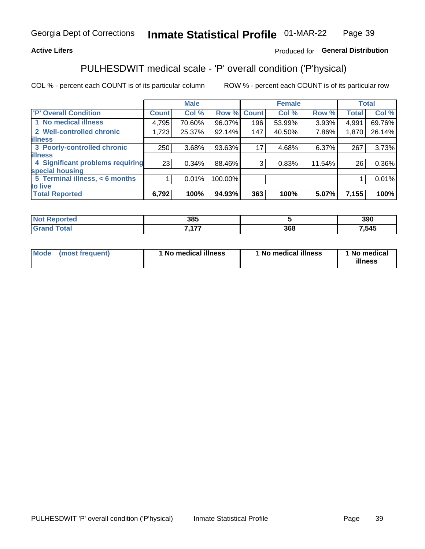#### **Active Lifers**

#### Produced for General Distribution

## PULHESDWIT medical scale - 'P' overall condition ('P'hysical)

COL % - percent each COUNT is of its particular column

|                                  |         | <b>Male</b> |         |             | <b>Female</b> |        |              | <b>Total</b> |
|----------------------------------|---------|-------------|---------|-------------|---------------|--------|--------------|--------------|
| 'P' Overall Condition            | Count l | Col %       |         | Row % Count | Col %         | Row %  | <b>Total</b> | Col %        |
| 1 No medical illness             | 4,795   | 70.60%      | 96.07%  | 196         | 53.99%        | 3.93%  | 4,991        | 69.76%       |
| 2 Well-controlled chronic        | 1,723   | 25.37%      | 92.14%  | 147         | 40.50%        | 7.86%  | 1,870        | 26.14%       |
| <b>lillness</b>                  |         |             |         |             |               |        |              |              |
| 3 Poorly-controlled chronic      | 250     | 3.68%       | 93.63%  | 17          | 4.68%         | 6.37%  | 267          | 3.73%        |
| <b>illness</b>                   |         |             |         |             |               |        |              |              |
| 4 Significant problems requiring | 23      | $0.34\%$    | 88.46%  | 3           | 0.83%         | 11.54% | 26           | $0.36\%$     |
| special housing                  |         |             |         |             |               |        |              |              |
| 5 Terminal illness, < 6 months   |         | 0.01%       | 100.00% |             |               |        |              | $0.01\%$     |
| to live                          |         |             |         |             |               |        |              |              |
| <b>Total Reported</b>            | 6,792   | 100%        | 94.93%  | 363         | 100%          | 5.07%  | 7,155        | 100%         |

| тео | 20E<br>JUJ |     | 390  |
|-----|------------|-----|------|
|     | 7.477      | 368 | ,545 |

|  |  | Mode (most frequent) | 1 No medical illness | 1 No medical illness | 1 No medical<br>illness |
|--|--|----------------------|----------------------|----------------------|-------------------------|
|--|--|----------------------|----------------------|----------------------|-------------------------|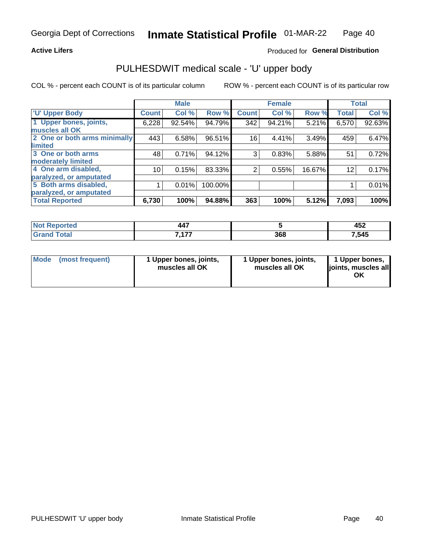#### **Active Lifers**

### Produced for General Distribution

## PULHESDWIT medical scale - 'U' upper body

COL % - percent each COUNT is of its particular column

|                              |               | <b>Male</b> |         |              | <b>Female</b> |        |              | <b>Total</b> |
|------------------------------|---------------|-------------|---------|--------------|---------------|--------|--------------|--------------|
| <b>U' Upper Body</b>         | <b>Count!</b> | Col %       | Row %   | <b>Count</b> | Col %         | Row %  | <b>Total</b> | Col %        |
| 1 Upper bones, joints,       | 6,228         | 92.54%      | 94.79%  | 342          | 94.21%        | 5.21%  | 6,570        | 92.63%       |
| muscles all OK               |               |             |         |              |               |        |              |              |
| 2 One or both arms minimally | 443           | 6.58%       | 96.51%  | 16           | 4.41%         | 3.49%  | 459          | 6.47%        |
| limited                      |               |             |         |              |               |        |              |              |
| 3 One or both arms           | 48            | 0.71%       | 94.12%  | 3            | 0.83%         | 5.88%  | 51           | 0.72%        |
| <b>moderately limited</b>    |               |             |         |              |               |        |              |              |
| 4 One arm disabled,          | 10            | 0.15%       | 83.33%  | 2            | 0.55%         | 16.67% | 12           | 0.17%        |
| paralyzed, or amputated      |               |             |         |              |               |        |              |              |
| 5 Both arms disabled,        |               | 0.01%       | 100.00% |              |               |        |              | 0.01%        |
| paralyzed, or amputated      |               |             |         |              |               |        |              |              |
| <b>Total Reported</b>        | 6,730         | 100%        | 94.88%  | 363          | 100%          | 5.12%  | 7,093        | 100%         |

| τeα<br>w | $\overline{\phantom{a}}$<br>447 |     | ハドク<br>TVL |
|----------|---------------------------------|-----|------------|
|          | 477<br>.                        | 368 | 7,545      |

| Mode<br>(most frequent) | 1 Upper bones, joints,<br>muscles all OK | 1 Upper bones, joints,<br>muscles all OK | 1 Upper bones,<br>joints, muscles all<br>ΟK |
|-------------------------|------------------------------------------|------------------------------------------|---------------------------------------------|
|-------------------------|------------------------------------------|------------------------------------------|---------------------------------------------|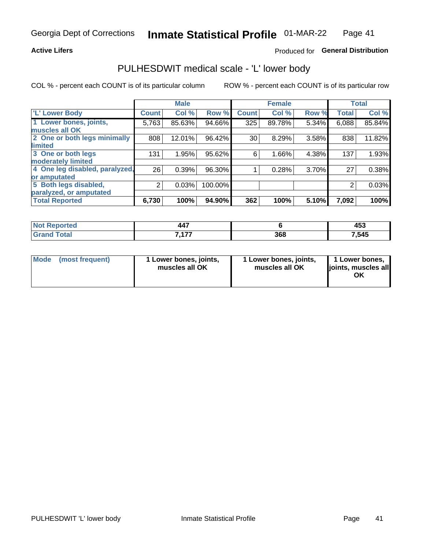#### **Active Lifers**

#### Produced for General Distribution

### PULHESDWIT medical scale - 'L' lower body

COL % - percent each COUNT is of its particular column

|                                |              | <b>Male</b> |         |              | <b>Female</b> |       |              | <b>Total</b> |
|--------------------------------|--------------|-------------|---------|--------------|---------------|-------|--------------|--------------|
| 'L' Lower Body                 | <b>Count</b> | Col %       | Row %   | <b>Count</b> | Col %         | Row % | <b>Total</b> | Col %        |
| 1 Lower bones, joints,         | 5,763        | 85.63%      | 94.66%  | 325          | 89.78%        | 5.34% | 6,088        | 85.84%       |
| muscles all OK                 |              |             |         |              |               |       |              |              |
| 2 One or both legs minimally   | 808          | 12.01%      | 96.42%  | 30           | 8.29%         | 3.58% | 838          | 11.82%       |
| limited                        |              |             |         |              |               |       |              |              |
| 3 One or both legs             | 131          | 1.95%       | 95.62%  | 6            | 1.66%         | 4.38% | 137          | 1.93%        |
| moderately limited             |              |             |         |              |               |       |              |              |
| 4 One leg disabled, paralyzed, | 26           | 0.39%       | 96.30%  |              | 0.28%         | 3.70% | 27           | 0.38%        |
| or amputated                   |              |             |         |              |               |       |              |              |
| 5 Both legs disabled,          | 2            | 0.03%       | 100.00% |              |               |       | 2            | 0.03%        |
| paralyzed, or amputated        |              |             |         |              |               |       |              |              |
| <b>Total Reported</b>          | 6,730        | 100%        | 94.90%  | 362          | 100%          | 5.10% | 7,092        | 100%         |

| Reported              | $\overline{a}$<br>447 |     | .<br>−∪J |
|-----------------------|-----------------------|-----|----------|
| <b>Total</b><br>Grand | 7.177<br>.            | 368 | 7,545    |

| Mode | (most frequent) | 1 Lower bones, joints,<br>muscles all OK | 1 Lower bones, joints,<br>muscles all OK | 1 Lower bones,<br>joints, muscles all<br>ΟK |
|------|-----------------|------------------------------------------|------------------------------------------|---------------------------------------------|
|------|-----------------|------------------------------------------|------------------------------------------|---------------------------------------------|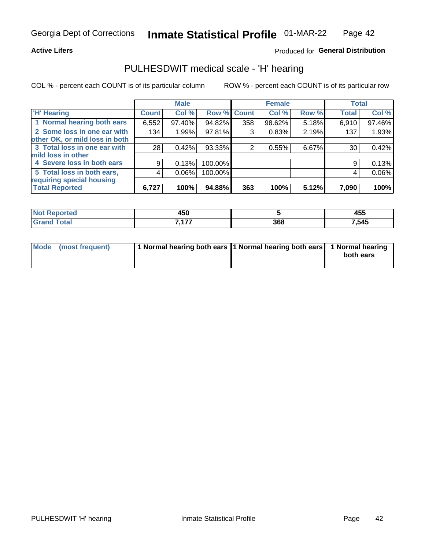#### **Active Lifers**

#### Produced for General Distribution

### PULHESDWIT medical scale - 'H' hearing

COL % - percent each COUNT is of its particular column

|                                |              | <b>Male</b> |                    |     | <b>Female</b> |       | <b>Total</b> |        |
|--------------------------------|--------------|-------------|--------------------|-----|---------------|-------|--------------|--------|
| <b>H' Hearing</b>              | <b>Count</b> | Col %       | <b>Row % Count</b> |     | Col %         | Row % | <b>Total</b> | Col %  |
| 1 Normal hearing both ears     | 6,552        | 97.40%      | 94.82%             | 358 | 98.62%        | 5.18% | 6,910        | 97.46% |
| 2 Some loss in one ear with    | 134          | 1.99%       | 97.81%             | 3   | 0.83%         | 2.19% | 137          | 1.93%  |
| other OK, or mild loss in both |              |             |                    |     |               |       |              |        |
| 3 Total loss in one ear with   | 28           | 0.42%       | 93.33%             | 2   | 0.55%         | 6.67% | 30           | 0.42%  |
| mild loss in other             |              |             |                    |     |               |       |              |        |
| 4 Severe loss in both ears     | 9            | 0.13%       | 100.00%            |     |               |       | 9            | 0.13%  |
| 5 Total loss in both ears,     | 4            | 0.06%       | 100.00%            |     |               |       | 4            | 0.06%  |
| requiring special housing      |              |             |                    |     |               |       |              |        |
| <b>Total Reported</b>          | 6,727        | 100%        | 94.88%             | 363 | 100%          | 5.12% | 7,090        | 100%   |

| 1 P A<br>40 U     |     | 455   |
|-------------------|-----|-------|
| - ---<br>. .<br>. | 368 | 7,545 |

| Mode (most frequent) | 1 Normal hearing both ears 1 Normal hearing both ears 1 Normal hearing |           |
|----------------------|------------------------------------------------------------------------|-----------|
|                      |                                                                        | both ears |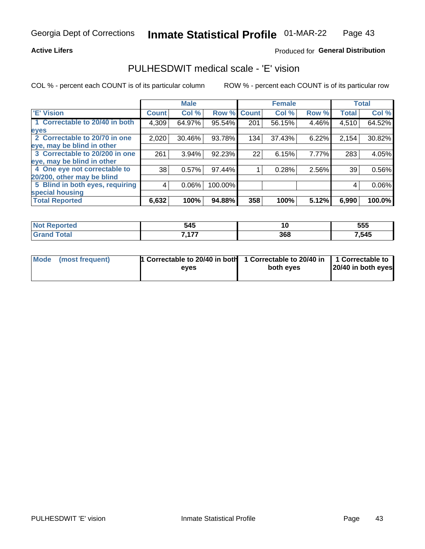#### **Active Lifers**

#### Produced for General Distribution

### PULHESDWIT medical scale - 'E' vision

COL % - percent each COUNT is of its particular column

|                                 |              | <b>Male</b> |         |              | <b>Female</b> |       |              | <b>Total</b> |
|---------------------------------|--------------|-------------|---------|--------------|---------------|-------|--------------|--------------|
| 'E' Vision                      | <b>Count</b> | Col %       | Row %   | <b>Count</b> | Col %         | Row % | <b>Total</b> | Col %        |
| 1 Correctable to 20/40 in both  | 4,309        | 64.97%      | 95.54%  | 201          | 56.15%        | 4.46% | 4,510        | 64.52%       |
| eyes                            |              |             |         |              |               |       |              |              |
| 2 Correctable to 20/70 in one   | 2,020        | 30.46%      | 93.78%  | 134          | 37.43%        | 6.22% | 2,154        | 30.82%       |
| eye, may be blind in other      |              |             |         |              |               |       |              |              |
| 3 Correctable to 20/200 in one  | 261          | 3.94%       | 92.23%  | 22           | 6.15%         | 7.77% | 283          | 4.05%        |
| leye, may be blind in other     |              |             |         |              |               |       |              |              |
| 4 One eye not correctable to    | 38           | 0.57%       | 97.44%  |              | 0.28%         | 2.56% | 39           | 0.56%        |
| 20/200, other may be blind      |              |             |         |              |               |       |              |              |
| 5 Blind in both eyes, requiring | 4            | 0.06%       | 100.00% |              |               |       | 4            | 0.06%        |
| special housing                 |              |             |         |              |               |       |              |              |
| <b>Total Reported</b>           | 6,632        | 100%        | 94.88%  | 358          | 100%          | 5.12% | 6,990        | 100.0%       |

| тес. | 545            | <u>., </u> | 555   |
|------|----------------|------------|-------|
|      | $\overline{a}$ | 368        | 7,545 |

| Mode (most frequent) | 1 Correctable to 20/40 in both<br>eves | 1 Correctable to 20/40 in   1 Correctable to  <br>both eves | 20/40 in both eyes |
|----------------------|----------------------------------------|-------------------------------------------------------------|--------------------|
|                      |                                        |                                                             |                    |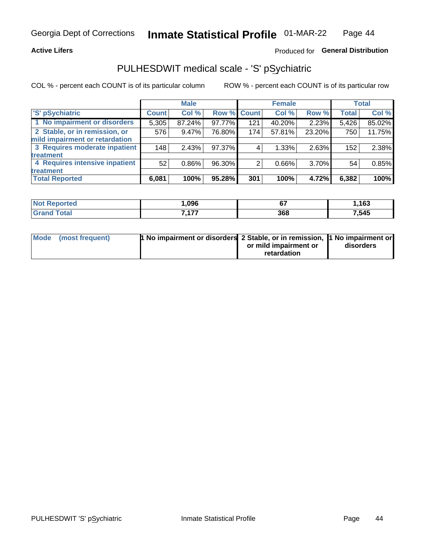#### **Active Lifers**

### Produced for General Distribution

## PULHESDWIT medical scale - 'S' pSychiatric

COL % - percent each COUNT is of its particular column

|                                |              | <b>Male</b> |             |     | <b>Female</b> |        |              | <b>Total</b> |
|--------------------------------|--------------|-------------|-------------|-----|---------------|--------|--------------|--------------|
| 'S' pSychiatric                | <b>Count</b> | Col %       | Row % Count |     | Col %         | Row %  | <b>Total</b> | Col %        |
| 1 No impairment or disorders   | 5,305        | 87.24%      | 97.77%      | 121 | 40.20%        | 2.23%  | 5,426        | 85.02%       |
| 2 Stable, or in remission, or  | 576          | $9.47\%$    | 76.80%      | 174 | 57.81%        | 23.20% | 750          | 11.75%       |
| mild impairment or retardation |              |             |             |     |               |        |              |              |
| 3 Requires moderate inpatient  | 148          | 2.43%       | 97.37%      | 4   | 1.33%         | 2.63%  | 152          | 2.38%        |
| treatment                      |              |             |             |     |               |        |              |              |
| 4 Requires intensive inpatient | 52           | $0.86\%$    | 96.30%      | 2   | $0.66\%$      | 3.70%  | 54           | 0.85%        |
| treatment                      |              |             |             |     |               |        |              |              |
| <b>Total Reported</b>          | 6,081        | 100%        | 95.28%      | 301 | 100%          | 4.72%  | 6,382        | 100%         |

| .096                        | $\sim$<br>$ -$ | 163  |
|-----------------------------|----------------|------|
| ---<br>$\sim$ $\sim$ $\sim$ | 368            | ,545 |

| Mode (most frequent) | <sup>1</sup> No impairment or disorders 2 Stable, or in remission, 1 No impairment or |                       |           |
|----------------------|---------------------------------------------------------------------------------------|-----------------------|-----------|
|                      |                                                                                       | or mild impairment or | disorders |
|                      |                                                                                       | retardation           |           |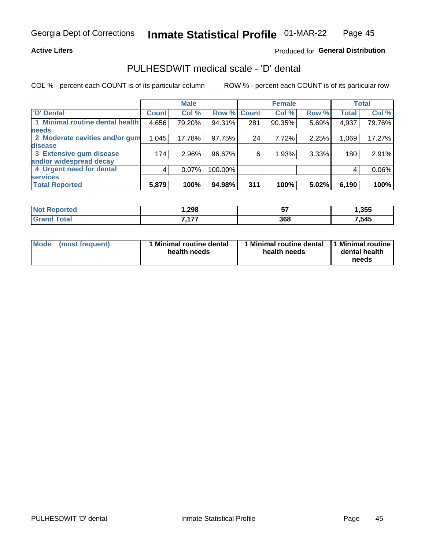#### **Active Lifers**

#### Produced for General Distribution

## PULHESDWIT medical scale - 'D' dental

COL % - percent each COUNT is of its particular column

|                                 |              | <b>Male</b> |         |              | <b>Female</b> |       |              | <b>Total</b> |
|---------------------------------|--------------|-------------|---------|--------------|---------------|-------|--------------|--------------|
| <b>D'</b> Dental                | <b>Count</b> | Col %       | Row %   | <b>Count</b> | Col %         | Row % | <b>Total</b> | Col %        |
| 1 Minimal routine dental health | 4,656        | 79.20%      | 94.31%  | 281          | 90.35%        | 5.69% | 4,937        | 79.76%       |
| <b>needs</b>                    |              |             |         |              |               |       |              |              |
| 2 Moderate cavities and/or gum  | 1,045        | 17.78%      | 97.75%  | 24           | 7.72%         | 2.25% | 1,069        | 17.27%       |
| disease                         |              |             |         |              |               |       |              |              |
| 3 Extensive gum disease         | 174          | 2.96%       | 96.67%  | 6            | 1.93%         | 3.33% | 180          | 2.91%        |
| and/or widespread decay         |              |             |         |              |               |       |              |              |
| 4 Urgent need for dental        | 4            | $0.07\%$    | 100.00% |              |               |       | 4            | 0.06%        |
| <b>services</b>                 |              |             |         |              |               |       |              |              |
| <b>Total Reported</b>           | 5,879        | 100%        | 94.98%  | 311          | 100%          | 5.02% | 6,190        | 100%         |

| <b>Not Reported</b> | ,298                | --<br>J. | ,355  |
|---------------------|---------------------|----------|-------|
| <b>Total</b>        | $\overline{a}$<br>. | 368      | 7,545 |

| <b>Mode</b> | (most frequent) | <b>Minimal routine dental</b><br>health needs | 1 Minimal routine dental   1 Minimal routine  <br>health needs | dental health<br>needs |
|-------------|-----------------|-----------------------------------------------|----------------------------------------------------------------|------------------------|
|-------------|-----------------|-----------------------------------------------|----------------------------------------------------------------|------------------------|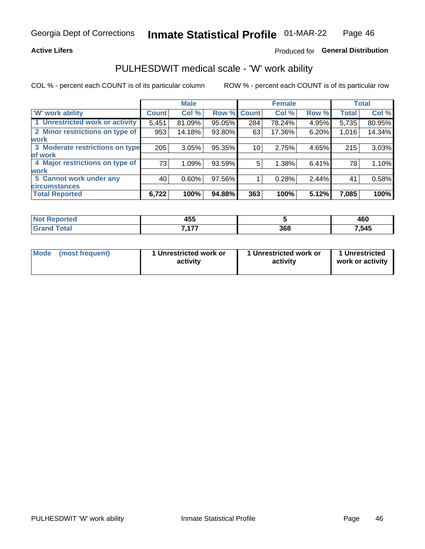#### **Active Lifers**

### Produced for General Distribution

### PULHESDWIT medical scale - 'W' work ability

COL % - percent each COUNT is of its particular column

|                                 |              | <b>Male</b> |             |     | <b>Female</b> |       |              | <b>Total</b> |
|---------------------------------|--------------|-------------|-------------|-----|---------------|-------|--------------|--------------|
| 'W' work ability                | <b>Count</b> | Col %       | Row % Count |     | Col %         | Row % | <b>Total</b> | Col %        |
| 1 Unrestricted work or activity | 5,451        | 81.09%      | 95.05%      | 284 | 78.24%        | 4.95% | 5,735        | 80.95%       |
| 2 Minor restrictions on type of | 953          | 14.18%      | 93.80%      | 63  | 17.36%        | 6.20% | 1,016        | 14.34%       |
| <b>work</b>                     |              |             |             |     |               |       |              |              |
| 3 Moderate restrictions on type | 205          | 3.05%       | 95.35%      | 10  | 2.75%         | 4.65% | 215          | 3.03%        |
| of work                         |              |             |             |     |               |       |              |              |
| 4 Major restrictions on type of | 73           | 1.09%       | 93.59%      | 5   | 1.38%         | 6.41% | 78           | 1.10%        |
| <b>work</b>                     |              |             |             |     |               |       |              |              |
| 5 Cannot work under any         | 40           | $0.60\%$    | 97.56%      |     | 0.28%         | 2.44% | 41           | 0.58%        |
| <b>circumstances</b>            |              |             |             |     |               |       |              |              |
| <b>Total Reported</b>           | 6,722        | 100%        | 94.88%      | 363 | 100%          | 5.12% | 7,085        | 100%         |

| <b>Not Reported</b> | .<br>טר  |     | 460   |
|---------------------|----------|-----|-------|
| Total<br>ا الله ا   | ---<br>. | 368 | 7,545 |

| Mode            | 1 Unrestricted work or | 1 Unrestricted work or | 1 Unrestricted   |
|-----------------|------------------------|------------------------|------------------|
| (most frequent) | activity               | activity               | work or activity |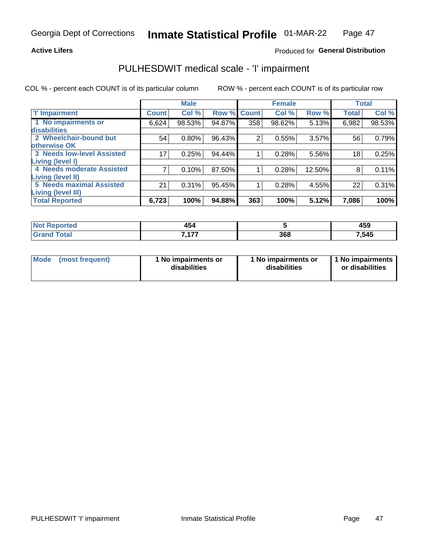#### **Active Lifers**

#### Produced for General Distribution

## PULHESDWIT medical scale - 'I' impairment

|                                   |              | <b>Male</b> |        |             | <b>Female</b> |        |              | <b>Total</b> |
|-----------------------------------|--------------|-------------|--------|-------------|---------------|--------|--------------|--------------|
| <b>T' Impairment</b>              | <b>Count</b> | Col %       |        | Row % Count | Col %         | Row %  | <b>Total</b> | Col %        |
| 1 No impairments or               | 6,624        | 98.53%      | 94.87% | 358         | 98.62%        | 5.13%  | 6,982        | 98.53%       |
| disabilities                      |              |             |        |             |               |        |              |              |
| 2 Wheelchair-bound but            | 54           | $0.80\%$    | 96.43% | 2           | 0.55%         | 3.57%  | 56           | 0.79%        |
| otherwise OK                      |              |             |        |             |               |        |              |              |
| <b>3 Needs low-level Assisted</b> | 17           | 0.25%       | 94.44% |             | 0.28%         | 5.56%  | 18           | 0.25%        |
| Living (level I)                  |              |             |        |             |               |        |              |              |
| 4 Needs moderate Assisted         |              | 0.10%       | 87.50% |             | 0.28%         | 12.50% | 8            | 0.11%        |
| <b>Living (level II)</b>          |              |             |        |             |               |        |              |              |
| <b>5 Needs maximal Assisted</b>   | 21           | 0.31%       | 95.45% |             | 0.28%         | 4.55%  | 22           | 0.31%        |
| <b>Living (level III)</b>         |              |             |        |             |               |        |              |              |
| <b>Total Reported</b>             | 6,723        | 100%        | 94.88% | 363         | 100%          | 5.12%  | 7,086        | 100%         |

| ™rteα | 494        |     | <b>ARC</b> |  |
|-------|------------|-----|------------|--|
| m.    | ___        |     | 403        |  |
| υιαι  | - ---<br>. | 368 | 7,545      |  |

| <b>Mode</b> | (most frequent) | 1 No impairments or<br>disabilities | 1 No impairments or<br>disabilities | 1 No impairments<br>or disabilities |
|-------------|-----------------|-------------------------------------|-------------------------------------|-------------------------------------|
|-------------|-----------------|-------------------------------------|-------------------------------------|-------------------------------------|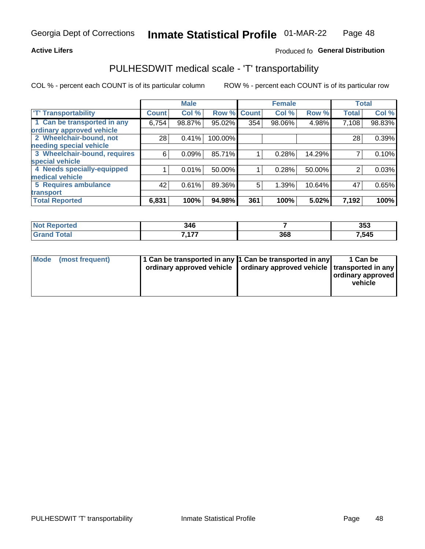#### **Active Lifers**

### Produced fo General Distribution

## PULHESDWIT medical scale - 'T' transportability

COL % - percent each COUNT is of its particular column

|                              |              | <b>Male</b> |         |              | <b>Female</b> |        |              | <b>Total</b> |
|------------------------------|--------------|-------------|---------|--------------|---------------|--------|--------------|--------------|
| <b>T' Transportability</b>   | <b>Count</b> | Col %       | Row %   | <b>Count</b> | Col %         | Row %  | <b>Total</b> | Col %        |
| 1 Can be transported in any  | 6,754        | 98.87%      | 95.02%  | 354          | 98.06%        | 4.98%  | 7,108        | 98.83%       |
| ordinary approved vehicle    |              |             |         |              |               |        |              |              |
| 2 Wheelchair-bound, not      | 28           | 0.41%       | 100.00% |              |               |        | 28           | 0.39%        |
| needing special vehicle      |              |             |         |              |               |        |              |              |
| 3 Wheelchair-bound, requires | 6            | 0.09%       | 85.71%  |              | 0.28%         | 14.29% |              | 0.10%        |
| special vehicle              |              |             |         |              |               |        |              |              |
| 4 Needs specially-equipped   |              | 0.01%       | 50.00%  |              | 0.28%         | 50.00% |              | 0.03%        |
| medical vehicle              |              |             |         |              |               |        |              |              |
| <b>5 Requires ambulance</b>  | 42           | 0.61%       | 89.36%  | 5            | 1.39%         | 10.64% | 47           | 0.65%        |
| transport                    |              |             |         |              |               |        |              |              |
| <b>Total Reported</b>        | 6,831        | 100%        | 94.98%  | 361          | 100%          | 5.02%  | 7,192        | 100%         |

| orted        | 346        |     | 353   |
|--------------|------------|-----|-------|
| <b>Total</b> | 7.177<br>. | 368 | 7,545 |

|  | Mode (most frequent) | 1 Can be transported in any 1 Can be transported in any<br>ordinary approved vehicle   ordinary approved vehicle   transported in any |  | 1 Can be<br>  ordinary approved  <br>vehicle |
|--|----------------------|---------------------------------------------------------------------------------------------------------------------------------------|--|----------------------------------------------|
|--|----------------------|---------------------------------------------------------------------------------------------------------------------------------------|--|----------------------------------------------|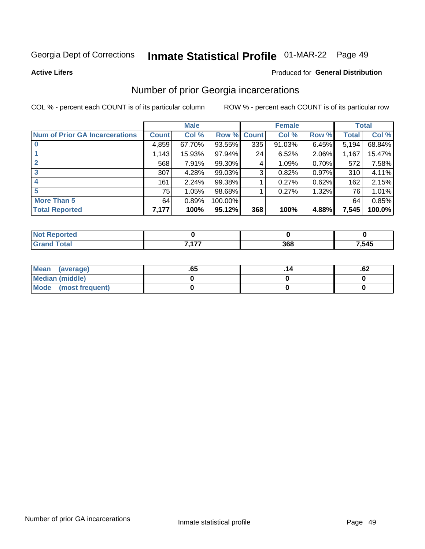## Inmate Statistical Profile 01-MAR-22 Page 49

**Active Lifers** 

#### Produced for General Distribution

### Number of prior Georgia incarcerations

COL % - percent each COUNT is of its particular column

|                                       | <b>Male</b>  |        |           |              | <b>Female</b> | <b>Total</b> |       |        |
|---------------------------------------|--------------|--------|-----------|--------------|---------------|--------------|-------|--------|
| <b>Num of Prior GA Incarcerations</b> | <b>Count</b> | Col %  | Row %     | <b>Count</b> | Col %         | Row %        | Total | Col %  |
|                                       | 4,859        | 67.70% | 93.55%    | 335          | 91.03%        | 6.45%        | 5,194 | 68.84% |
|                                       | 1,143        | 15.93% | 97.94%    | 24           | 6.52%         | 2.06%        | 1,167 | 15.47% |
| $\mathbf{2}$                          | 568          | 7.91%  | 99.30%    | 4            | 1.09%         | 0.70%        | 572   | 7.58%  |
|                                       | 307          | 4.28%  | 99.03%    | 3            | 0.82%         | 0.97%        | 310   | 4.11%  |
| 4                                     | 161          | 2.24%  | 99.38%    |              | 0.27%         | 0.62%        | 162   | 2.15%  |
| 5                                     | 75           | 1.05%  | 98.68%    |              | 0.27%         | 1.32%        | 76    | 1.01%  |
| <b>More Than 5</b>                    | 64           | 0.89%  | 100.00%   |              |               |              | 64    | 0.85%  |
| <b>Total Reported</b>                 | 7,177        | 100%   | $95.12\%$ | 368          | 100%          | 4.88%        | 7,545 | 100.0% |

| тео    |            |     |      |  |
|--------|------------|-----|------|--|
| $\sim$ | 7.477<br>. | 368 | .545 |  |

| Mean (average)       | .65 | ٥۷. |
|----------------------|-----|-----|
| Median (middle)      |     |     |
| Mode (most frequent) |     |     |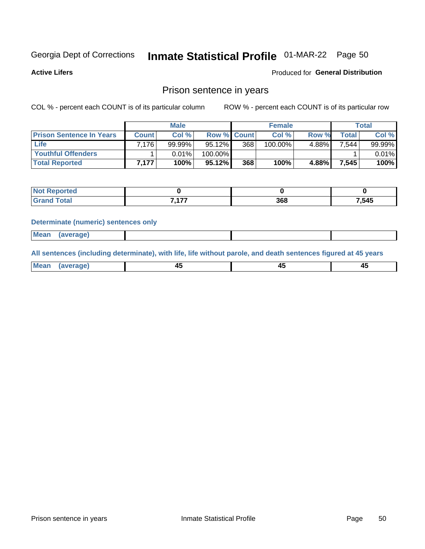## Inmate Statistical Profile 01-MAR-22 Page 50

**Active Lifers** 

### Produced for General Distribution

### Prison sentence in years

COL % - percent each COUNT is of its particular column

ROW % - percent each COUNT is of its particular row

|                                 | <b>Male</b> |        |                    | <b>Female</b> |         |          | Total  |        |
|---------------------------------|-------------|--------|--------------------|---------------|---------|----------|--------|--------|
| <b>Prison Sentence In Years</b> | Count l     | Col %  | <b>Row % Count</b> |               | Col %   | Row %    | Total  | Col %  |
| <b>Life</b>                     | 7.176       | 99.99% | $95.12\%$          | 368           | 100.00% | $4.88\%$ | 7,544  | 99.99% |
| Youthful Offenders              |             | 0.01%  | 100.00%            |               |         |          |        | 0.01%  |
| <b>Total Reported</b>           | 7.177       | 100%   | $95.12\%$          | 368           | 100%    | 4.88%    | 7,545⊺ | 100%   |

| кно   |              |     |       |
|-------|--------------|-----|-------|
| 'otal | 7.477<br>. . | 368 | 7,545 |

#### **Determinate (numeric) sentences only**

| Mean | (average)<br>. . |  |  |
|------|------------------|--|--|
|      |                  |  |  |

All sentences (including determinate), with life, life without parole, and death sentences figured at 45 years

| Me<br>in r-<br>---<br>------- |  |  |  |
|-------------------------------|--|--|--|
|                               |  |  |  |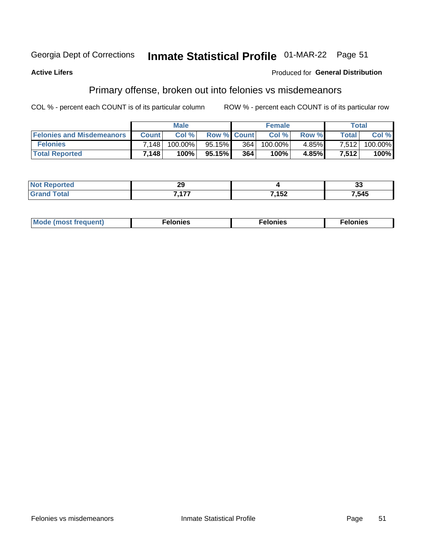#### Inmate Statistical Profile 01-MAR-22 Page 51 Georgia Dept of Corrections

#### **Active Lifers**

#### Produced for General Distribution

## Primary offense, broken out into felonies vs misdemeanors

COL % - percent each COUNT is of its particular column

|                                  | <b>Male</b>  |            |                    | <b>Female</b>    |         |          | Total        |         |
|----------------------------------|--------------|------------|--------------------|------------------|---------|----------|--------------|---------|
| <b>Felonies and Misdemeanors</b> | <b>Count</b> | Col %      | <b>Row % Count</b> |                  | Col%    | Row %    | <b>Total</b> | Col %   |
| <b>Felonies</b>                  | 7.148        | $100.00\%$ | 95.15%             | 364 <sub>1</sub> | 100.00% | 4.85%    | 7,512        | 100.00% |
| <b>Total Reported</b>            | 7.148        | 100%       | 95.15%             | 364              | 100%    | $4.85\%$ | 7.512        | 100%    |

| <b>Not</b><br><b>orted</b> | 00<br>∼∸<br>$\sim$ |       | $\sim$<br>v. |
|----------------------------|--------------------|-------|--------------|
| Grat<br>v.u                | 7.477              | 7,152 | ,545         |

| <b>Mode</b><br>frequent)<br>nies<br>≧ (most tr.<br>. | onies<br>. | lonies<br>енл<br>____ |
|------------------------------------------------------|------------|-----------------------|
|------------------------------------------------------|------------|-----------------------|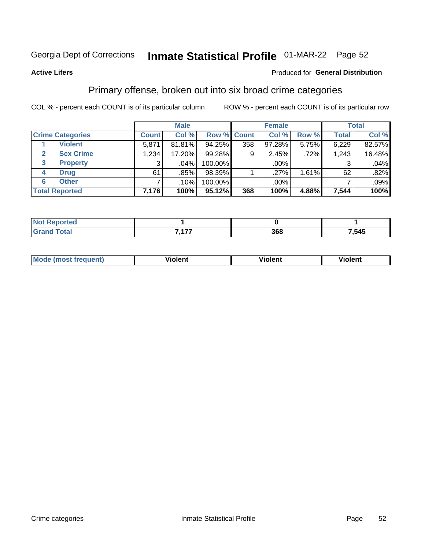## Inmate Statistical Profile 01-MAR-22 Page 52

#### **Active Lifers**

#### Produced for General Distribution

### Primary offense, broken out into six broad crime categories

COL % - percent each COUNT is of its particular column

|                         | <b>Male</b>  |         |             | <b>Female</b>  |        |         | <b>Total</b> |        |
|-------------------------|--------------|---------|-------------|----------------|--------|---------|--------------|--------|
| <b>Crime Categories</b> | <b>Count</b> | Col %   | Row % Count |                | Col %  | Row %   | <b>Total</b> | Col %  |
| <b>Violent</b>          | 5,871        | 81.81%  | 94.25%      | 358            | 97.28% | 5.75%   | 6,229        | 82.57% |
| <b>Sex Crime</b>        | 1,234        | 17.20%  | 99.28%      | 9 <sub>1</sub> | 2.45%  | $.72\%$ | 1,243        | 16.48% |
| 3<br><b>Property</b>    | 3            | .04%    | 100.00%     |                | .00%   |         |              | .04%   |
| <b>Drug</b><br>4        | 61           | .85%    | 98.39%      |                | .27%   | 1.61%   | 62           | .82%   |
| <b>Other</b><br>6       |              | $.10\%$ | 100.00%     |                | .00%   |         |              | .09%   |
| <b>Total Reported</b>   | 7,176        | 100%    | $95.12\%$   | 368            | 100%   | 4.88%   | 7,544        | 100%   |

| <b>Not Reported</b> |                    |     |       |
|---------------------|--------------------|-----|-------|
| 'Total              | $\rightarrow$<br>. | 368 | ',545 |

| M | <br>.<br>-------- | m<br>$\cdots$ |
|---|-------------------|---------------|
|   |                   |               |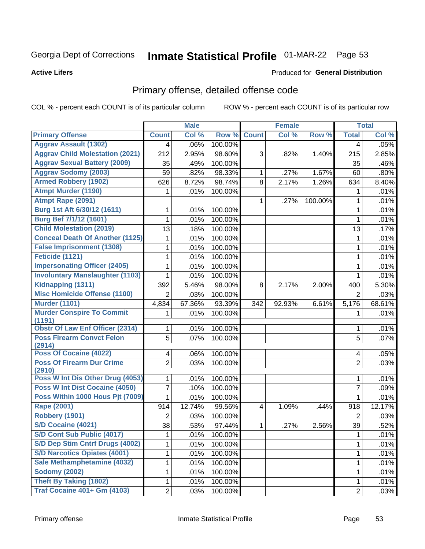## Inmate Statistical Profile 01-MAR-22 Page 53

**Active Lifers** 

#### Produced for General Distribution

## Primary offense, detailed offense code

COL % - percent each COUNT is of its particular column

|                                            |                | <b>Male</b> |         |                         | <b>Female</b> |         |                | <b>Total</b> |
|--------------------------------------------|----------------|-------------|---------|-------------------------|---------------|---------|----------------|--------------|
| <b>Primary Offense</b>                     | <b>Count</b>   | Col %       | Row %   | <b>Count</b>            | Col %         | Row %   | <b>Total</b>   | Col %        |
| <b>Aggrav Assault (1302)</b>               | 4              | .06%        | 100.00% |                         |               |         | 4              | .05%         |
| <b>Aggrav Child Molestation (2021)</b>     | 212            | 2.95%       | 98.60%  | 3                       | .82%          | 1.40%   | 215            | 2.85%        |
| <b>Aggrav Sexual Battery (2009)</b>        | 35             | .49%        | 100.00% |                         |               |         | 35             | .46%         |
| <b>Aggrav Sodomy (2003)</b>                | 59             | .82%        | 98.33%  | 1                       | .27%          | 1.67%   | 60             | .80%         |
| <b>Armed Robbery (1902)</b>                | 626            | 8.72%       | 98.74%  | 8                       | 2.17%         | 1.26%   | 634            | 8.40%        |
| <b>Atmpt Murder (1190)</b>                 | 1              | .01%        | 100.00% |                         |               |         | 1              | .01%         |
| Atmpt Rape (2091)                          |                |             |         | 1                       | .27%          | 100.00% | 1              | .01%         |
| Burg 1st Aft 6/30/12 (1611)                | 1              | .01%        | 100.00% |                         |               |         | 1              | .01%         |
| <b>Burg Bef 7/1/12 (1601)</b>              | 1              | .01%        | 100.00% |                         |               |         | 1              | .01%         |
| <b>Child Molestation (2019)</b>            | 13             | .18%        | 100.00% |                         |               |         | 13             | .17%         |
| <b>Conceal Death Of Another (1125)</b>     | 1              | .01%        | 100.00% |                         |               |         | 1              | .01%         |
| <b>False Imprisonment (1308)</b>           | 1              | .01%        | 100.00% |                         |               |         | 1              | .01%         |
| Feticide (1121)                            | 1              | .01%        | 100.00% |                         |               |         | 1              | .01%         |
| <b>Impersonating Officer (2405)</b>        | 1              | .01%        | 100.00% |                         |               |         | $\mathbf{1}$   | .01%         |
| <b>Involuntary Manslaughter (1103)</b>     | 1              | .01%        | 100.00% |                         |               |         | 1              | .01%         |
| Kidnapping (1311)                          | 392            | 5.46%       | 98.00%  | 8                       | 2.17%         | 2.00%   | 400            | 5.30%        |
| <b>Misc Homicide Offense (1100)</b>        | $\overline{2}$ | .03%        | 100.00% |                         |               |         | $\overline{2}$ | .03%         |
| <b>Murder (1101)</b>                       | 4,834          | 67.36%      | 93.39%  | 342                     | 92.93%        | 6.61%   | 5,176          | 68.61%       |
| <b>Murder Conspire To Commit</b><br>(1191) | 1              | .01%        | 100.00% |                         |               |         | 1              | .01%         |
| <b>Obstr Of Law Enf Officer (2314)</b>     | 1              | .01%        | 100.00% |                         |               |         | 1              | .01%         |
| <b>Poss Firearm Convct Felon</b><br>(2914) | 5              | .07%        | 100.00% |                         |               |         | $\overline{5}$ | .07%         |
| Poss Of Cocaine (4022)                     | 4              | .06%        | 100.00% |                         |               |         | 4              | .05%         |
| <b>Poss Of Firearm Dur Crime</b><br>(2910) | $\overline{2}$ | .03%        | 100.00% |                         |               |         | $\overline{2}$ | .03%         |
| Poss W Int Dis Other Drug (4053)           | 1              | .01%        | 100.00% |                         |               |         | 1              | .01%         |
| Poss W Int Dist Cocaine (4050)             | 7              | .10%        | 100.00% |                         |               |         | $\overline{7}$ | .09%         |
| Poss Within 1000 Hous Pit (7009)           | 1              | .01%        | 100.00% |                         |               |         | 1              | .01%         |
| Rape (2001)                                | 914            | 12.74%      | 99.56%  | $\overline{\mathbf{4}}$ | 1.09%         | .44%    | 918            | 12.17%       |
| Robbery (1901)                             | $\overline{2}$ | .03%        | 100.00% |                         |               |         | $\overline{2}$ | .03%         |
| <b>S/D Cocaine (4021)</b>                  | 38             | .53%        | 97.44%  | 1.                      | .27%          | 2.56%   | 39             | .52%         |
| <b>S/D Cont Sub Public (4017)</b>          | 1              | .01%        | 100.00% |                         |               |         | 1              | .01%         |
| S/D Dep Stim Cntrf Drugs (4002)            | 1              | .01%        | 100.00% |                         |               |         | 1              | .01%         |
| <b>S/D Narcotics Opiates (4001)</b>        | 1              | .01%        | 100.00% |                         |               |         | 1              | .01%         |
| Sale Methamphetamine (4032)                | 1              | .01%        | 100.00% |                         |               |         | 1              | .01%         |
| <b>Sodomy (2002)</b>                       | 1              | .01%        | 100.00% |                         |               |         | 1              | .01%         |
| <b>Theft By Taking (1802)</b>              | 1              | .01%        | 100.00% |                         |               |         | 1              | .01%         |
| <b>Traf Cocaine 401+ Gm (4103)</b>         | $\overline{2}$ | .03%        | 100.00% |                         |               |         | $\overline{2}$ | .03%         |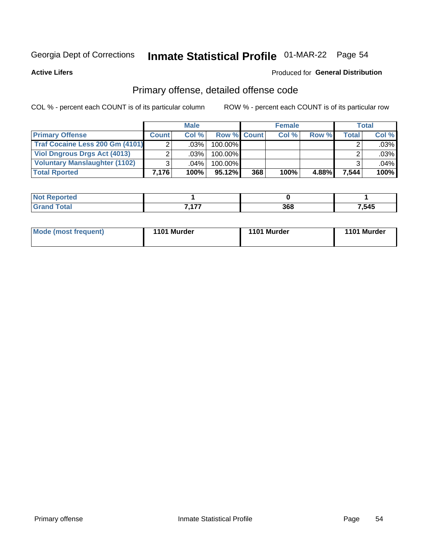## Inmate Statistical Profile 01-MAR-22 Page 54

**Active Lifers** 

#### Produced for General Distribution

## Primary offense, detailed offense code

COL % - percent each COUNT is of its particular column

|                                      |              | <b>Male</b> |                    |     | <b>Female</b> |       |         | Total   |
|--------------------------------------|--------------|-------------|--------------------|-----|---------------|-------|---------|---------|
| <b>Primary Offense</b>               | <b>Count</b> | Col%        | <b>Row % Count</b> |     | Col%          | Row % | Total I | Col %   |
| Traf Cocaine Less 200 Gm (4101)      |              | .03%        | 100.00%            |     |               |       |         | $.03\%$ |
| <b>Viol Dngrous Drgs Act (4013)</b>  |              | ا %03.      | 100.00%            |     |               |       |         | $.03\%$ |
| <b>Voluntary Manslaughter (1102)</b> |              | .04%        | 100.00%            |     |               |       |         | .04%    |
| <b>Total Rported</b>                 | 7.176        | 100%        | $95.12\%$          | 368 | 100%          | 4.88% | 7,544   | 100%    |

| NG<br>portea |            |     |       |
|--------------|------------|-----|-------|
|              | 7.477<br>, | 368 | 7,545 |

| Mode (most frequent) | 1101 Murder | 1101 Murder | 1101 Murder |
|----------------------|-------------|-------------|-------------|
|----------------------|-------------|-------------|-------------|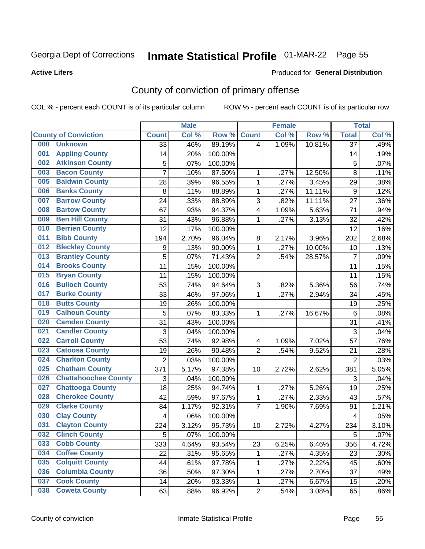## Inmate Statistical Profile 01-MAR-22 Page 55

**Active Lifers** 

#### **Produced for General Distribution**

## County of conviction of primary offense

COL % - percent each COUNT is of its particular column

|     |                             |                 | <b>Male</b> |         |                | <b>Female</b> |        |                  | <b>Total</b> |
|-----|-----------------------------|-----------------|-------------|---------|----------------|---------------|--------|------------------|--------------|
|     | <b>County of Conviction</b> | <b>Count</b>    | Col %       | Row %   | <b>Count</b>   | Col %         | Row %  | <b>Total</b>     | Col %        |
| 000 | <b>Unknown</b>              | $\overline{33}$ | .46%        | 89.19%  | 4              | 1.09%         | 10.81% | $\overline{37}$  | .49%         |
| 001 | <b>Appling County</b>       | 14              | .20%        | 100.00% |                |               |        | 14               | .19%         |
| 002 | <b>Atkinson County</b>      | 5               | .07%        | 100.00% |                |               |        | $\mathbf 5$      | .07%         |
| 003 | <b>Bacon County</b>         | $\overline{7}$  | .10%        | 87.50%  | 1              | .27%          | 12.50% | $\,8\,$          | .11%         |
| 005 | <b>Baldwin County</b>       | 28              | .39%        | 96.55%  | $\mathbf 1$    | .27%          | 3.45%  | 29               | .38%         |
| 006 | <b>Banks County</b>         | 8               | .11%        | 88.89%  | $\mathbf{1}$   | .27%          | 11.11% | $\boldsymbol{9}$ | .12%         |
| 007 | <b>Barrow County</b>        | 24              | .33%        | 88.89%  | 3              | .82%          | 11.11% | 27               | .36%         |
| 008 | <b>Bartow County</b>        | 67              | .93%        | 94.37%  | 4              | 1.09%         | 5.63%  | 71               | .94%         |
| 009 | <b>Ben Hill County</b>      | 31              | .43%        | 96.88%  | 1              | .27%          | 3.13%  | 32               | .42%         |
| 010 | <b>Berrien County</b>       | 12              | .17%        | 100.00% |                |               |        | 12               | .16%         |
| 011 | <b>Bibb County</b>          | 194             | 2.70%       | 96.04%  | 8              | 2.17%         | 3.96%  | 202              | 2.68%        |
| 012 | <b>Bleckley County</b>      | 9               | .13%        | 90.00%  | 1              | .27%          | 10.00% | 10               | .13%         |
| 013 | <b>Brantley County</b>      | 5               | .07%        | 71.43%  | $\overline{2}$ | .54%          | 28.57% | $\overline{7}$   | .09%         |
| 014 | <b>Brooks County</b>        | 11              | .15%        | 100.00% |                |               |        | 11               | .15%         |
| 015 | <b>Bryan County</b>         | 11              | .15%        | 100.00% |                |               |        | 11               | .15%         |
| 016 | <b>Bulloch County</b>       | 53              | .74%        | 94.64%  | 3              | .82%          | 5.36%  | 56               | .74%         |
| 017 | <b>Burke County</b>         | 33              | .46%        | 97.06%  | $\mathbf{1}$   | .27%          | 2.94%  | 34               | .45%         |
| 018 | <b>Butts County</b>         | 19              | .26%        | 100.00% |                |               |        | 19               | .25%         |
| 019 | <b>Calhoun County</b>       | 5               | .07%        | 83.33%  | 1              | .27%          | 16.67% | $\,6\,$          | .08%         |
| 020 | <b>Camden County</b>        | 31              | .43%        | 100.00% |                |               |        | 31               | .41%         |
| 021 | <b>Candler County</b>       | 3               | .04%        | 100.00% |                |               |        | 3                | .04%         |
| 022 | <b>Carroll County</b>       | 53              | .74%        | 92.98%  | 4              | 1.09%         | 7.02%  | 57               | .76%         |
| 023 | <b>Catoosa County</b>       | 19              | .26%        | 90.48%  | $\overline{2}$ | .54%          | 9.52%  | 21               | .28%         |
| 024 | <b>Charlton County</b>      | $\overline{2}$  | .03%        | 100.00% |                |               |        | $\overline{2}$   | .03%         |
| 025 | <b>Chatham County</b>       | 371             | 5.17%       | 97.38%  | 10             | 2.72%         | 2.62%  | 381              | 5.05%        |
| 026 | <b>Chattahoochee County</b> | 3               | .04%        | 100.00% |                |               |        | 3                | .04%         |
| 027 | <b>Chattooga County</b>     | 18              | .25%        | 94.74%  | $\mathbf 1$    | .27%          | 5.26%  | 19               | .25%         |
| 028 | <b>Cherokee County</b>      | 42              | .59%        | 97.67%  | $\mathbf 1$    | .27%          | 2.33%  | 43               | .57%         |
| 029 | <b>Clarke County</b>        | 84              | 1.17%       | 92.31%  | $\overline{7}$ | 1.90%         | 7.69%  | 91               | 1.21%        |
| 030 | <b>Clay County</b>          | 4               | .06%        | 100.00% |                |               |        | 4                | .05%         |
| 031 | <b>Clayton County</b>       | 224             | 3.12%       | 95.73%  | 10             | 2.72%         | 4.27%  | 234              | 3.10%        |
| 032 | <b>Clinch County</b>        | 5               | .07%        | 100.00% |                |               |        | 5                | .07%         |
| 033 | <b>Cobb County</b>          | 333             | 4.64%       | 93.54%  | 23             | 6.25%         | 6.46%  | 356              | 4.72%        |
| 034 | <b>Coffee County</b>        | 22              | .31%        | 95.65%  | 1              | .27%          | 4.35%  | 23               | .30%         |
| 035 | <b>Colquitt County</b>      | 44              | .61%        | 97.78%  | 1              | .27%          | 2.22%  | 45               | .60%         |
| 036 | <b>Columbia County</b>      | 36              | .50%        | 97.30%  | 1              | .27%          | 2.70%  | 37               | .49%         |
| 037 | <b>Cook County</b>          | 14              | .20%        | 93.33%  | $\mathbf{1}$   | .27%          | 6.67%  | 15               | .20%         |
| 038 | <b>Coweta County</b>        | 63              | .88%        | 96.92%  | $\overline{2}$ | .54%          | 3.08%  | 65               | .86%         |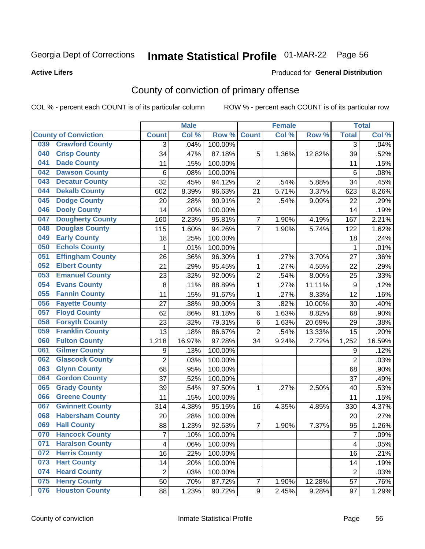## Inmate Statistical Profile 01-MAR-22 Page 56

Produced for General Distribution

#### **Active Lifers**

## County of conviction of primary offense

COL % - percent each COUNT is of its particular column

|                                |                | <b>Male</b> |                  |                  | <b>Female</b> |        |                | <b>Total</b> |
|--------------------------------|----------------|-------------|------------------|------------------|---------------|--------|----------------|--------------|
| <b>County of Conviction</b>    | <b>Count</b>   | Col %       | Row <sup>%</sup> | <b>Count</b>     | Col %         | Row %  | <b>Total</b>   | Col %        |
| <b>Crawford County</b><br>039  | 3              | .04%        | 100.00%          |                  |               |        | 3              | .04%         |
| <b>Crisp County</b><br>040     | 34             | .47%        | 87.18%           | 5                | 1.36%         | 12.82% | 39             | .52%         |
| <b>Dade County</b><br>041      | 11             | .15%        | 100.00%          |                  |               |        | 11             | .15%         |
| <b>Dawson County</b><br>042    | 6              | .08%        | 100.00%          |                  |               |        | 6              | .08%         |
| <b>Decatur County</b><br>043   | 32             | .45%        | 94.12%           | $\overline{2}$   | .54%          | 5.88%  | 34             | .45%         |
| <b>Dekalb County</b><br>044    | 602            | 8.39%       | 96.63%           | 21               | 5.71%         | 3.37%  | 623            | 8.26%        |
| <b>Dodge County</b><br>045     | 20             | .28%        | 90.91%           | $\overline{2}$   | .54%          | 9.09%  | 22             | .29%         |
| <b>Dooly County</b><br>046     | 14             | .20%        | 100.00%          |                  |               |        | 14             | .19%         |
| <b>Dougherty County</b><br>047 | 160            | 2.23%       | 95.81%           | $\overline{7}$   | 1.90%         | 4.19%  | 167            | 2.21%        |
| <b>Douglas County</b><br>048   | 115            | 1.60%       | 94.26%           | $\overline{7}$   | 1.90%         | 5.74%  | 122            | 1.62%        |
| <b>Early County</b><br>049     | 18             | .25%        | 100.00%          |                  |               |        | 18             | .24%         |
| <b>Echols County</b><br>050    | 1              | .01%        | 100.00%          |                  |               |        | 1              | .01%         |
| <b>Effingham County</b><br>051 | 26             | .36%        | 96.30%           | 1                | .27%          | 3.70%  | 27             | .36%         |
| <b>Elbert County</b><br>052    | 21             | .29%        | 95.45%           | 1                | .27%          | 4.55%  | 22             | .29%         |
| <b>Emanuel County</b><br>053   | 23             | .32%        | 92.00%           | $\overline{2}$   | .54%          | 8.00%  | 25             | .33%         |
| <b>Evans County</b><br>054     | 8              | .11%        | 88.89%           | 1                | .27%          | 11.11% | 9              | .12%         |
| <b>Fannin County</b><br>055    | 11             | .15%        | 91.67%           | 1                | .27%          | 8.33%  | 12             | .16%         |
| <b>Fayette County</b><br>056   | 27             | .38%        | 90.00%           | 3                | .82%          | 10.00% | 30             | .40%         |
| <b>Floyd County</b><br>057     | 62             | .86%        | 91.18%           | $\,6$            | 1.63%         | 8.82%  | 68             | .90%         |
| <b>Forsyth County</b><br>058   | 23             | .32%        | 79.31%           | $\,6$            | 1.63%         | 20.69% | 29             | .38%         |
| <b>Franklin County</b><br>059  | 13             | .18%        | 86.67%           | $\overline{2}$   | .54%          | 13.33% | 15             | .20%         |
| <b>Fulton County</b><br>060    | 1,218          | 16.97%      | 97.28%           | 34               | 9.24%         | 2.72%  | 1,252          | 16.59%       |
| <b>Gilmer County</b><br>061    | 9              | .13%        | 100.00%          |                  |               |        | 9              | .12%         |
| <b>Glascock County</b><br>062  | $\overline{2}$ | .03%        | 100.00%          |                  |               |        | $\overline{2}$ | .03%         |
| <b>Glynn County</b><br>063     | 68             | .95%        | 100.00%          |                  |               |        | 68             | .90%         |
| <b>Gordon County</b><br>064    | 37             | .52%        | 100.00%          |                  |               |        | 37             | .49%         |
| <b>Grady County</b><br>065     | 39             | .54%        | 97.50%           | 1                | .27%          | 2.50%  | 40             | .53%         |
| <b>Greene County</b><br>066    | 11             | .15%        | 100.00%          |                  |               |        | 11             | .15%         |
| <b>Gwinnett County</b><br>067  | 314            | 4.38%       | 95.15%           | 16               | 4.35%         | 4.85%  | 330            | 4.37%        |
| <b>Habersham County</b><br>068 | 20             | .28%        | 100.00%          |                  |               |        | 20             | .27%         |
| <b>Hall County</b><br>069      | 88             | 1.23%       | 92.63%           | 7                | 1.90%         | 7.37%  | 95             | 1.26%        |
| 070<br><b>Hancock County</b>   | 7              | .10%        | 100.00%          |                  |               |        | 7              | .09%         |
| <b>Haralson County</b><br>071  | 4              | .06%        | 100.00%          |                  |               |        | $\overline{4}$ | .05%         |
| <b>Harris County</b><br>072    | 16             | .22%        | 100.00%          |                  |               |        | 16             | .21%         |
| <b>Hart County</b><br>073      | 14             | .20%        | 100.00%          |                  |               |        | 14             | .19%         |
| <b>Heard County</b><br>074     | $\overline{2}$ | .03%        | 100.00%          |                  |               |        | $\overline{2}$ | .03%         |
| <b>Henry County</b><br>075     | 50             | .70%        | 87.72%           | 7                | 1.90%         | 12.28% | 57             | .76%         |
| <b>Houston County</b><br>076   | 88             | 1.23%       | 90.72%           | $\boldsymbol{9}$ | 2.45%         | 9.28%  | 97             | 1.29%        |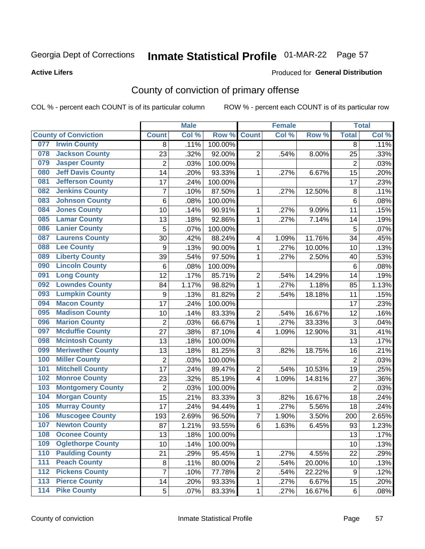## Inmate Statistical Profile 01-MAR-22 Page 57

**Active Lifers** 

#### **Produced for General Distribution**

## County of conviction of primary offense

COL % - percent each COUNT is of its particular column

|                                          |                  | <b>Male</b> |                  |                         | <b>Female</b> |        |                | <b>Total</b> |
|------------------------------------------|------------------|-------------|------------------|-------------------------|---------------|--------|----------------|--------------|
| <b>County of Conviction</b>              | <b>Count</b>     | Col %       | Row <sup>%</sup> | <b>Count</b>            | Col %         | Row %  | <b>Total</b>   | Col %        |
| <b>Irwin County</b><br>077               | 8                | .11%        | 100.00%          |                         |               |        | 8              | .11%         |
| <b>Jackson County</b><br>078             | 23               | .32%        | 92.00%           | $\overline{2}$          | .54%          | 8.00%  | 25             | .33%         |
| <b>Jasper County</b><br>079              | $\overline{2}$   | .03%        | 100.00%          |                         |               |        | 2              | .03%         |
| <b>Jeff Davis County</b><br>080          | 14               | .20%        | 93.33%           | 1                       | .27%          | 6.67%  | 15             | .20%         |
| <b>Jefferson County</b><br>081           | 17               | .24%        | 100.00%          |                         |               |        | 17             | .23%         |
| <b>Jenkins County</b><br>082             | $\overline{7}$   | .10%        | 87.50%           | 1                       | .27%          | 12.50% | 8              | .11%         |
| <b>Johnson County</b><br>083             | 6                | .08%        | 100.00%          |                         |               |        | $6\phantom{1}$ | .08%         |
| <b>Jones County</b><br>084               | 10               | .14%        | 90.91%           | 1                       | .27%          | 9.09%  | 11             | .15%         |
| <b>Lamar County</b><br>085               | 13               | .18%        | 92.86%           | 1                       | .27%          | 7.14%  | 14             | .19%         |
| <b>Lanier County</b><br>086              | 5                | .07%        | 100.00%          |                         |               |        | 5              | .07%         |
| <b>Laurens County</b><br>087             | 30               | .42%        | 88.24%           | $\overline{\mathbf{4}}$ | 1.09%         | 11.76% | 34             | .45%         |
| <b>Lee County</b><br>088                 | 9                | .13%        | 90.00%           | 1                       | .27%          | 10.00% | 10             | .13%         |
| <b>Liberty County</b><br>089             | 39               | .54%        | 97.50%           | 1                       | .27%          | 2.50%  | 40             | .53%         |
| <b>Lincoln County</b><br>090             | 6                | .08%        | 100.00%          |                         |               |        | 6              | .08%         |
| <b>Long County</b><br>091                | $\overline{12}$  | .17%        | 85.71%           | $\overline{2}$          | .54%          | 14.29% | 14             | .19%         |
| <b>Lowndes County</b><br>092             | 84               | 1.17%       | 98.82%           | 1                       | .27%          | 1.18%  | 85             | 1.13%        |
| <b>Lumpkin County</b><br>093             | $\boldsymbol{9}$ | .13%        | 81.82%           | $\overline{2}$          | .54%          | 18.18% | 11             | .15%         |
| <b>Macon County</b><br>094               | 17               | .24%        | 100.00%          |                         |               |        | 17             | .23%         |
| <b>Madison County</b><br>095             | 10               | .14%        | 83.33%           | $\overline{2}$          | .54%          | 16.67% | 12             | .16%         |
| <b>Marion County</b><br>096              | $\mathbf 2$      | .03%        | 66.67%           | 1                       | .27%          | 33.33% | 3              | .04%         |
| <b>Mcduffie County</b><br>097            | 27               | .38%        | 87.10%           | 4                       | 1.09%         | 12.90% | 31             | .41%         |
| <b>Mcintosh County</b><br>098            | 13               | .18%        | 100.00%          |                         |               |        | 13             | .17%         |
| <b>Meriwether County</b><br>099          | 13               | .18%        | 81.25%           | 3                       | .82%          | 18.75% | 16             | .21%         |
| <b>Miller County</b><br>100              | $\mathbf 2$      | .03%        | 100.00%          |                         |               |        | $\overline{2}$ | .03%         |
| <b>Mitchell County</b><br>101            | 17               | .24%        | 89.47%           | $\overline{2}$          | .54%          | 10.53% | 19             | .25%         |
| <b>Monroe County</b><br>102              | 23               | .32%        | 85.19%           | 4                       | 1.09%         | 14.81% | 27             | .36%         |
| <b>Montgomery County</b><br>103          | $\overline{2}$   | .03%        | 100.00%          |                         |               |        | $\overline{2}$ | .03%         |
| <b>Morgan County</b><br>104              | 15               | .21%        | 83.33%           | 3                       | .82%          | 16.67% | 18             | .24%         |
| <b>Murray County</b><br>105              | 17               | .24%        | 94.44%           | 1                       | .27%          | 5.56%  | 18             | .24%         |
| <b>Muscogee County</b><br>106            | 193              | 2.69%       | 96.50%           | $\overline{7}$          | 1.90%         | 3.50%  | 200            | 2.65%        |
| <b>Newton County</b><br>107              | 87               | 1.21%       | 93.55%           | $\,6$                   | 1.63%         | 6.45%  | 93             | 1.23%        |
| 108<br><b>Oconee County</b>              | 13               | .18%        | 100.00%          |                         |               |        | 13             | .17%         |
| <b>Oglethorpe County</b><br>109          | 10               | .14%        | 100.00%          |                         |               |        | 10             | .13%         |
| <b>Paulding County</b><br>110            | 21               | .29%        | 95.45%           | 1                       | .27%          | 4.55%  | 22             | .29%         |
| <b>Peach County</b><br>111               | 8                | .11%        | 80.00%           | $\overline{2}$          | .54%          | 20.00% | 10             | .13%         |
| <b>Pickens County</b><br>112             | 7                | .10%        | 77.78%           | $\overline{2}$          | .54%          | 22.22% | 9              | .12%         |
| <b>Pierce County</b><br>$\overline{113}$ | 14               | .20%        | 93.33%           | 1                       | .27%          | 6.67%  | 15             | .20%         |
| <b>Pike County</b><br>$\overline{114}$   | 5                | .07%        | 83.33%           | 1                       | .27%          | 16.67% | 6              | .08%         |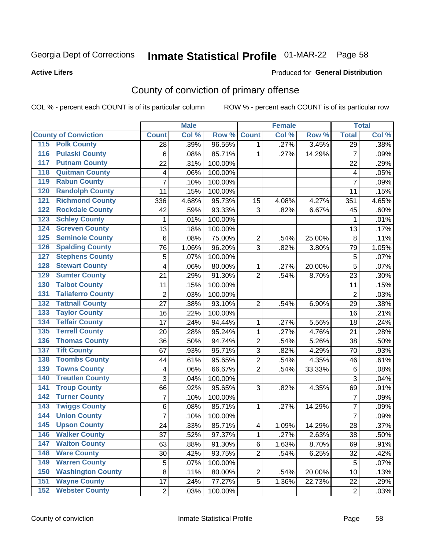## Inmate Statistical Profile 01-MAR-22 Page 58

**Active Lifers** 

#### Produced for General Distribution

## County of conviction of primary offense

COL % - percent each COUNT is of its particular column

|                                           |                | <b>Male</b> |         |                | <b>Female</b> |        |                         | <b>Total</b> |
|-------------------------------------------|----------------|-------------|---------|----------------|---------------|--------|-------------------------|--------------|
| <b>County of Conviction</b>               | <b>Count</b>   | Col %       | Row %   | <b>Count</b>   | Col %         | Row %  | <b>Total</b>            | Col %        |
| <b>Polk County</b><br>115                 | 28             | .39%        | 96.55%  | 1.             | .27%          | 3.45%  | $\overline{29}$         | .38%         |
| <b>Pulaski County</b><br>$\overline{116}$ | $\,6\,$        | .08%        | 85.71%  | 1              | .27%          | 14.29% | $\overline{7}$          | .09%         |
| <b>Putnam County</b><br>117               | 22             | .31%        | 100.00% |                |               |        | 22                      | .29%         |
| <b>Quitman County</b><br>118              | 4              | .06%        | 100.00% |                |               |        | $\overline{\mathbf{4}}$ | .05%         |
| <b>Rabun County</b><br>119                | $\overline{7}$ | .10%        | 100.00% |                |               |        | $\overline{7}$          | .09%         |
| <b>Randolph County</b><br>120             | 11             | .15%        | 100.00% |                |               |        | 11                      | .15%         |
| <b>Richmond County</b><br>121             | 336            | 4.68%       | 95.73%  | 15             | 4.08%         | 4.27%  | 351                     | 4.65%        |
| <b>Rockdale County</b><br>122             | 42             | .59%        | 93.33%  | 3              | .82%          | 6.67%  | 45                      | .60%         |
| <b>Schley County</b><br>123               | 1              | .01%        | 100.00% |                |               |        | 1                       | .01%         |
| <b>Screven County</b><br>124              | 13             | .18%        | 100.00% |                |               |        | 13                      | .17%         |
| <b>Seminole County</b><br>125             | $\,6$          | .08%        | 75.00%  | $\overline{2}$ | .54%          | 25.00% | 8                       | .11%         |
| <b>Spalding County</b><br>126             | 76             | 1.06%       | 96.20%  | 3              | .82%          | 3.80%  | 79                      | 1.05%        |
| <b>Stephens County</b><br>127             | 5              | .07%        | 100.00% |                |               |        | 5                       | .07%         |
| <b>Stewart County</b><br>128              | 4              | .06%        | 80.00%  | 1              | .27%          | 20.00% | $\overline{5}$          | .07%         |
| <b>Sumter County</b><br>129               | 21             | .29%        | 91.30%  | $\overline{2}$ | .54%          | 8.70%  | 23                      | .30%         |
| <b>Talbot County</b><br>130               | 11             | .15%        | 100.00% |                |               |        | 11                      | .15%         |
| <b>Taliaferro County</b><br>131           | $\overline{2}$ | .03%        | 100.00% |                |               |        | $\overline{2}$          | .03%         |
| <b>Tattnall County</b><br>132             | 27             | .38%        | 93.10%  | $\overline{2}$ | .54%          | 6.90%  | 29                      | .38%         |
| <b>Taylor County</b><br>133               | 16             | .22%        | 100.00% |                |               |        | 16                      | .21%         |
| <b>Telfair County</b><br>134              | 17             | .24%        | 94.44%  | 1              | .27%          | 5.56%  | 18                      | .24%         |
| <b>Terrell County</b><br>135              | 20             | .28%        | 95.24%  | $\mathbf{1}$   | .27%          | 4.76%  | 21                      | .28%         |
| <b>Thomas County</b><br>136               | 36             | .50%        | 94.74%  | $\overline{2}$ | .54%          | 5.26%  | 38                      | .50%         |
| <b>Tift County</b><br>137                 | 67             | .93%        | 95.71%  | 3              | .82%          | 4.29%  | 70                      | .93%         |
| <b>Toombs County</b><br>138               | 44             | .61%        | 95.65%  | $\overline{2}$ | .54%          | 4.35%  | 46                      | .61%         |
| <b>Towns County</b><br>139                | 4              | .06%        | 66.67%  | $\overline{2}$ | .54%          | 33.33% | $\,6$                   | .08%         |
| <b>Treutlen County</b><br>140             | 3              | .04%        | 100.00% |                |               |        | 3                       | .04%         |
| <b>Troup County</b><br>141                | 66             | .92%        | 95.65%  | 3              | .82%          | 4.35%  | 69                      | .91%         |
| <b>Turner County</b><br>142               | 7              | .10%        | 100.00% |                |               |        | $\overline{7}$          | .09%         |
| <b>Twiggs County</b><br>143               | $\,6$          | .08%        | 85.71%  | 1              | .27%          | 14.29% | $\overline{7}$          | .09%         |
| <b>Union County</b><br>144                | $\overline{7}$ | .10%        | 100.00% |                |               |        | $\overline{7}$          | .09%         |
| <b>Upson County</b><br>145                | 24             | .33%        | 85.71%  | 4              | 1.09%         | 14.29% | 28                      | .37%         |
| 146<br><b>Walker County</b>               | 37             | .52%        | 97.37%  | 1              | .27%          | 2.63%  | 38                      | .50%         |
| <b>Walton County</b><br>147               | 63             | .88%        | 91.30%  | 6              | 1.63%         | 8.70%  | 69                      | .91%         |
| <b>Ware County</b><br>148                 | 30             | .42%        | 93.75%  | $\overline{2}$ | .54%          | 6.25%  | 32                      | .42%         |
| <b>Warren County</b><br>149               | 5              | .07%        | 100.00% |                |               |        | 5                       | .07%         |
| <b>Washington County</b><br>150           | 8              | .11%        | 80.00%  | $\overline{2}$ | .54%          | 20.00% | 10                      | .13%         |
| <b>Wayne County</b><br>151                | 17             | .24%        | 77.27%  | 5              | 1.36%         | 22.73% | 22                      | .29%         |
| <b>Webster County</b><br>152              | $\mathbf{2}$   | .03%        | 100.00% |                |               |        | $\overline{2}$          | .03%         |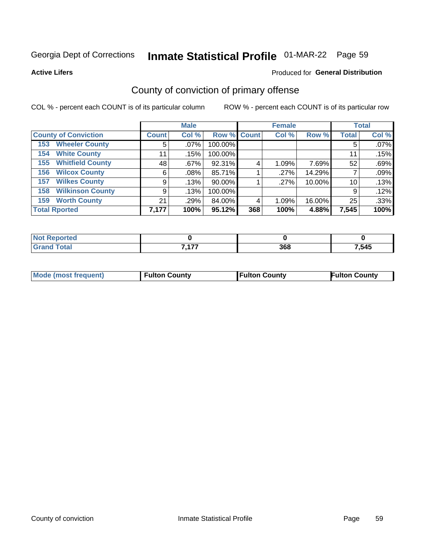## Inmate Statistical Profile 01-MAR-22 Page 59

Produced for General Distribution

**Active Lifers** 

## County of conviction of primary offense

COL % - percent each COUNT is of its particular column

|                                |              | <b>Male</b> |             |     | <b>Female</b> |        |              | <b>Total</b> |
|--------------------------------|--------------|-------------|-------------|-----|---------------|--------|--------------|--------------|
| <b>County of Conviction</b>    | <b>Count</b> | Col %       | Row % Count |     | Col %         | Row %  | <b>Total</b> | Col %        |
| <b>Wheeler County</b><br>153   | 5            | $.07\%$     | 100.00%     |     |               |        | 5            | .07%         |
| <b>White County</b><br>154     | 11           | .15%        | 100.00%     |     |               |        | 11           | .15%         |
| <b>Whitfield County</b><br>155 | 48           | .67%        | 92.31%      | 4   | 1.09%         | 7.69%  | 52           | .69%         |
| <b>Wilcox County</b><br>156    | 6            | .08%        | 85.71%      |     | .27%          | 14.29% |              | .09%         |
| <b>Wilkes County</b><br>157    | 9            | .13%        | 90.00%      |     | .27%          | 10.00% | 10           | .13%         |
| <b>Wilkinson County</b><br>158 | 9            | .13%        | 100.00%     |     |               |        | 9            | .12%         |
| <b>Worth County</b><br>159     | 21           | .29%        | 84.00%      | 4   | 1.09%         | 16.00% | 25           | .33%         |
| <b>Total Rported</b>           | 7,177        | 100%        | 95.12%      | 368 | 100%          | 4.88%  | 7,545        | 100%         |

| Reported<br>N.                  |       |     |       |
|---------------------------------|-------|-----|-------|
| <b>otal</b><br>$\mathbf{v}$ and | $- -$ | 368 | 7,545 |

| <b>Mode (most frequent)</b> | <b><sup>੮</sup>ulton County</b> | <b>Fulton County</b> | <b>Fulton County</b> |
|-----------------------------|---------------------------------|----------------------|----------------------|
|                             |                                 |                      |                      |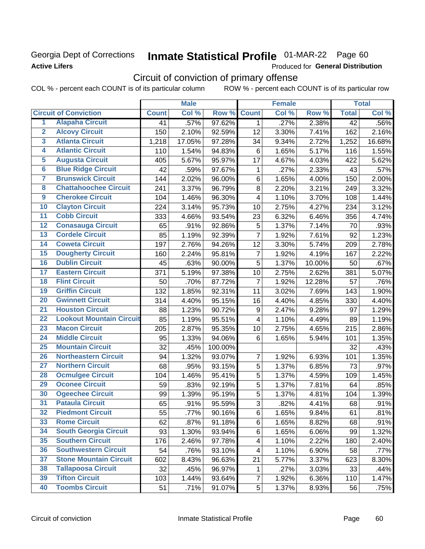### Georgia Dept of Corrections **Active Lifers**

## Inmate Statistical Profile 01-MAR-22 Page 60

Produced for General Distribution

## Circuit of conviction of primary offense

|                         |                                 |              | <b>Male</b> |         |                         | <b>Female</b> |        |                 | <b>Total</b> |
|-------------------------|---------------------------------|--------------|-------------|---------|-------------------------|---------------|--------|-----------------|--------------|
|                         | <b>Circuit of Conviction</b>    | <b>Count</b> | Col %       | Row %   | <b>Count</b>            | Col %         | Row %  | <b>Total</b>    | Col %        |
| 1                       | <b>Alapaha Circuit</b>          | 41           | .57%        | 97.62%  | 1                       | .27%          | 2.38%  | $\overline{42}$ | .56%         |
| $\overline{2}$          | <b>Alcovy Circuit</b>           | 150          | 2.10%       | 92.59%  | 12                      | 3.30%         | 7.41%  | 162             | 2.16%        |
| $\overline{\mathbf{3}}$ | <b>Atlanta Circuit</b>          | 1,218        | 17.05%      | 97.28%  | 34                      | 9.34%         | 2.72%  | 1,252           | 16.68%       |
| 4                       | <b>Atlantic Circuit</b>         | 110          | 1.54%       | 94.83%  | 6                       | 1.65%         | 5.17%  | 116             | 1.55%        |
| 5                       | <b>Augusta Circuit</b>          | 405          | 5.67%       | 95.97%  | 17                      | 4.67%         | 4.03%  | 422             | 5.62%        |
| $\overline{\bf{6}}$     | <b>Blue Ridge Circuit</b>       | 42           | .59%        | 97.67%  | $\mathbf{1}$            | .27%          | 2.33%  | 43              | .57%         |
| 7                       | <b>Brunswick Circuit</b>        | 144          | 2.02%       | 96.00%  | 6                       | 1.65%         | 4.00%  | 150             | 2.00%        |
| $\overline{\mathbf{8}}$ | <b>Chattahoochee Circuit</b>    | 241          | 3.37%       | 96.79%  | 8                       | 2.20%         | 3.21%  | 249             | 3.32%        |
| $\overline{9}$          | <b>Cherokee Circuit</b>         | 104          | 1.46%       | 96.30%  | 4                       | 1.10%         | 3.70%  | 108             | 1.44%        |
| 10                      | <b>Clayton Circuit</b>          | 224          | 3.14%       | 95.73%  | 10                      | 2.75%         | 4.27%  | 234             | 3.12%        |
| $\overline{11}$         | <b>Cobb Circuit</b>             | 333          | 4.66%       | 93.54%  | 23                      | 6.32%         | 6.46%  | 356             | 4.74%        |
| $\overline{12}$         | <b>Conasauga Circuit</b>        | 65           | .91%        | 92.86%  | 5                       | 1.37%         | 7.14%  | 70              | .93%         |
| 13                      | <b>Cordele Circuit</b>          | 85           | 1.19%       | 92.39%  | $\overline{7}$          | 1.92%         | 7.61%  | 92              | 1.23%        |
| $\overline{14}$         | <b>Coweta Circuit</b>           | 197          | 2.76%       | 94.26%  | 12                      | 3.30%         | 5.74%  | 209             | 2.78%        |
| $\overline{15}$         | <b>Dougherty Circuit</b>        | 160          | 2.24%       | 95.81%  | $\overline{7}$          | 1.92%         | 4.19%  | 167             | 2.22%        |
| 16                      | <b>Dublin Circuit</b>           | 45           | .63%        | 90.00%  | 5                       | 1.37%         | 10.00% | 50              | .67%         |
| 17                      | <b>Eastern Circuit</b>          | 371          | 5.19%       | 97.38%  | 10                      | 2.75%         | 2.62%  | 381             | 5.07%        |
| $\overline{18}$         | <b>Flint Circuit</b>            | 50           | .70%        | 87.72%  | $\overline{7}$          | 1.92%         | 12.28% | 57              | .76%         |
| 19                      | <b>Griffin Circuit</b>          | 132          | 1.85%       | 92.31%  | 11                      | 3.02%         | 7.69%  | 143             | 1.90%        |
| $\overline{20}$         | <b>Gwinnett Circuit</b>         | 314          | 4.40%       | 95.15%  | 16                      | 4.40%         | 4.85%  | 330             | 4.40%        |
| $\overline{21}$         | <b>Houston Circuit</b>          | 88           | 1.23%       | 90.72%  | 9                       | 2.47%         | 9.28%  | 97              | 1.29%        |
| $\overline{22}$         | <b>Lookout Mountain Circuit</b> | 85           | 1.19%       | 95.51%  | $\overline{\mathbf{4}}$ | 1.10%         | 4.49%  | 89              | 1.19%        |
| 23                      | <b>Macon Circuit</b>            | 205          | 2.87%       | 95.35%  | 10                      | 2.75%         | 4.65%  | 215             | 2.86%        |
| $\overline{24}$         | <b>Middle Circuit</b>           | 95           | 1.33%       | 94.06%  | 6                       | 1.65%         | 5.94%  | 101             | 1.35%        |
| $\overline{25}$         | <b>Mountain Circuit</b>         | 32           | .45%        | 100.00% |                         |               |        | 32              | .43%         |
| 26                      | <b>Northeastern Circuit</b>     | 94           | 1.32%       | 93.07%  | $\overline{7}$          | 1.92%         | 6.93%  | 101             | 1.35%        |
| $\overline{27}$         | <b>Northern Circuit</b>         | 68           | .95%        | 93.15%  | 5                       | 1.37%         | 6.85%  | 73              | .97%         |
| 28                      | <b>Ocmulgee Circuit</b>         | 104          | 1.46%       | 95.41%  | 5                       | 1.37%         | 4.59%  | 109             | 1.45%        |
| 29                      | <b>Oconee Circuit</b>           | 59           | .83%        | 92.19%  | 5                       | 1.37%         | 7.81%  | 64              | .85%         |
| 30                      | <b>Ogeechee Circuit</b>         | 99           | 1.39%       | 95.19%  | 5                       | 1.37%         | 4.81%  | 104             | 1.39%        |
| $\overline{31}$         | <b>Pataula Circuit</b>          | 65           | .91%        | 95.59%  | 3                       | .82%          | 4.41%  | 68              | .91%         |
| 32                      | <b>Piedmont Circuit</b>         | 55           | .77%        | 90.16%  | 6                       | 1.65%         | 9.84%  | 61              | .81%         |
| 33                      | <b>Rome Circuit</b>             | 62           | .87%        | 91.18%  | 6                       | 1.65%         | 8.82%  | 68              | .91%         |
| 34                      | <b>South Georgia Circuit</b>    | 93           | 1.30%       | 93.94%  | 6                       | 1.65%         | 6.06%  | 99              | 1.32%        |
| 35                      | <b>Southern Circuit</b>         | 176          | 2.46%       | 97.78%  | 4                       | 1.10%         | 2.22%  | 180             | 2.40%        |
| 36                      | <b>Southwestern Circuit</b>     | 54           | .76%        | 93.10%  | 4                       | 1.10%         | 6.90%  | 58              | .77%         |
| 37                      | <b>Stone Mountain Circuit</b>   | 602          | 8.43%       | 96.63%  | 21                      | 5.77%         | 3.37%  | 623             | 8.30%        |
| 38                      | <b>Tallapoosa Circuit</b>       | 32           | .45%        | 96.97%  | 1                       | .27%          | 3.03%  | 33              | .44%         |
| 39                      | <b>Tifton Circuit</b>           | 103          | 1.44%       | 93.64%  | $\overline{7}$          | 1.92%         | 6.36%  | 110             | 1.47%        |
| 40                      | <b>Toombs Circuit</b>           | 51           | .71%        | 91.07%  | 5                       | 1.37%         | 8.93%  | 56              | .75%         |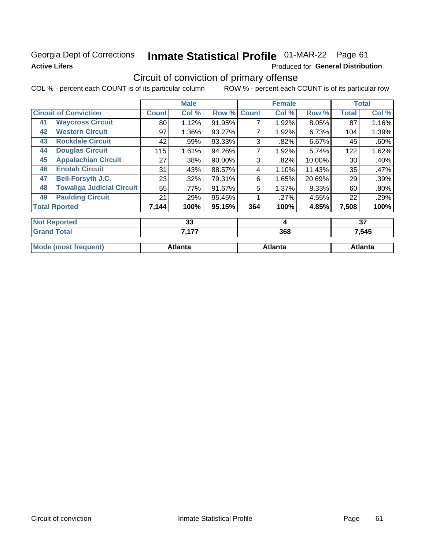### Georgia Dept of Corrections **Active Lifers**

## Inmate Statistical Profile 01-MAR-22 Page 61

Produced for General Distribution

## Circuit of conviction of primary offense

|                                        | <b>Male</b>  |                | <b>Female</b> |              |                | <b>Total</b> |              |                |
|----------------------------------------|--------------|----------------|---------------|--------------|----------------|--------------|--------------|----------------|
| <b>Circuit of Conviction</b>           | <b>Count</b> | Col %          | Row %         | <b>Count</b> | Col %          | Row %        | <b>Total</b> | Col %          |
| <b>Waycross Circuit</b><br>41          | 80           | 1.12%          | 91.95%        | 7            | 1.92%          | 8.05%        | 87           | 1.16%          |
| <b>Western Circuit</b><br>42           | 97           | 1.36%          | 93.27%        | 7            | 1.92%          | 6.73%        | 104          | 1.39%          |
| <b>Rockdale Circuit</b><br>43          | 42           | .59%           | 93.33%        | 3            | .82%           | 6.67%        | 45           | .60%           |
| <b>Douglas Circuit</b><br>44           | 115          | 1.61%          | 94.26%        | 7            | 1.92%          | 5.74%        | 122          | 1.62%          |
| <b>Appalachian Circuit</b><br>45       | 27           | .38%           | 90.00%        | 3            | .82%           | 10.00%       | 30           | .40%           |
| <b>Enotah Circuit</b><br>46            | 31           | .43%           | 88.57%        | 4            | 1.10%          | 11.43%       | 35           | .47%           |
| <b>Bell-Forsyth J.C.</b><br>47         | 23           | .32%           | 79.31%        | 6            | 1.65%          | 20.69%       | 29           | .39%           |
| <b>Towaliga Judicial Circuit</b><br>48 | 55           | .77%           | 91.67%        | 5            | 1.37%          | 8.33%        | 60           | .80%           |
| <b>Paulding Circuit</b><br>49          | 21           | .29%           | 95.45%        |              | .27%           | 4.55%        | 22           | .29%           |
| <b>Total Rported</b>                   | 7,144        | 100%           | 95.15%        | 364          | 100%           | 4.85%        | 7,508        | 100%           |
| <b>Not Reported</b>                    |              | 33             |               |              | 4              |              |              | 37             |
| <b>Grand Total</b>                     |              | 7,177          |               |              | 368            |              |              | 7,545          |
| <b>Mode (most frequent)</b>            |              | <b>Atlanta</b> |               |              | <b>Atlanta</b> |              |              | <b>Atlanta</b> |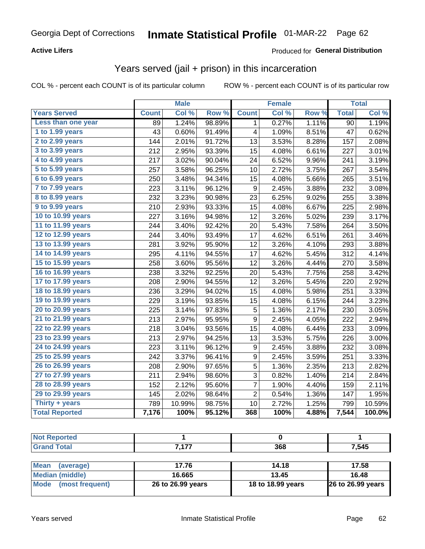#### **Active Lifers**

### Produced for General Distribution

### Years served (jail + prison) in this incarceration

COL % - percent each COUNT is of its particular column

|                       | <b>Male</b>  |        | <b>Female</b>    |                         |       | <b>Total</b> |                 |        |
|-----------------------|--------------|--------|------------------|-------------------------|-------|--------------|-----------------|--------|
| <b>Years Served</b>   | <b>Count</b> | Col %  | Row <sup>%</sup> | <b>Count</b>            | Col % | Row %        | <b>Total</b>    | Col %  |
| Less than one year    | 89           | 1.24%  | 98.89%           | 1                       | 0.27% | 1.11%        | $\overline{90}$ | 1.19%  |
| 1 to 1.99 years       | 43           | 0.60%  | 91.49%           | $\overline{\mathbf{4}}$ | 1.09% | 8.51%        | 47              | 0.62%  |
| 2 to 2.99 years       | 144          | 2.01%  | 91.72%           | 13                      | 3.53% | 8.28%        | 157             | 2.08%  |
| 3 to 3.99 years       | 212          | 2.95%  | 93.39%           | 15                      | 4.08% | 6.61%        | 227             | 3.01%  |
| 4 to 4.99 years       | 217          | 3.02%  | 90.04%           | 24                      | 6.52% | 9.96%        | 241             | 3.19%  |
| 5 to 5.99 years       | 257          | 3.58%  | 96.25%           | 10                      | 2.72% | 3.75%        | 267             | 3.54%  |
| 6 to 6.99 years       | 250          | 3.48%  | 94.34%           | 15                      | 4.08% | 5.66%        | 265             | 3.51%  |
| 7 to 7.99 years       | 223          | 3.11%  | 96.12%           | $\boldsymbol{9}$        | 2.45% | 3.88%        | 232             | 3.08%  |
| 8 to 8.99 years       | 232          | 3.23%  | 90.98%           | 23                      | 6.25% | 9.02%        | 255             | 3.38%  |
| 9 to 9.99 years       | 210          | 2.93%  | 93.33%           | 15                      | 4.08% | 6.67%        | 225             | 2.98%  |
| 10 to 10.99 years     | 227          | 3.16%  | 94.98%           | 12                      | 3.26% | 5.02%        | 239             | 3.17%  |
| 11 to 11.99 years     | 244          | 3.40%  | 92.42%           | 20                      | 5.43% | 7.58%        | 264             | 3.50%  |
| 12 to 12.99 years     | 244          | 3.40%  | 93.49%           | 17                      | 4.62% | 6.51%        | 261             | 3.46%  |
| 13 to 13.99 years     | 281          | 3.92%  | 95.90%           | 12                      | 3.26% | 4.10%        | 293             | 3.88%  |
| 14 to 14.99 years     | 295          | 4.11%  | 94.55%           | 17                      | 4.62% | 5.45%        | 312             | 4.14%  |
| 15 to 15.99 years     | 258          | 3.60%  | 95.56%           | 12                      | 3.26% | 4.44%        | 270             | 3.58%  |
| 16 to 16.99 years     | 238          | 3.32%  | 92.25%           | 20                      | 5.43% | 7.75%        | 258             | 3.42%  |
| 17 to 17.99 years     | 208          | 2.90%  | 94.55%           | 12                      | 3.26% | 5.45%        | 220             | 2.92%  |
| 18 to 18.99 years     | 236          | 3.29%  | 94.02%           | 15                      | 4.08% | 5.98%        | 251             | 3.33%  |
| 19 to 19.99 years     | 229          | 3.19%  | 93.85%           | 15                      | 4.08% | 6.15%        | 244             | 3.23%  |
| 20 to 20.99 years     | 225          | 3.14%  | 97.83%           | 5                       | 1.36% | 2.17%        | 230             | 3.05%  |
| 21 to 21.99 years     | 213          | 2.97%  | 95.95%           | 9                       | 2.45% | 4.05%        | 222             | 2.94%  |
| 22 to 22.99 years     | 218          | 3.04%  | 93.56%           | 15                      | 4.08% | 6.44%        | 233             | 3.09%  |
| 23 to 23.99 years     | 213          | 2.97%  | 94.25%           | 13                      | 3.53% | 5.75%        | 226             | 3.00%  |
| 24 to 24.99 years     | 223          | 3.11%  | 96.12%           | 9                       | 2.45% | 3.88%        | 232             | 3.08%  |
| 25 to 25.99 years     | 242          | 3.37%  | 96.41%           | 9                       | 2.45% | 3.59%        | 251             | 3.33%  |
| 26 to 26.99 years     | 208          | 2.90%  | 97.65%           | 5                       | 1.36% | 2.35%        | 213             | 2.82%  |
| 27 to 27.99 years     | 211          | 2.94%  | 98.60%           | 3                       | 0.82% | 1.40%        | 214             | 2.84%  |
| 28 to 28.99 years     | 152          | 2.12%  | 95.60%           | 7                       | 1.90% | 4.40%        | 159             | 2.11%  |
| 29 to 29.99 years     | 145          | 2.02%  | 98.64%           | $\overline{2}$          | 0.54% | 1.36%        | 147             | 1.95%  |
| Thirty $+$ years      | 789          | 10.99% | 98.75%           | 10                      | 2.72% | 1.25%        | 799             | 10.59% |
| <b>Total Reported</b> | 7,176        | 100%   | 95.12%           | 368                     | 100%  | 4.88%        | 7,544           | 100.0% |

| <b>Not Reported</b>            |                   |                   |                          |
|--------------------------------|-------------------|-------------------|--------------------------|
| <b>Grand Total</b>             | 7.177             | 368               | 7,545                    |
|                                |                   |                   |                          |
| <b>Mean</b><br>(average)       | 17.76             | 14.18             | 17.58                    |
| <b>Median (middle)</b>         | 16.665            | 13.45             | 16.48                    |
| <b>Mode</b><br>(most frequent) | 26 to 26.99 years | 18 to 18.99 years | <b>26 to 26.99 years</b> |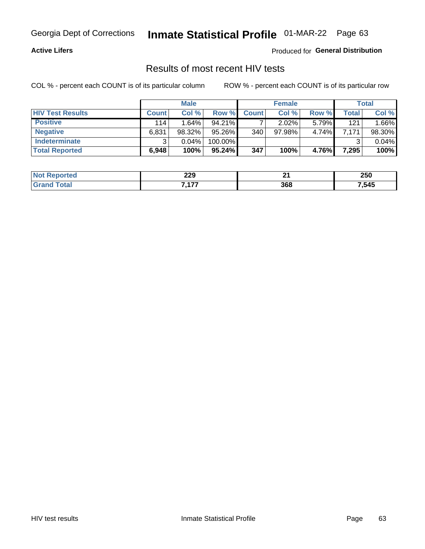#### **Active Lifers**

Produced for General Distribution

### Results of most recent HIV tests

COL % - percent each COUNT is of its particular column

|                         | <b>Male</b>  |          |           | <b>Female</b> | Total     |       |       |        |
|-------------------------|--------------|----------|-----------|---------------|-----------|-------|-------|--------|
| <b>HIV Test Results</b> | <b>Count</b> | Col%     | Row %I    | <b>Count</b>  | Col %     | Row % | Total | Col %  |
| <b>Positive</b>         | 114          | 1.64%    | $94.21\%$ |               | $2.02\%$  | 5.79% | 121   | 1.66%  |
| <b>Negative</b>         | 6,831        | 98.32%   | 95.26%    | 340           | $97.98\%$ | 4.74% | 7.171 | 98.30% |
| <b>Indeterminate</b>    | າ            | $0.04\%$ | 100.00%   |               |           |       |       | 0.04%  |
| <b>Total Reported</b>   | 6,948        | 100%     | $95.24\%$ | 347           | 100%      | 4.76% | 7,295 | 100%   |

| <b>Not Reported</b> | 229     |     | 250  |
|---------------------|---------|-----|------|
| `otal               | 477<br> | 368 | ,545 |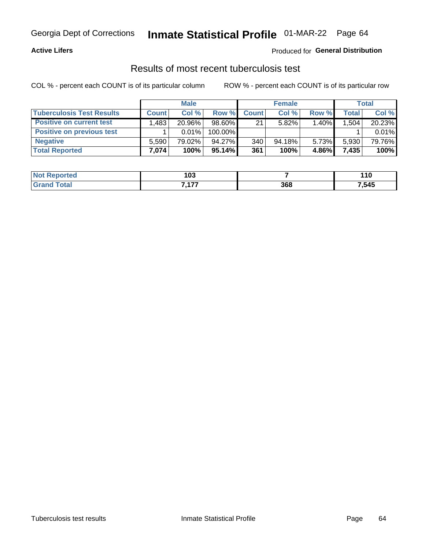## Georgia Dept of Corrections **Inmate Statistical Profile** 01-MAR-22 Page 64

#### **Active Lifers**

#### Produced for **General Distribution**

### Results of most recent tuberculosis test

|                                  | <b>Male</b>  |          |           | <b>Female</b>    |           |          | Total        |        |
|----------------------------------|--------------|----------|-----------|------------------|-----------|----------|--------------|--------|
| <b>Tuberculosis Test Results</b> | <b>Count</b> | Col%     | Row %     | <b>Count</b>     | Col%      | Row %    | <b>Total</b> | Col %  |
| <b>Positive on current test</b>  | .483         | 20.96%   | $98.60\%$ | 21               | $5.82\%$  | 1.40%    | .504         | 20.23% |
| <b>Positive on previous test</b> |              | $0.01\%$ | 100.00%   |                  |           |          |              | 0.01%  |
| <b>Negative</b>                  | 5.590        | 79.02%   | 94.27%    | 340 <sub>1</sub> | $94.18\%$ | $5.73\%$ | 5,930        | 79.76% |
| <b>Total Reported</b>            | .074         | 100%     | $95.14\%$ | 361              | 100%      | 4.86%    | 7,435        | 100%   |

| <b>Not Reported</b> | 103       |     | 110   |
|---------------------|-----------|-----|-------|
| `otal               | 7477<br>. | 368 | 7,545 |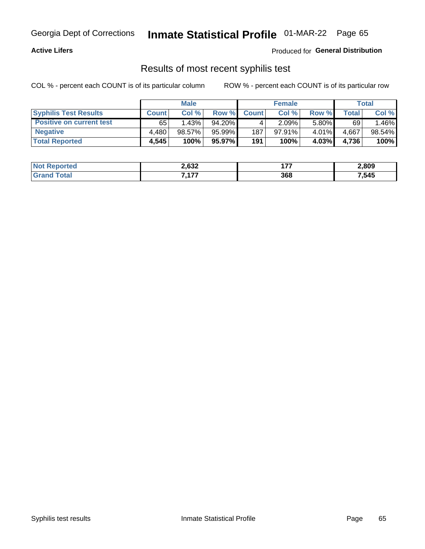## Georgia Dept of Corrections **Inmate Statistical Profile** 01-MAR-22 Page 65

#### **Active Lifers**

Produced for **General Distribution**

### Results of most recent syphilis test

|                                 | <b>Male</b>  |        | <b>Female</b> |              |           | Total |       |        |
|---------------------------------|--------------|--------|---------------|--------------|-----------|-------|-------|--------|
| <b>Syphilis Test Results</b>    | <b>Count</b> | Col%   | Row %         | <b>Count</b> | Col %     | Row % | Total | Col %  |
| <b>Positive on current test</b> | 65           | 1.43%  | 94.20%        |              | 2.09%     | 5.80% | 69    | .46%   |
| <b>Negative</b>                 | 4.480        | 98.57% | 95.99%        | 187          | $97.91\%$ | 4.01% | 4,667 | 98.54% |
| <b>Total Reported</b>           | 4,545        | 100%   | 95.97%        | 191          | 100%      | 4.03% | 4,736 | 100%   |

| <b>Not Reported</b> | 2,632     | 17<br>.<br>--- | 2,809 |
|---------------------|-----------|----------------|-------|
| Total               | 7477<br>. | 368            | 7,545 |